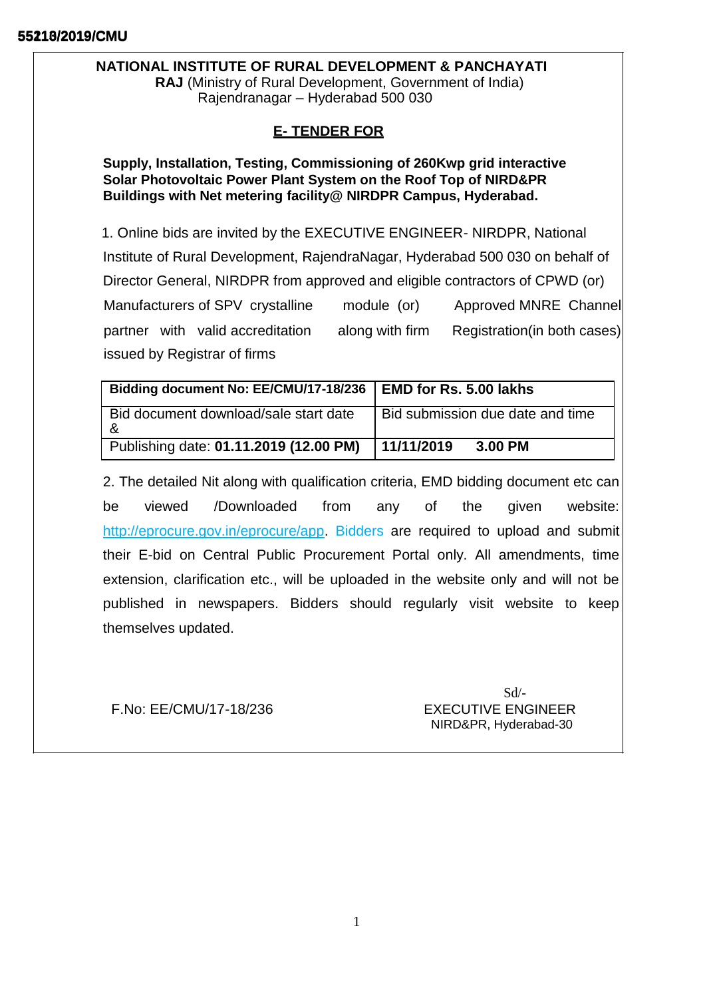# **NATIONAL INSTITUTE OF RURAL DEVELOPMENT & PANCHAYATI**

**RAJ** (Ministry of Rural Development, Government of India) Rajendranagar – Hyderabad 500 030

# **E- TENDER FOR**

**Supply, Installation, Testing, Commissioning of 260Kwp grid interactive Solar Photovoltaic Power Plant System on the Roof Top of NIRD&PR Buildings with Net metering facility@ NIRDPR Campus, Hyderabad.**

1. Online bids are invited by the EXECUTIVE ENGINEER- NIRDPR, National Institute of Rural Development, RajendraNagar, Hyderabad 500 030 on behalf of Director General, NIRDPR from approved and eligible contractors of CPWD (or) Manufacturers of SPV crystalline module (or) Approved MNRE Channel partner with valid accreditation along with firm Registration(in both cases) issued by Registrar of firms

| Bidding document No: EE/CMU/17-18/236   EMD for Rs. 5.00 lakhs |                                  |
|----------------------------------------------------------------|----------------------------------|
| Bid document download/sale start date                          | Bid submission due date and time |
| Publishing date: 01.11.2019 (12.00 PM)                         | 11/11/2019<br>3.00 PM            |

2. The detailed Nit along with qualification criteria, EMD bidding document etc can be viewed /Downloaded from any of the given website[:](http://eprocure.gov.in/eprocure/app) [http://eprocure.gov.in/eprocure/app.](http://eprocure.gov.in/eprocure/app) Bidders are required to upload and submit their E-bid on Central Public Procurement Portal only. All amendments, time extension, clarification etc., will be uploaded in the website only and will not be published in newspapers. Bidders should regularly visit website to keep themselves updated.

F.No: EE/CMU/17-18/236 EXECUTIVE ENGINEER

 $Sd$ <sup>-</sup> NIRD&PR, Hyderabad-30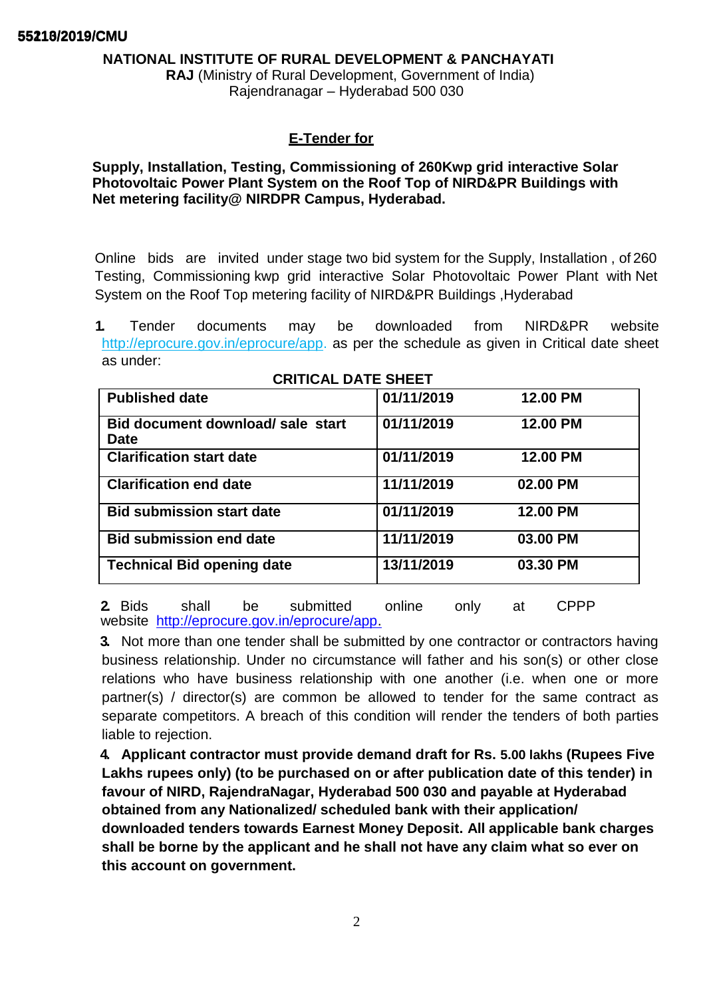## **NATIONAL INSTITUTE OF RURAL DEVELOPMENT & PANCHAYATI**

**RAJ** (Ministry of Rural Development, Government of India) Rajendranagar – Hyderabad 500 030

## **E-Tender for**

**Supply, Installation, Testing, Commissioning of 260Kwp grid interactive Solar Photovoltaic Power Plant System on the Roof Top of NIRD&PR Buildings with Net metering facility@ NIRDPR Campus, Hyderabad.**

Online bids are invited under stage two bid system for the Supply, Installation , of 260 Testing, Commissioning kwp grid interactive Solar Photovoltaic Power Plant with Net System on the Roof Top metering facility of NIRD&PR Buildings ,Hyderabad

**1.** Tender documents may be downloaded from NIRD&PR websit[e](http://eprocure.gov.in/eprocure/app) [http://eprocure.gov.in/eprocure/app. a](http://eprocure.gov.in/eprocure/app)s per the schedule as given in Critical date sheet as under:

| <b>Published date</b>                            | 01/11/2019 | 12.00 PM |
|--------------------------------------------------|------------|----------|
| Bid document download/ sale start<br><b>Date</b> | 01/11/2019 | 12.00 PM |
| <b>Clarification start date</b>                  | 01/11/2019 | 12.00 PM |
| <b>Clarification end date</b>                    | 11/11/2019 | 02.00 PM |
| <b>Bid submission start date</b>                 | 01/11/2019 | 12.00 PM |
| <b>Bid submission end date</b>                   | 11/11/2019 | 03.00 PM |
| <b>Technical Bid opening date</b>                | 13/11/2019 | 03.30 PM |

### **CRITICAL DATE SHEET**

**2.** Bids shall be submitted online only at CPPP website [http://eprocure.gov.in/eprocure/app.](http://eprocure.gov.in/eprocure/app)

**3.** Not more than one tender shall be submitted by one contractor or contractors having business relationship. Under no circumstance will father and his son(s) or other close relations who have business relationship with one another (i.e. when one or more partner(s) / director(s) are common be allowed to tender for the same contract as separate competitors. A breach of this condition will render the tenders of both parties liable to rejection.

**4. Applicant contractor must provide demand draft for Rs. 5.00 lakhs (Rupees Five Lakhs rupees only) (to be purchased on or after publication date of this tender) in favour of NIRD, RajendraNagar, Hyderabad 500 030 and payable at Hyderabad obtained from any Nationalized/ scheduled bank with their application/ downloaded tenders towards Earnest Money Deposit. All applicable bank charges shall be borne by the applicant and he shall not have any claim what so ever on this account on government.**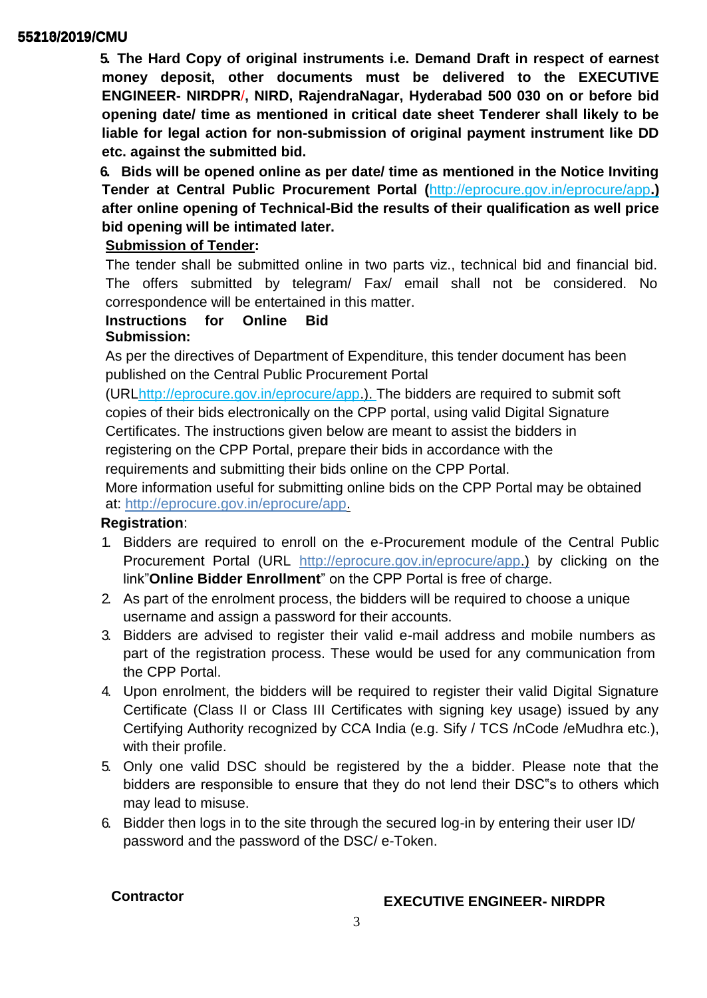**5. The Hard Copy of original instruments i.e. Demand Draft in respect of earnest money deposit, other documents must be delivered to the EXECUTIVE ENGINEER- NIRDPR**/**, NIRD, RajendraNagar, Hyderabad 500 030 on or before bid opening date/ time as mentioned in critical date sheet Tenderer shall likely to be liable for legal action for non-submission of original payment instrument like DD etc. against the submitted bid.**

**6. Bids will be opened online as per date/ time as mentioned in the Notice Inviting Tender at Central Public Procurement Portal (**<http://eprocure.gov.in/eprocure/app>**.) after online opening of Technical-Bid the results of their qualification as well price bid opening will be intimated later.**

# **Submission of Tender:**

The tender shall be submitted online in two parts viz., technical bid and financial bid. The offers submitted by telegram/ Fax/ email shall not be considered. No correspondence will be entertained in this matter.

## **Instructions for Online Bid Submission:**

As per the directives of Department of Expenditure, this tender document has been published on the Central Public Procurement Portal

(UR[Lhttp://eprocure.gov.in/eprocure/app.\).](http://eprocure.gov.in/eprocure/app) The bidders are required to submit soft copies of their bids electronically on the CPP portal, using valid Digital Signature Certificates. The instructions given below are meant to assist the bidders in registering on the CPP Portal, prepare their bids in accordance with the requirements and submitting their bids online on the CPP Portal.

More information useful for submitting online bids on the CPP Portal may be obtained at: [http://eprocure.gov.in/eprocure/app.](http://eprocure.gov.in/eprocure/app)

## **Registration**:

- 1. Bidders are required to enroll on the e-Procurement module of the Central Public Procurement Portal (URL [http://eprocure.gov.in/eprocure/app.\)](http://eprocure.gov.in/eprocure/app) by clicking on the link"**Online Bidder Enrollment**" on the CPP Portal is free of charge.
- 2. As part of the enrolment process, the bidders will be required to choose a unique username and assign a password for their accounts.
- 3. Bidders are advised to register their valid e-mail address and mobile numbers as part of the registration process. These would be used for any communication from the CPP Portal.
- 4. Upon enrolment, the bidders will be required to register their valid Digital Signature Certificate (Class II or Class III Certificates with signing key usage) issued by any Certifying Authority recognized by CCA India (e.g. Sify / TCS /nCode /eMudhra etc.), with their profile.
- 5. Only one valid DSC should be registered by the a bidder. Please note that the bidders are responsible to ensure that they do not lend their DSC"s to others which may lead to misuse.
- 6. Bidder then logs in to the site through the secured log-in by entering their user ID/ password and the password of the DSC/ e-Token.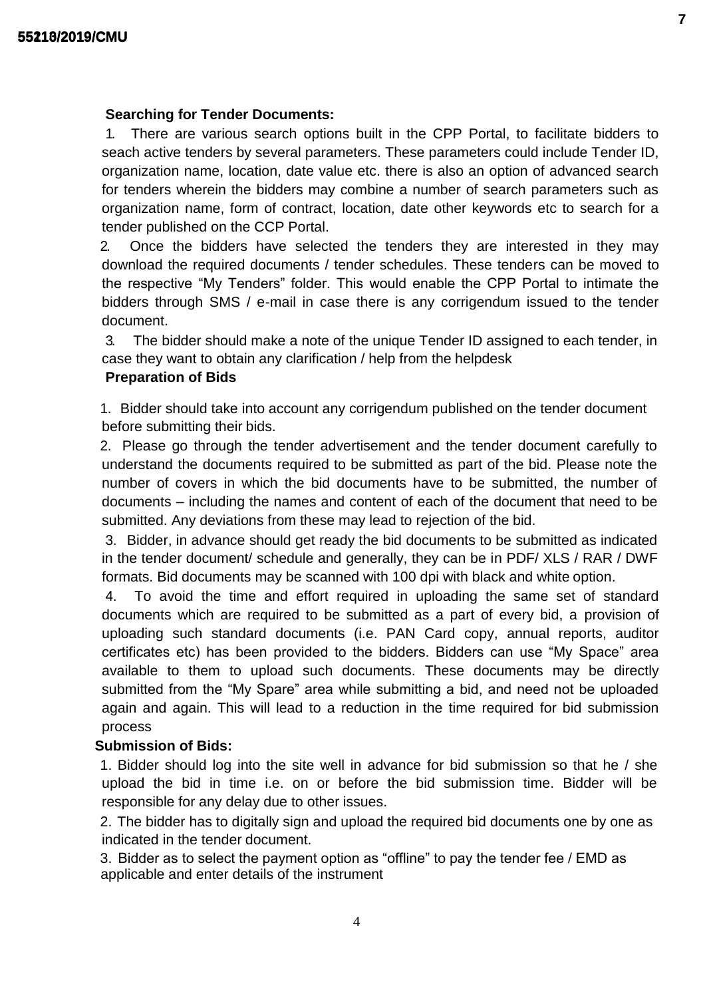## **Searching for Tender Documents:**

1. There are various search options built in the CPP Portal, to facilitate bidders to seach active tenders by several parameters. These parameters could include Tender ID, organization name, location, date value etc. there is also an option of advanced search for tenders wherein the bidders may combine a number of search parameters such as organization name, form of contract, location, date other keywords etc to search for a tender published on the CCP Portal.

2. Once the bidders have selected the tenders they are interested in they may download the required documents / tender schedules. These tenders can be moved to the respective "My Tenders" folder. This would enable the CPP Portal to intimate the bidders through SMS / e-mail in case there is any corrigendum issued to the tender document.

3. The bidder should make a note of the unique Tender ID assigned to each tender, in case they want to obtain any clarification / help from the helpdesk

## **Preparation of Bids**

1. Bidder should take into account any corrigendum published on the tender document before submitting their bids.

2. Please go through the tender advertisement and the tender document carefully to understand the documents required to be submitted as part of the bid. Please note the number of covers in which the bid documents have to be submitted, the number of documents – including the names and content of each of the document that need to be submitted. Any deviations from these may lead to rejection of the bid.

3. Bidder, in advance should get ready the bid documents to be submitted as indicated in the tender document/ schedule and generally, they can be in PDF/ XLS / RAR / DWF formats. Bid documents may be scanned with 100 dpi with black and white option.

4. To avoid the time and effort required in uploading the same set of standard documents which are required to be submitted as a part of every bid, a provision of uploading such standard documents (i.e. PAN Card copy, annual reports, auditor certificates etc) has been provided to the bidders. Bidders can use "My Space" area available to them to upload such documents. These documents may be directly submitted from the "My Spare" area while submitting a bid, and need not be uploaded again and again. This will lead to a reduction in the time required for bid submission process

## **Submission of Bids:**

1. Bidder should log into the site well in advance for bid submission so that he / she upload the bid in time i.e. on or before the bid submission time. Bidder will be responsible for any delay due to other issues.

2. The bidder has to digitally sign and upload the required bid documents one by one as indicated in the tender document.

3. Bidder as to select the payment option as "offline" to pay the tender fee / EMD as applicable and enter details of the instrument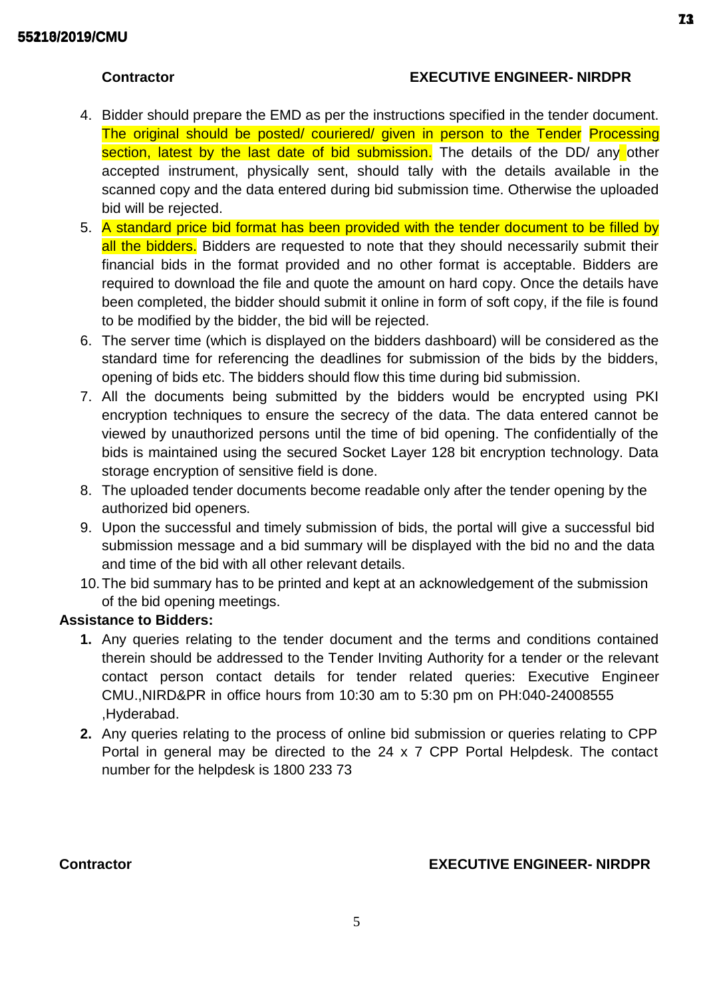# **Contractor EXECUTIVE ENGINEER- NIRDPR**

- 4. Bidder should prepare the EMD as per the instructions specified in the tender document. The original should be posted/ couriered/ given in person to the Tender Processing section, latest by the last date of bid submission. The details of the DD/ any other accepted instrument, physically sent, should tally with the details available in the scanned copy and the data entered during bid submission time. Otherwise the uploaded bid will be rejected.
- 5. A standard price bid format has been provided with the tender document to be filled by all the bidders. Bidders are requested to note that they should necessarily submit their financial bids in the format provided and no other format is acceptable. Bidders are required to download the file and quote the amount on hard copy. Once the details have been completed, the bidder should submit it online in form of soft copy, if the file is found to be modified by the bidder, the bid will be rejected.
- 6. The server time (which is displayed on the bidders dashboard) will be considered as the standard time for referencing the deadlines for submission of the bids by the bidders, opening of bids etc. The bidders should flow this time during bid submission.
- 7. All the documents being submitted by the bidders would be encrypted using PKI encryption techniques to ensure the secrecy of the data. The data entered cannot be viewed by unauthorized persons until the time of bid opening. The confidentially of the bids is maintained using the secured Socket Layer 128 bit encryption technology. Data storage encryption of sensitive field is done.
- 8. The uploaded tender documents become readable only after the tender opening by the authorized bid openers.
- 9. Upon the successful and timely submission of bids, the portal will give a successful bid submission message and a bid summary will be displayed with the bid no and the data and time of the bid with all other relevant details.
- 10.The bid summary has to be printed and kept at an acknowledgement of the submission of the bid opening meetings.

## **Assistance to Bidders:**

- **1.** Any queries relating to the tender document and the terms and conditions contained therein should be addressed to the Tender Inviting Authority for a tender or the relevant contact person contact details for tender related queries: Executive Engineer CMU.,NIRD&PR in office hours from 10:30 am to 5:30 pm on PH:040-24008555 ,Hyderabad.
- **2.** Any queries relating to the process of online bid submission or queries relating to CPP Portal in general may be directed to the 24 x 7 CPP Portal Helpdesk. The contact number for the helpdesk is 1800 233 73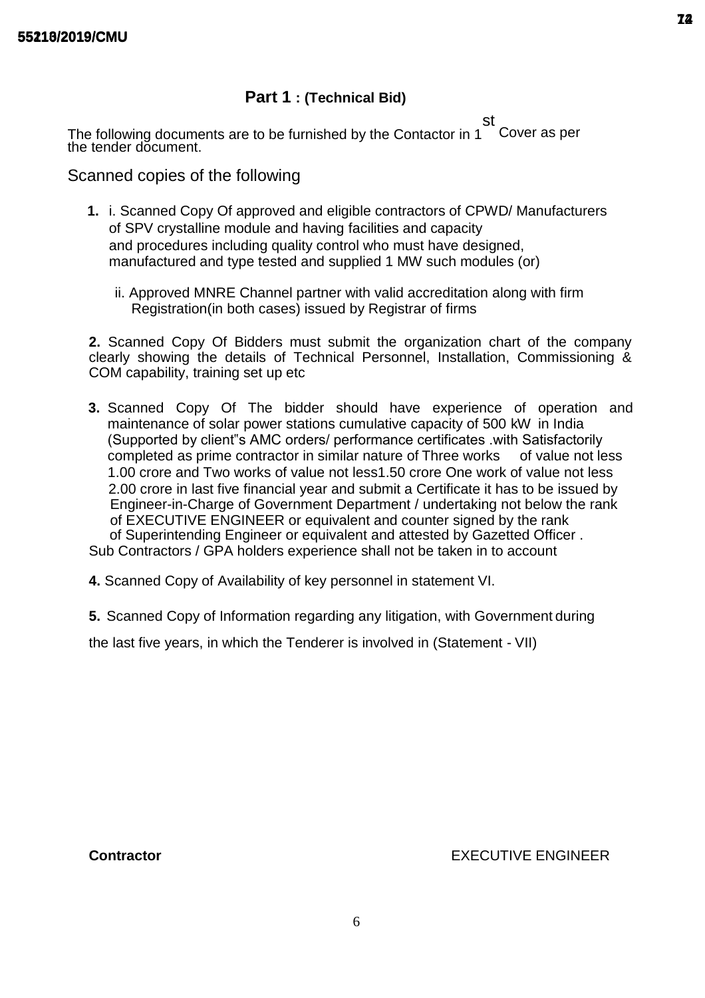# **Part 1 : (Technical Bid)**

st The following documents are to be furnished by the Contactor in 1 Cover as per the tender document.

Scanned copies of the following

- **1.** i. Scanned Copy Of approved and eligible contractors of CPWD/ Manufacturers of SPV crystalline module and having facilities and capacity and procedures including quality control who must have designed. manufactured and type tested and supplied 1 MW such modules (or)
	- ii. Approved MNRE Channel partner with valid accreditation along with firm Registration(in both cases) issued by Registrar of firms

**2.** Scanned Copy Of Bidders must submit the organization chart of the company clearly showing the details of Technical Personnel, Installation, Commissioning & COM capability, training set up etc

- **3.** Scanned Copy Of The bidder should have experience of operation and maintenance of solar power stations cumulative capacity of 500 kW in India (Supported by client"s AMC orders/ performance certificates .with Satisfactorily completed as prime contractor in similar nature of Three works of value not less 1.00 crore and Two works of value not less1.50 crore One work of value not less 2.00 crore in last five financial year and submit a Certificate it has to be issued by Engineer-in-Charge of Government Department / undertaking not below the rank of EXECUTIVE ENGINEER or equivalent and counter signed by the rank of Superintending Engineer or equivalent and attested by Gazetted Officer . Sub Contractors / GPA holders experience shall not be taken in to account
- **4.** Scanned Copy of Availability of key personnel in statement VI.
- **5.** Scanned Copy of Information regarding any litigation, with Government during

the last five years, in which the Tenderer is involved in (Statement - VII)

**Contractor** EXECUTIVE ENGINEER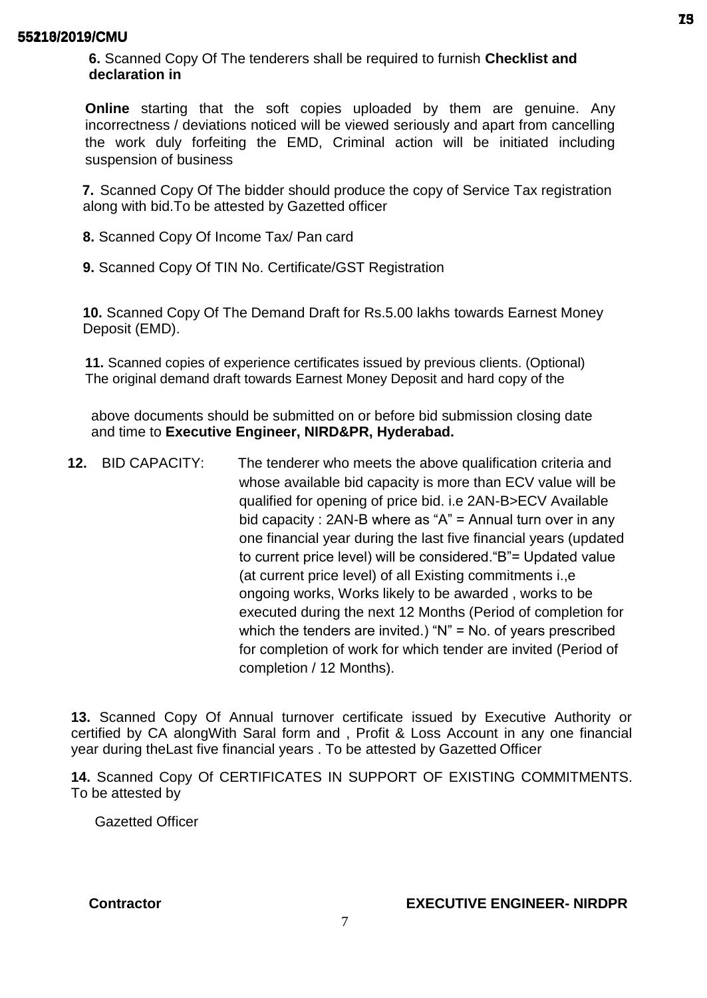**6.** Scanned Copy Of The tenderers shall be required to furnish **Checklist and declaration in**

**Online** starting that the soft copies uploaded by them are genuine. Any incorrectness / deviations noticed will be viewed seriously and apart from cancelling the work duly forfeiting the EMD, Criminal action will be initiated including suspension of business

**7.** Scanned Copy Of The bidder should produce the copy of Service Tax registration along with bid.To be attested by Gazetted officer

- **8.** Scanned Copy Of Income Tax/ Pan card
- **9.** Scanned Copy Of TIN No. Certificate/GST Registration

**10.** Scanned Copy Of The Demand Draft for Rs.5.00 lakhs towards Earnest Money Deposit (EMD).

**11.** Scanned copies of experience certificates issued by previous clients. (Optional) The original demand draft towards Earnest Money Deposit and hard copy of the

above documents should be submitted on or before bid submission closing date and time to **Executive Engineer, NIRD&PR, Hyderabad.**

**12.** BID CAPACITY: The tenderer who meets the above qualification criteria and whose available bid capacity is more than ECV value will be qualified for opening of price bid. i.e 2AN-B>ECV Available bid capacity : 2AN-B where as "A" = Annual turn over in any one financial year during the last five financial years (updated to current price level) will be considered."B"= Updated value (at current price level) of all Existing commitments i.,e ongoing works, Works likely to be awarded , works to be executed during the next 12 Months (Period of completion for which the tenders are invited.) "N" = No. of years prescribed for completion of work for which tender are invited (Period of completion / 12 Months).

**13.** Scanned Copy Of Annual turnover certificate issued by Executive Authority or certified by CA alongWith Saral form and , Profit & Loss Account in any one financial year during theLast five financial years . To be attested by Gazetted Officer

**14.** Scanned Copy Of CERTIFICATES IN SUPPORT OF EXISTING COMMITMENTS. To be attested by

Gazetted Officer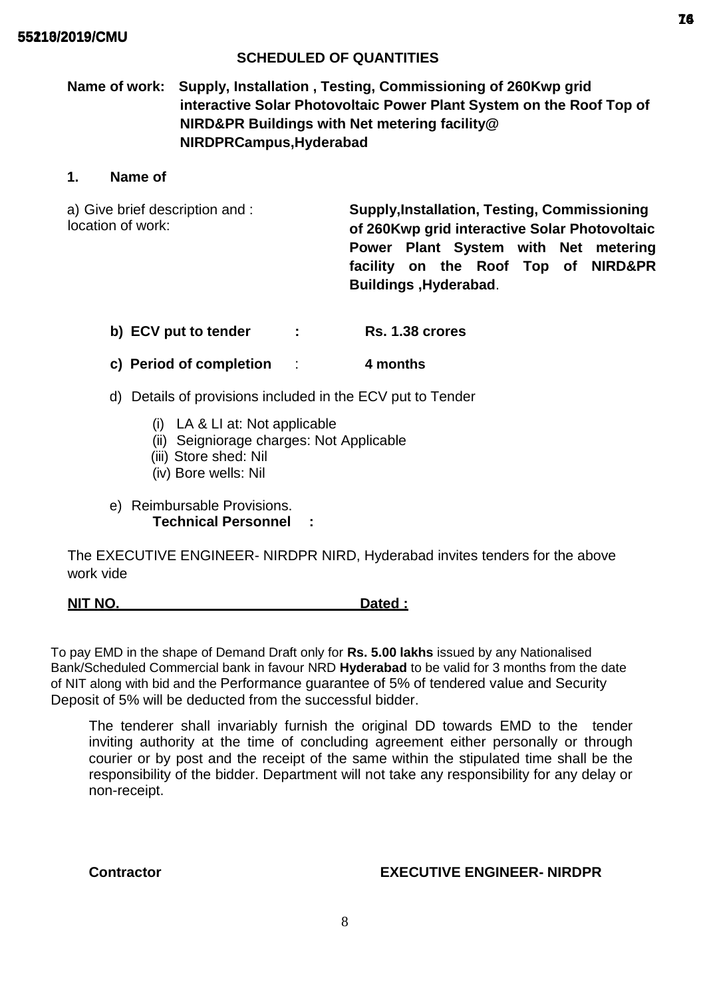## **SCHEDULED OF QUANTITIES**

# **Name of work: Supply, Installation , Testing, Commissioning of 260Kwp grid interactive Solar Photovoltaic Power Plant System on the Roof Top of NIRD&PR Buildings with Net metering facility@ NIRDPRCampus,Hyderabad**

## **1. Name of**

a) Give brief description and : location of work: **Supply,Installation, Testing, Commissioning of 260Kwp grid interactive Solar Photovoltaic Power Plant System with Net metering facility on the Roof Top of NIRD&PR Buildings ,Hyderabad**.

- **b) ECV put to tender : Rs. 1.38 crores**
- **c) Period of completion** : **4 months**
- d) Details of provisions included in the ECV put to Tender
	- (i) LA & LI at: Not applicable
	- (ii) Seigniorage charges: Not Applicable
	- (iii) Store shed: Nil
	- (iv) Bore wells: Nil
- e) Reimbursable Provisions. **Technical Personnel :**

The EXECUTIVE ENGINEER- NIRDPR NIRD, Hyderabad invites tenders for the above work vide

# **NIT NO. Dated :**

To pay EMD in the shape of Demand Draft only for **Rs. 5.00 lakhs** issued by any Nationalised Bank/Scheduled Commercial bank in favour NRD **Hyderabad** to be valid for 3 months from the date of NIT along with bid and the Performance guarantee of 5% of tendered value and Security Deposit of 5% will be deducted from the successful bidder.

The tenderer shall invariably furnish the original DD towards EMD to the tender inviting authority at the time of concluding agreement either personally or through courier or by post and the receipt of the same within the stipulated time shall be the responsibility of the bidder. Department will not take any responsibility for any delay or non-receipt.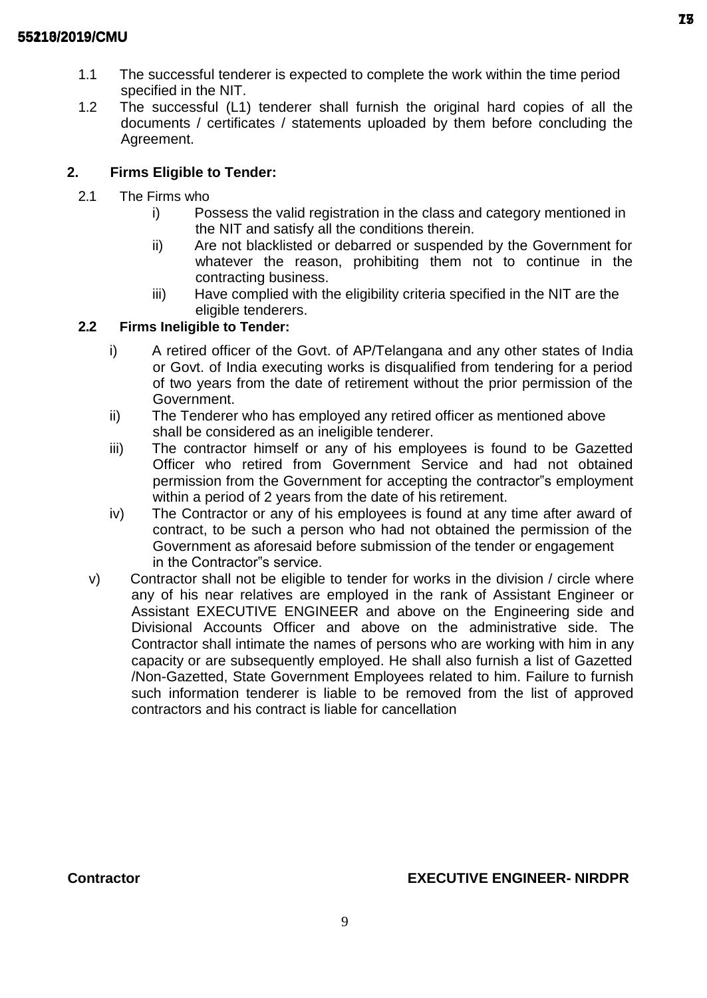- 1.1 The successful tenderer is expected to complete the work within the time period specified in the NIT.
- 1.2 The successful (L1) tenderer shall furnish the original hard copies of all the documents / certificates / statements uploaded by them before concluding the Agreement.

# **2. Firms Eligible to Tender:**

- 2.1 The Firms who
	- i) Possess the valid registration in the class and category mentioned in the NIT and satisfy all the conditions therein.
	- ii) Are not blacklisted or debarred or suspended by the Government for whatever the reason, prohibiting them not to continue in the contracting business.
	- iii) Have complied with the eligibility criteria specified in the NIT are the eligible tenderers.

# **2.2 Firms Ineligible to Tender:**

- i) A retired officer of the Govt. of AP/Telangana and any other states of India or Govt. of India executing works is disqualified from tendering for a period of two years from the date of retirement without the prior permission of the Government.
- ii) The Tenderer who has employed any retired officer as mentioned above shall be considered as an ineligible tenderer.
- iii) The contractor himself or any of his employees is found to be Gazetted Officer who retired from Government Service and had not obtained permission from the Government for accepting the contractor"s employment within a period of 2 years from the date of his retirement.
- iv) The Contractor or any of his employees is found at any time after award of contract, to be such a person who had not obtained the permission of the Government as aforesaid before submission of the tender or engagement in the Contractor"s service.
- v) Contractor shall not be eligible to tender for works in the division / circle where any of his near relatives are employed in the rank of Assistant Engineer or Assistant EXECUTIVE ENGINEER and above on the Engineering side and Divisional Accounts Officer and above on the administrative side. The Contractor shall intimate the names of persons who are working with him in any capacity or are subsequently employed. He shall also furnish a list of Gazetted /Non-Gazetted, State Government Employees related to him. Failure to furnish such information tenderer is liable to be removed from the list of approved contractors and his contract is liable for cancellation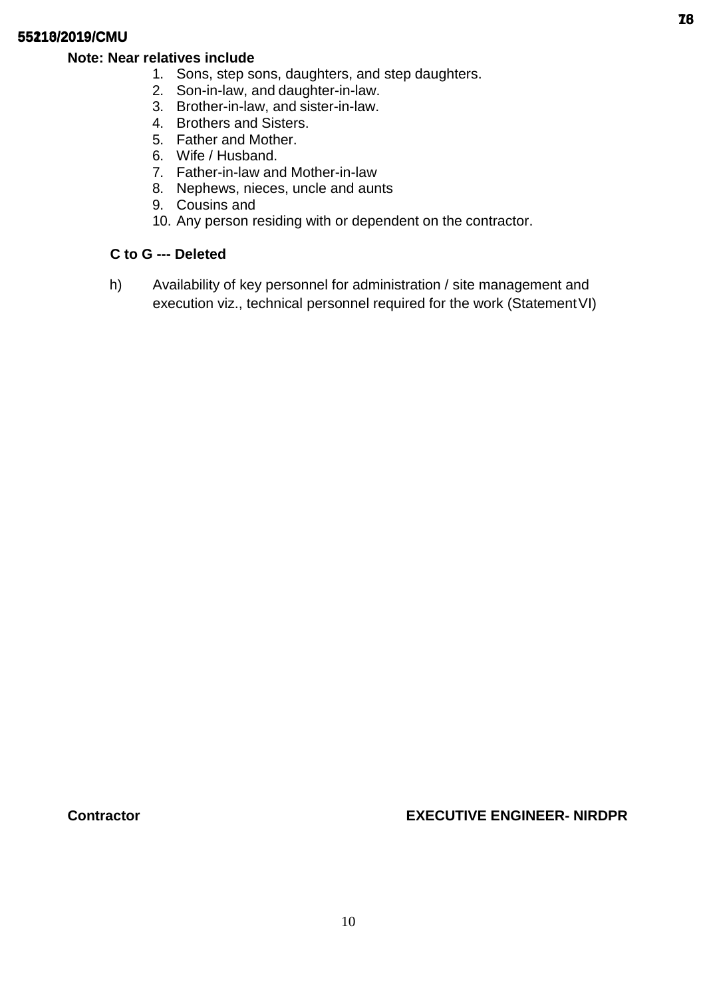## **Note: Near relatives include**

- 1. Sons, step sons, daughters, and step daughters.
- 2. Son-in-law, and daughter-in-law.
- 3. Brother-in-law, and sister-in-law.
- 4. Brothers and Sisters.
- 5. Father and Mother.
- 6. Wife / Husband.
- 7. Father-in-law and Mother-in-law
- 8. Nephews, nieces, uncle and aunts
- 9. Cousins and
- 10. Any person residing with or dependent on the contractor.

## **C to G --- Deleted**

h) Availability of key personnel for administration / site management and execution viz., technical personnel required for the work (Statement VI)

**Contractor EXECUTIVE ENGINEER- NIRDPR**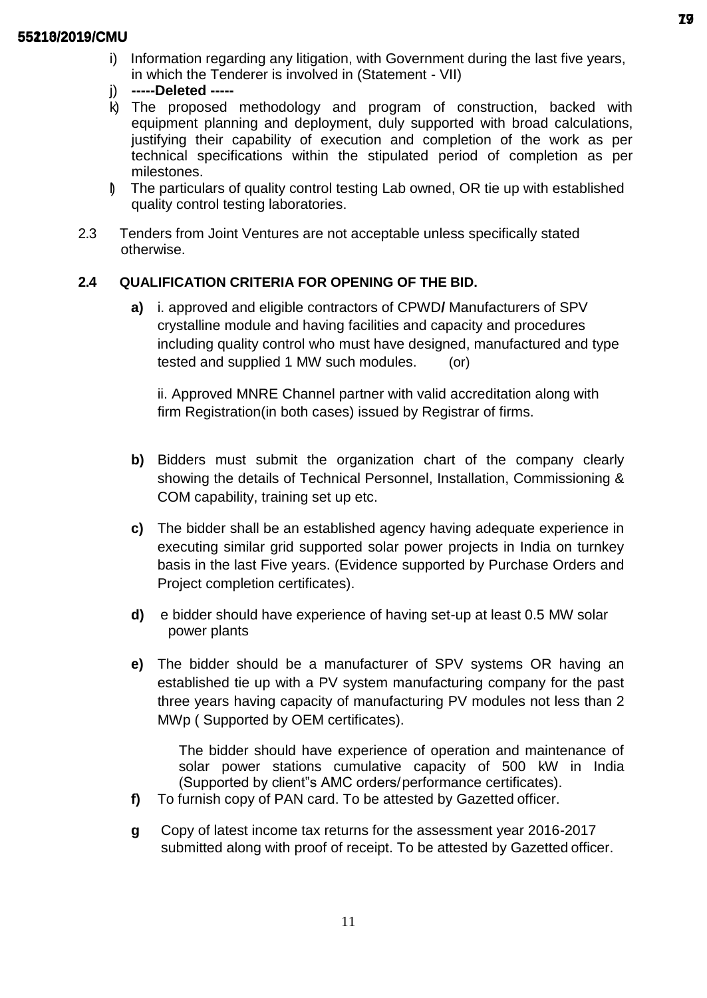- i) Information regarding any litigation, with Government during the last five years, in which the Tenderer is involved in (Statement - VII)
- j) **-----Deleted -----**
- k) The proposed methodology and program of construction, backed with equipment planning and deployment, duly supported with broad calculations, justifying their capability of execution and completion of the work as per technical specifications within the stipulated period of completion as per milestones.
- l) The particulars of quality control testing Lab owned, OR tie up with established quality control testing laboratories.
- 2.3 Tenders from Joint Ventures are not acceptable unless specifically stated otherwise.

## **2.4 QUALIFICATION CRITERIA FOR OPENING OF THE BID.**

**a)** i. approved and eligible contractors of CPWD**/** Manufacturers of SPV crystalline module and having facilities and capacity and procedures including quality control who must have designed, manufactured and type tested and supplied 1 MW such modules. (or)

ii. Approved MNRE Channel partner with valid accreditation along with firm Registration(in both cases) issued by Registrar of firms.

- **b)** Bidders must submit the organization chart of the company clearly showing the details of Technical Personnel, Installation, Commissioning & COM capability, training set up etc.
- **c)** The bidder shall be an established agency having adequate experience in executing similar grid supported solar power projects in India on turnkey basis in the last Five years. (Evidence supported by Purchase Orders and Project completion certificates).
- **d)** e bidder should have experience of having set-up at least 0.5 MW solar power plants
- **e)** The bidder should be a manufacturer of SPV systems OR having an established tie up with a PV system manufacturing company for the past three years having capacity of manufacturing PV modules not less than 2 MWp ( Supported by OEM certificates).

The bidder should have experience of operation and maintenance of solar power stations cumulative capacity of 500 kW in India (Supported by client"s AMC orders/performance certificates).

- **f)** To furnish copy of PAN card. To be attested by Gazetted officer.
- **g** Copy of latest income tax returns for the assessment year 2016-2017 submitted along with proof of receipt. To be attested by Gazetted officer.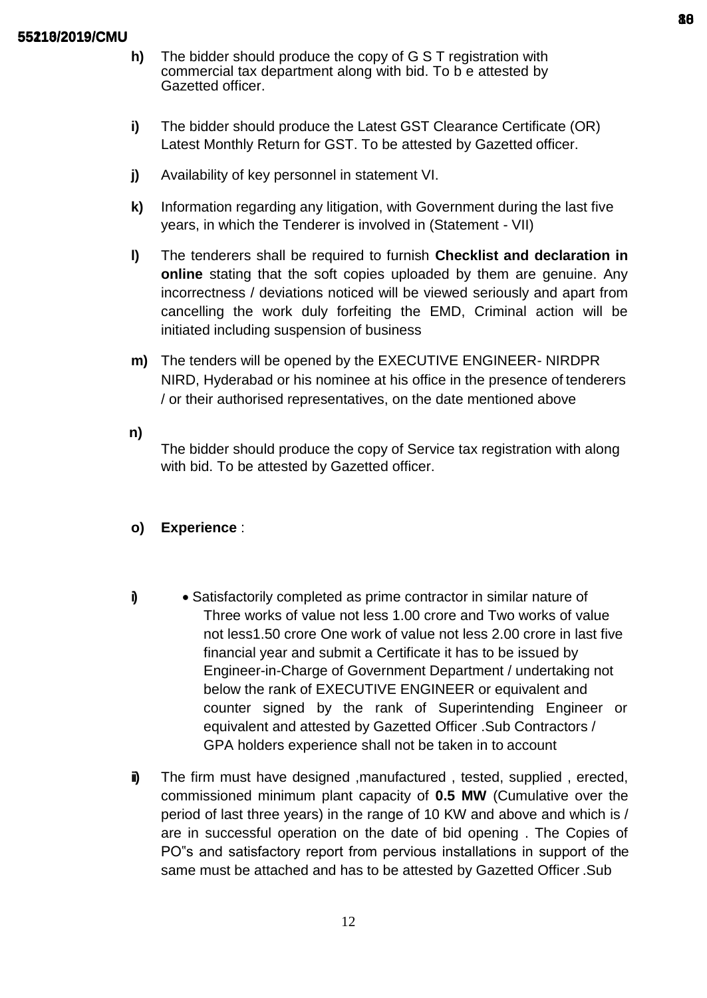- **h)** The bidder should produce the copy of G S T registration with commercial tax department along with bid. To b e attested by Gazetted officer.
- **i)** The bidder should produce the Latest GST Clearance Certificate (OR) Latest Monthly Return for GST. To be attested by Gazetted officer.
- **j)** Availability of key personnel in statement VI.
- **k)** Information regarding any litigation, with Government during the last five years, in which the Tenderer is involved in (Statement - VII)
- **l)** The tenderers shall be required to furnish **Checklist and declaration in online** stating that the soft copies uploaded by them are genuine. Any incorrectness / deviations noticed will be viewed seriously and apart from cancelling the work duly forfeiting the EMD, Criminal action will be initiated including suspension of business
- **m)** The tenders will be opened by the EXECUTIVE ENGINEER- NIRDPR NIRD, Hyderabad or his nominee at his office in the presence of tenderers / or their authorised representatives, on the date mentioned above

**n)**

The bidder should produce the copy of Service tax registration with along with bid. To be attested by Gazetted officer.

## **o) Experience** :

- **i)** Satisfactorily completed as prime contractor in similar nature of Three works of value not less 1.00 crore and Two works of value not less1.50 crore One work of value not less 2.00 crore in last five financial year and submit a Certificate it has to be issued by Engineer-in-Charge of Government Department / undertaking not below the rank of EXECUTIVE ENGINEER or equivalent and counter signed by the rank of Superintending Engineer or equivalent and attested by Gazetted Officer .Sub Contractors / GPA holders experience shall not be taken in to account
- **ii**) The firm must have designed ,manufactured, tested, supplied, erected, commissioned minimum plant capacity of **0.5 MW** (Cumulative over the period of last three years) in the range of 10 KW and above and which is / are in successful operation on the date of bid opening . The Copies of PO"s and satisfactory report from pervious installations in support of the same must be attached and has to be attested by Gazetted Officer .Sub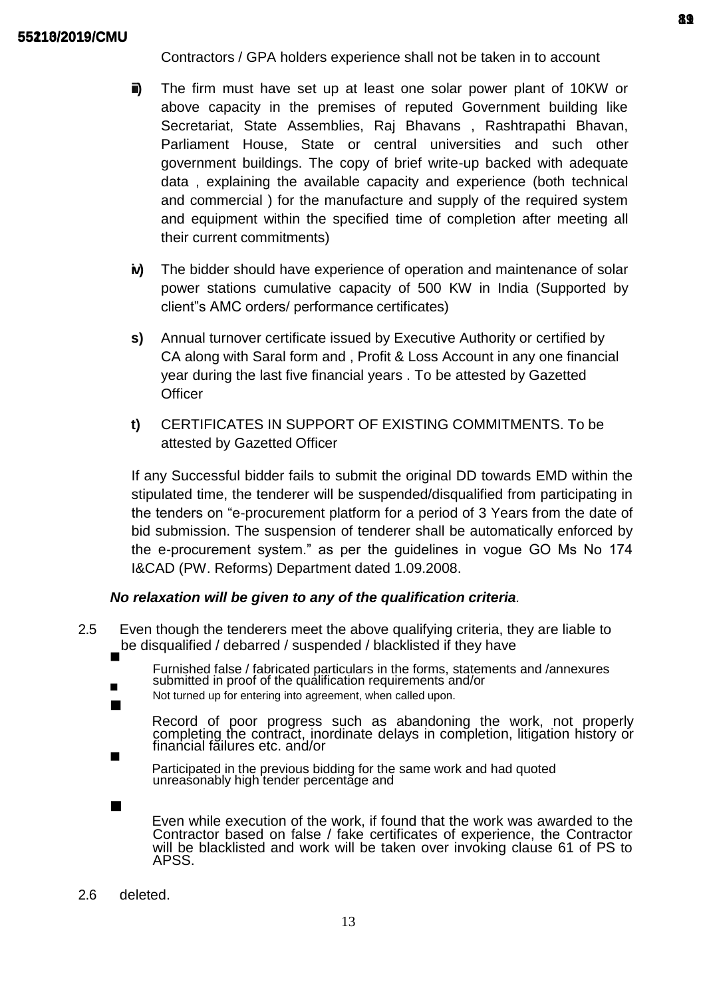Contractors / GPA holders experience shall not be taken in to account

- **iii)** The firm must have set up at least one solar power plant of 10KW or above capacity in the premises of reputed Government building like Secretariat, State Assemblies, Raj Bhavans , Rashtrapathi Bhavan, Parliament House, State or central universities and such other government buildings. The copy of brief write-up backed with adequate data , explaining the available capacity and experience (both technical and commercial ) for the manufacture and supply of the required system and equipment within the specified time of completion after meeting all their current commitments)
- **iv)** The bidder should have experience of operation and maintenance of solar power stations cumulative capacity of 500 KW in India (Supported by client"s AMC orders/ performance certificates)
- **s)** Annual turnover certificate issued by Executive Authority or certified by CA along with Saral form and , Profit & Loss Account in any one financial year during the last five financial years . To be attested by Gazetted **Officer**
- **t)** CERTIFICATES IN SUPPORT OF EXISTING COMMITMENTS. To be attested by Gazetted Officer

If any Successful bidder fails to submit the original DD towards EMD within the stipulated time, the tenderer will be suspended/disqualified from participating in the tenders on "e-procurement platform for a period of 3 Years from the date of bid submission. The suspension of tenderer shall be automatically enforced by the e-procurement system." as per the guidelines in vogue GO Ms No 174 I&CAD (PW. Reforms) Department dated 1.09.2008.

## *No relaxation will be given to any of the qualification criteria.*

2.5 Even though the tenderers meet the above qualifying criteria, they are liable to be disqualified / debarred / suspended / blacklisted if they have 

Furnished false / fabricated particulars in the forms, statements and /annexures submitted in proof of the qualification requirements and/or

Not turned up for entering into agreement, when called upon. 

Record of poor progress such as abandoning the work, not properly completing the contract, inordinate delays in completion, litigation history or financial failures etc. and/or

Participated in the previous bidding for the same work and had quoted unreasonably high tender percentage and

Even while execution of the work, if found that the work was awarded to the Contractor based on false / fake certificates of experience, the Contractor will be blacklisted and work will be taken over invoking clause 61 of PS to APSS.

2.6 deleted.

 $\blacksquare$ 

П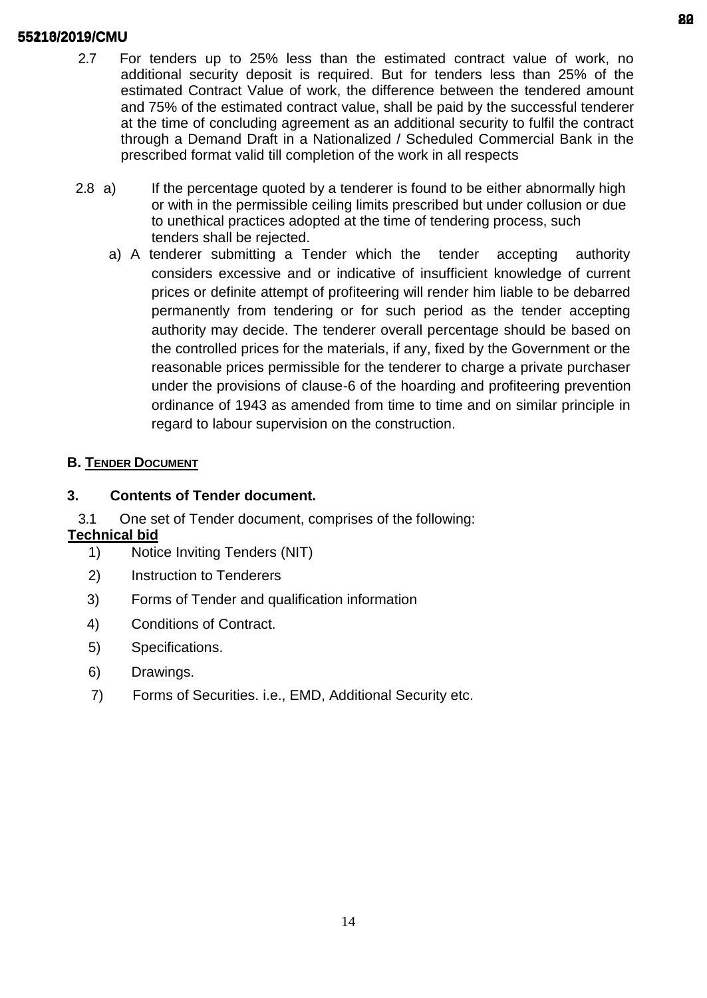- 2.7 For tenders up to 25% less than the estimated contract value of work, no additional security deposit is required. But for tenders less than 25% of the estimated Contract Value of work, the difference between the tendered amount and 75% of the estimated contract value, shall be paid by the successful tenderer at the time of concluding agreement as an additional security to fulfil the contract through a Demand Draft in a Nationalized / Scheduled Commercial Bank in the prescribed format valid till completion of the work in all respects
- 2.8 a) If the percentage quoted by a tenderer is found to be either abnormally high or with in the permissible ceiling limits prescribed but under collusion or due to unethical practices adopted at the time of tendering process, such tenders shall be rejected.
	- a) A tenderer submitting a Tender which the tender accepting authority considers excessive and or indicative of insufficient knowledge of current prices or definite attempt of profiteering will render him liable to be debarred permanently from tendering or for such period as the tender accepting authority may decide. The tenderer overall percentage should be based on the controlled prices for the materials, if any, fixed by the Government or the reasonable prices permissible for the tenderer to charge a private purchaser under the provisions of clause-6 of the hoarding and profiteering prevention ordinance of 1943 as amended from time to time and on similar principle in regard to labour supervision on the construction.

# **B. TENDER DOCUMENT**

# **3. Contents of Tender document.**

3.1 One set of Tender document, comprises of the following:

# **Technical bid**

- 1) Notice Inviting Tenders (NIT)
- 2) Instruction to Tenderers
- 3) Forms of Tender and qualification information
- 4) Conditions of Contract.
- 5) Specifications.
- 6) Drawings.
- 7) Forms of Securities. i.e., EMD, Additional Security etc.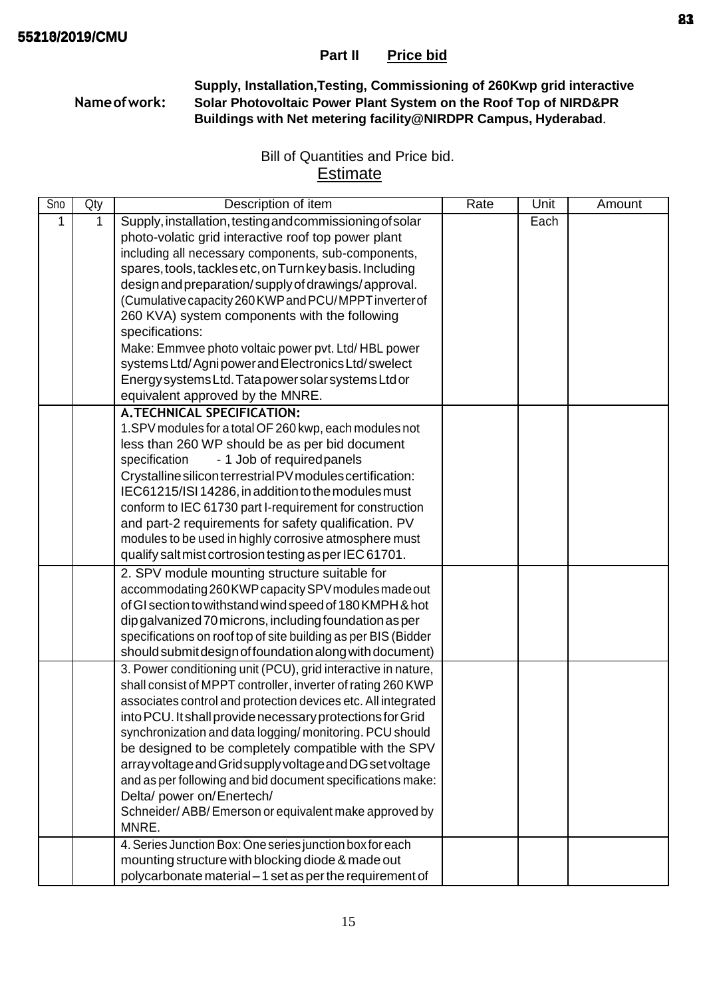**Supply, Installation,Testing, Commissioning of 260Kwp grid interactive Nameofwork: Solar Photovoltaic Power Plant System on the Roof Top of NIRD&PR Buildings with Net metering facility@NIRDPR Campus, Hyderabad**.

# Bill of Quantities and Price bid. **Estimate**

| Sno | Qty | Description of item                                            | Rate | Unit | Amount |
|-----|-----|----------------------------------------------------------------|------|------|--------|
| 1   | 1   | Supply, installation, testing and commissioning of solar       |      | Each |        |
|     |     | photo-volatic grid interactive roof top power plant            |      |      |        |
|     |     | including all necessary components, sub-components,            |      |      |        |
|     |     | spares, tools, tackles etc, on Turn key basis. Including       |      |      |        |
|     |     | design and preparation/supply of drawings/approval.            |      |      |        |
|     |     | (Cumulative capacity 260 KWP and PCU/MPPT inverter of          |      |      |        |
|     |     | 260 KVA) system components with the following                  |      |      |        |
|     |     | specifications:                                                |      |      |        |
|     |     | Make: Emmvee photo voltaic power pvt. Ltd/HBL power            |      |      |        |
|     |     | systems Ltd/Agnipower and Electronics Ltd/swelect              |      |      |        |
|     |     | Energy systems Ltd. Tata power solar systems Ltd or            |      |      |        |
|     |     | equivalent approved by the MNRE.                               |      |      |        |
|     |     | <b>A.TECHNICAL SPECIFICATION:</b>                              |      |      |        |
|     |     | 1.SPV modules for a total OF 260 kwp, each modules not         |      |      |        |
|     |     | less than 260 WP should be as per bid document                 |      |      |        |
|     |     | specification<br>- 1 Job of required panels                    |      |      |        |
|     |     | Crystalline silicon terrestrial PV modules certification:      |      |      |        |
|     |     | IEC61215/ISI 14286, in addition to the modules must            |      |      |        |
|     |     | conform to IEC 61730 part I-requirement for construction       |      |      |        |
|     |     | and part-2 requirements for safety qualification. PV           |      |      |        |
|     |     | modules to be used in highly corrosive atmosphere must         |      |      |        |
|     |     | qualify salt mist cortrosion testing as per IEC 61701.         |      |      |        |
|     |     | 2. SPV module mounting structure suitable for                  |      |      |        |
|     |     | accommodating 260 KWP capacity SPV modules made out            |      |      |        |
|     |     | of GI section to withstand wind speed of 180 KMPH & hot        |      |      |        |
|     |     | dip galvanized 70 microns, including foundation as per         |      |      |        |
|     |     | specifications on roof top of site building as per BIS (Bidder |      |      |        |
|     |     | should submit design of foundation along with document)        |      |      |        |
|     |     | 3. Power conditioning unit (PCU), grid interactive in nature,  |      |      |        |
|     |     | shall consist of MPPT controller, inverter of rating 260 KWP   |      |      |        |
|     |     | associates control and protection devices etc. All integrated  |      |      |        |
|     |     | into PCU. It shall provide necessary protections for Grid      |      |      |        |
|     |     | synchronization and data logging/monitoring. PCU should        |      |      |        |
|     |     | be designed to be completely compatible with the SPV           |      |      |        |
|     |     | array voltage and Grid supply voltage and DG set voltage       |      |      |        |
|     |     | and as per following and bid document specifications make:     |      |      |        |
|     |     | Delta/ power on/Enertech/                                      |      |      |        |
|     |     | Schneider/ABB/Emerson or equivalent make approved by           |      |      |        |
|     |     | MNRE.                                                          |      |      |        |
|     |     | 4. Series Junction Box: One series junction box for each       |      |      |        |
|     |     | mounting structure with blocking diode & made out              |      |      |        |
|     |     | polycarbonate material - 1 set as per the requirement of       |      |      |        |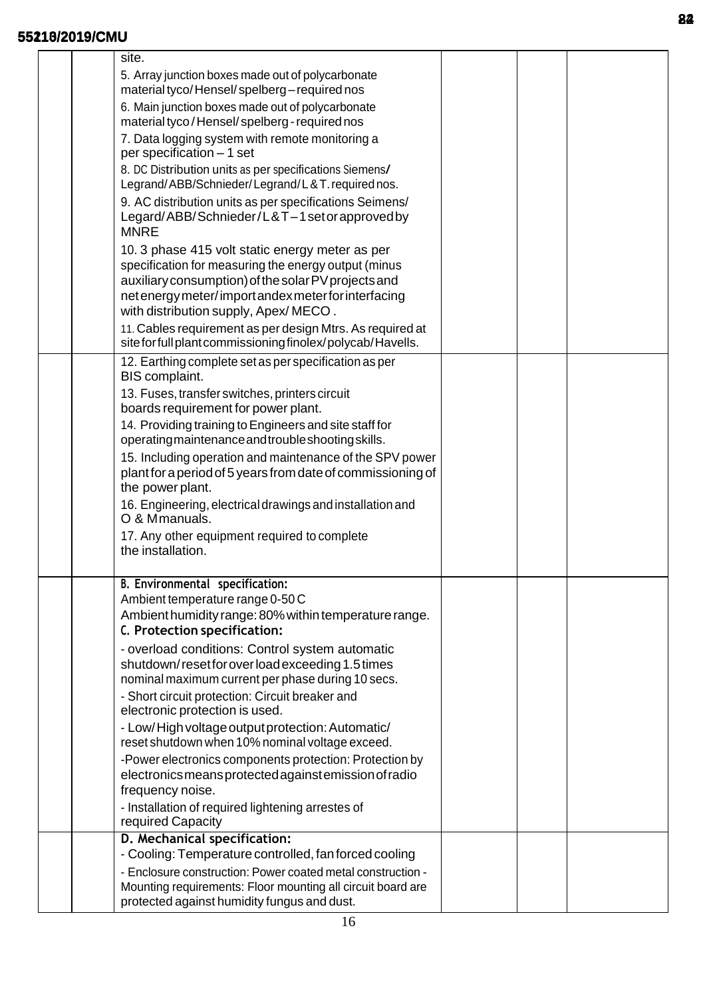| site.                                                                                                                                                                                                                                                                                                                                                                                    |  |  |
|------------------------------------------------------------------------------------------------------------------------------------------------------------------------------------------------------------------------------------------------------------------------------------------------------------------------------------------------------------------------------------------|--|--|
| 5. Array junction boxes made out of polycarbonate<br>material tyco/Hensel/spelberg-required nos                                                                                                                                                                                                                                                                                          |  |  |
| 6. Main junction boxes made out of polycarbonate<br>material tyco/Hensel/spelberg-required nos                                                                                                                                                                                                                                                                                           |  |  |
| 7. Data logging system with remote monitoring a<br>per specification - 1 set                                                                                                                                                                                                                                                                                                             |  |  |
| 8. DC Distribution units as per specifications Siemens/<br>Legrand/ABB/Schnieder/Legrand/L&T.requirednos.                                                                                                                                                                                                                                                                                |  |  |
| 9. AC distribution units as per specifications Seimens/<br>Legard/ABB/Schnieder/L&T-1setorapprovedby<br><b>MNRE</b>                                                                                                                                                                                                                                                                      |  |  |
| 10. 3 phase 415 volt static energy meter as per<br>specification for measuring the energy output (minus<br>auxiliary consumption) of the solar PV projects and<br>net energy meter/import andex meter for interfacing<br>with distribution supply, Apex/MECO.<br>11. Cables requirement as per design Mtrs. As required at<br>site for full plant commissioning finolex/polycab/Havells. |  |  |
| 12. Earthing complete set as per specification as per<br>BIS complaint.                                                                                                                                                                                                                                                                                                                  |  |  |
| 13. Fuses, transfer switches, printers circuit<br>boards requirement for power plant.                                                                                                                                                                                                                                                                                                    |  |  |
| 14. Providing training to Engineers and site staff for<br>operating maintenance and trouble shooting skills.                                                                                                                                                                                                                                                                             |  |  |
| 15. Including operation and maintenance of the SPV power<br>plant for a period of 5 years from date of commissioning of<br>the power plant.                                                                                                                                                                                                                                              |  |  |
| 16. Engineering, electrical drawings and installation and<br>O & Mmanuals.                                                                                                                                                                                                                                                                                                               |  |  |
| 17. Any other equipment required to complete<br>the installation.                                                                                                                                                                                                                                                                                                                        |  |  |
| B. Environmental specification:                                                                                                                                                                                                                                                                                                                                                          |  |  |
| Ambient temperature range 0-50 C<br>Ambient humidity range: 80% within temperature range.<br>C. Protection specification:                                                                                                                                                                                                                                                                |  |  |
| - overload conditions: Control system automatic<br>shutdown/resetfor overload exceeding 1.5 times<br>nominal maximum current per phase during 10 secs.<br>- Short circuit protection: Circuit breaker and<br>electronic protection is used.                                                                                                                                              |  |  |
| - Low/High voltage output protection: Automatic/<br>reset shutdown when 10% nominal voltage exceed.                                                                                                                                                                                                                                                                                      |  |  |
| -Power electronics components protection: Protection by<br>electronics means protected against emission of radio<br>frequency noise.                                                                                                                                                                                                                                                     |  |  |
| - Installation of required lightening arrestes of<br>required Capacity                                                                                                                                                                                                                                                                                                                   |  |  |
| D. Mechanical specification:                                                                                                                                                                                                                                                                                                                                                             |  |  |
| - Cooling: Temperature controlled, fan forced cooling<br>- Enclosure construction: Power coated metal construction -                                                                                                                                                                                                                                                                     |  |  |
| Mounting requirements: Floor mounting all circuit board are<br>protected against humidity fungus and dust.                                                                                                                                                                                                                                                                               |  |  |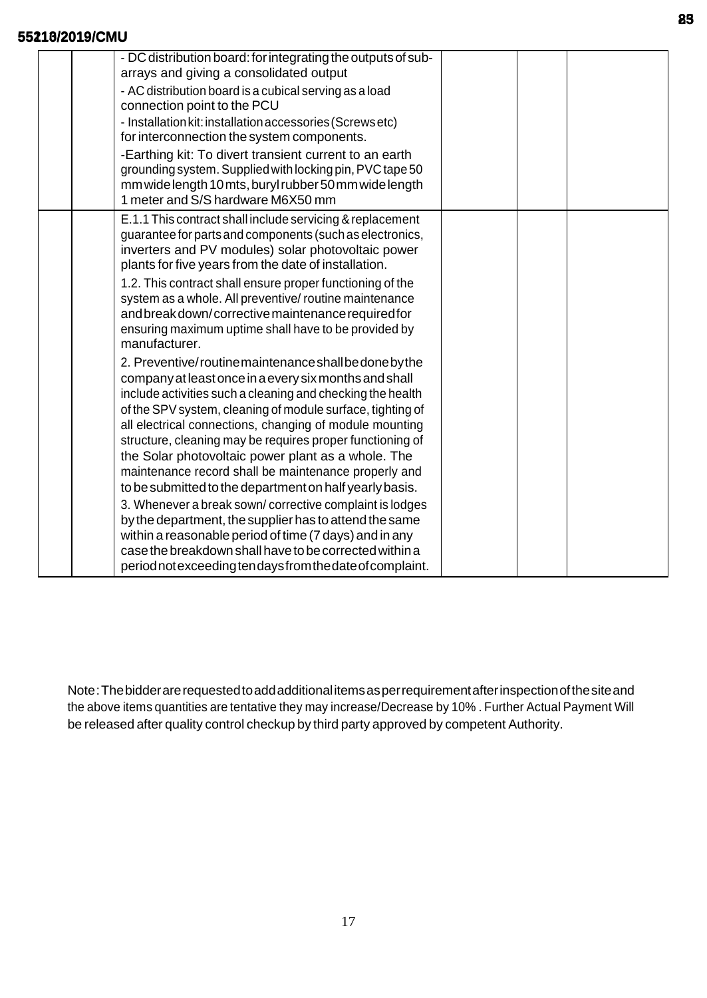| - DC distribution board: for integrating the outputs of sub-<br>arrays and giving a consolidated output<br>- AC distribution board is a cubical serving as a load<br>connection point to the PCU<br>- Installation kit: installation accessories (Screws etc)<br>for interconnection the system components.<br>-Earthing kit: To divert transient current to an earth<br>grounding system. Supplied with locking pin, PVC tape 50<br>mm wide length 10 mts, buryl rubber 50 mm wide length<br>1 meter and S/S hardware M6X50 mm                                                                                                                                                                                                                                                                                                                  |  |  |
|--------------------------------------------------------------------------------------------------------------------------------------------------------------------------------------------------------------------------------------------------------------------------------------------------------------------------------------------------------------------------------------------------------------------------------------------------------------------------------------------------------------------------------------------------------------------------------------------------------------------------------------------------------------------------------------------------------------------------------------------------------------------------------------------------------------------------------------------------|--|--|
| E.1.1 This contract shall include servicing & replacement<br>guarantee for parts and components (such as electronics,<br>inverters and PV modules) solar photovoltaic power<br>plants for five years from the date of installation.<br>1.2. This contract shall ensure proper functioning of the<br>system as a whole. All preventive/ routine maintenance<br>and break down/corrective maintenance required for<br>ensuring maximum uptime shall have to be provided by<br>manufacturer.                                                                                                                                                                                                                                                                                                                                                        |  |  |
| 2. Preventive/routinemaintenance shall be done by the<br>company at least once in a every six months and shall<br>include activities such a cleaning and checking the health<br>of the SPV system, cleaning of module surface, tighting of<br>all electrical connections, changing of module mounting<br>structure, cleaning may be requires proper functioning of<br>the Solar photovoltaic power plant as a whole. The<br>maintenance record shall be maintenance properly and<br>to be submitted to the department on half yearly basis.<br>3. Whenever a break sown/corrective complaint is lodges<br>by the department, the supplier has to attend the same<br>within a reasonable period of time (7 days) and in any<br>case the breakdown shall have to be corrected within a<br>period not exceeding tendays from the date of complaint. |  |  |

Note:Thebidderarerequestedtoaddadditionalitemsasperrequirementafterinspectionofthesiteand the above items quantities are tentative they may increase/Decrease by 10% . Further Actual Payment Will be released after quality control checkup by third party approved by competent Authority.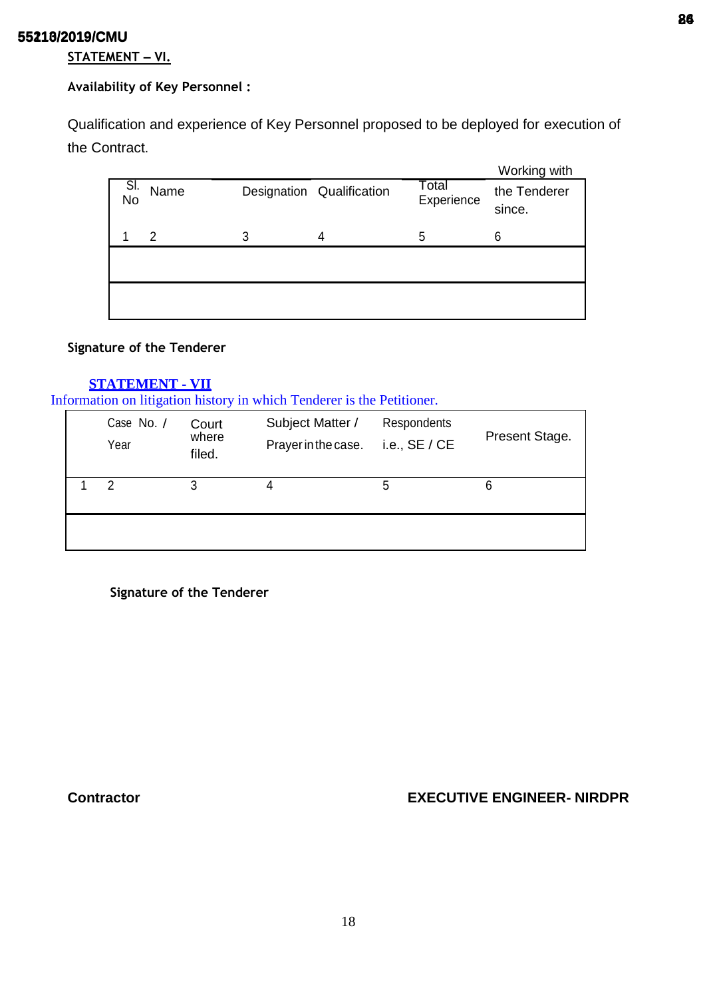# **STATEMENT – VI.**

# **Availability of Key Personnel :**

Qualification and experience of Key Personnel proposed to be deployed for execution of the Contract.

|           |      |   |                           |                     | Working with           |
|-----------|------|---|---------------------------|---------------------|------------------------|
| Sl.<br>No | Name |   | Designation Qualification | Total<br>Experience | the Tenderer<br>since. |
|           | 2    | 3 | 4                         | 5                   | 6                      |
|           |      |   |                           |                     |                        |
|           |      |   |                           |                     |                        |

## **Signature of the Tenderer**

# **STATEMENT - VII**

Information on litigation history in which Tenderer is the Petitioner.

| Case No. /<br>Year | Court<br>where<br>filed. | Subject Matter /<br>Prayer in the case. | Respondents<br>i.e., $SE / CE$ | Present Stage. |
|--------------------|--------------------------|-----------------------------------------|--------------------------------|----------------|
| $\mathcal{P}$      | 3                        | 4                                       | 5                              | 6              |
|                    |                          |                                         |                                |                |

**Signature of the Tenderer**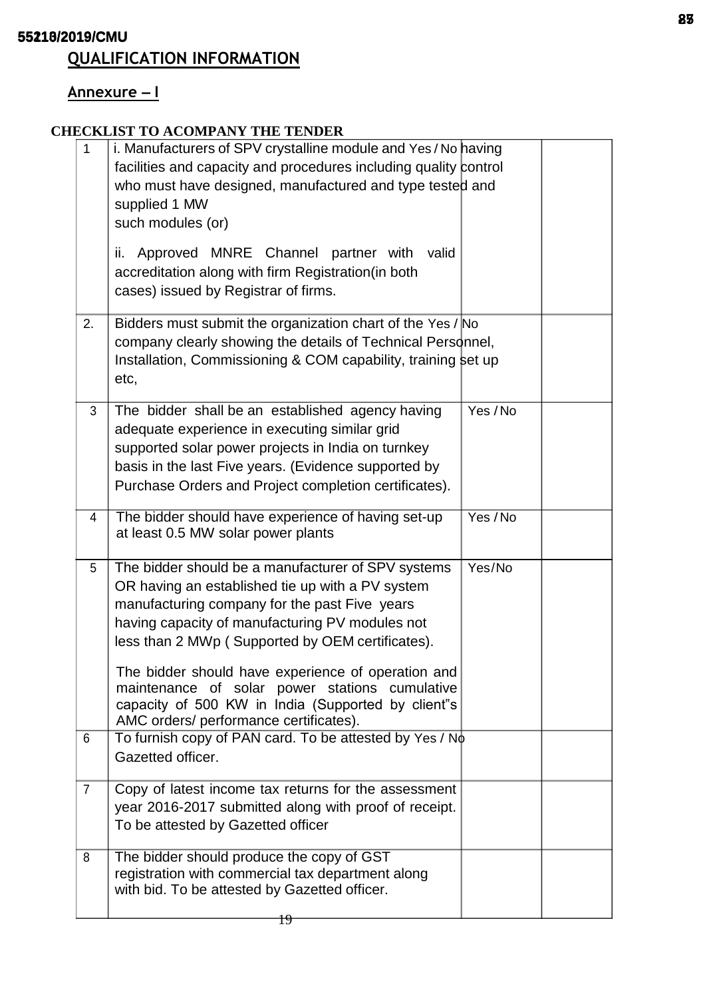# **QUALIFICATION INFORMATION**

# **Annexure – I**

# **CHECKLIST TO ACOMPANY THE TENDER**

| $\mathbf{1}$   | i. Manufacturers of SPV crystalline module and Yes / No having<br>facilities and capacity and procedures including quality control<br>who must have designed, manufactured and type tested and<br>supplied 1 MW<br>such modules (or)<br>Approved MNRE Channel partner with<br>valid<br>ii.<br>accreditation along with firm Registration (in both<br>cases) issued by Registrar of firms.                                                                              |          |  |
|----------------|------------------------------------------------------------------------------------------------------------------------------------------------------------------------------------------------------------------------------------------------------------------------------------------------------------------------------------------------------------------------------------------------------------------------------------------------------------------------|----------|--|
| 2.             | Bidders must submit the organization chart of the Yes / No<br>company clearly showing the details of Technical Personnel,<br>Installation, Commissioning & COM capability, training set up<br>etc,                                                                                                                                                                                                                                                                     |          |  |
| 3              | The bidder shall be an established agency having<br>adequate experience in executing similar grid<br>supported solar power projects in India on turnkey<br>basis in the last Five years. (Evidence supported by<br>Purchase Orders and Project completion certificates).                                                                                                                                                                                               | Yes / No |  |
| 4              | The bidder should have experience of having set-up<br>at least 0.5 MW solar power plants                                                                                                                                                                                                                                                                                                                                                                               | Yes / No |  |
| 5              | The bidder should be a manufacturer of SPV systems<br>OR having an established tie up with a PV system<br>manufacturing company for the past Five years<br>having capacity of manufacturing PV modules not<br>less than 2 MWp (Supported by OEM certificates).<br>The bidder should have experience of operation and<br>maintenance of solar power stations cumulative<br>capacity of 500 KW in India (Supported by client"s<br>AMC orders/ performance certificates). | Yes/No   |  |
| $6\phantom{1}$ | To furnish copy of PAN card. To be attested by Yes / No<br>Gazetted officer.                                                                                                                                                                                                                                                                                                                                                                                           |          |  |
| $\overline{7}$ | Copy of latest income tax returns for the assessment<br>year 2016-2017 submitted along with proof of receipt.<br>To be attested by Gazetted officer                                                                                                                                                                                                                                                                                                                    |          |  |
| 8              | The bidder should produce the copy of GST<br>registration with commercial tax department along<br>with bid. To be attested by Gazetted officer.                                                                                                                                                                                                                                                                                                                        |          |  |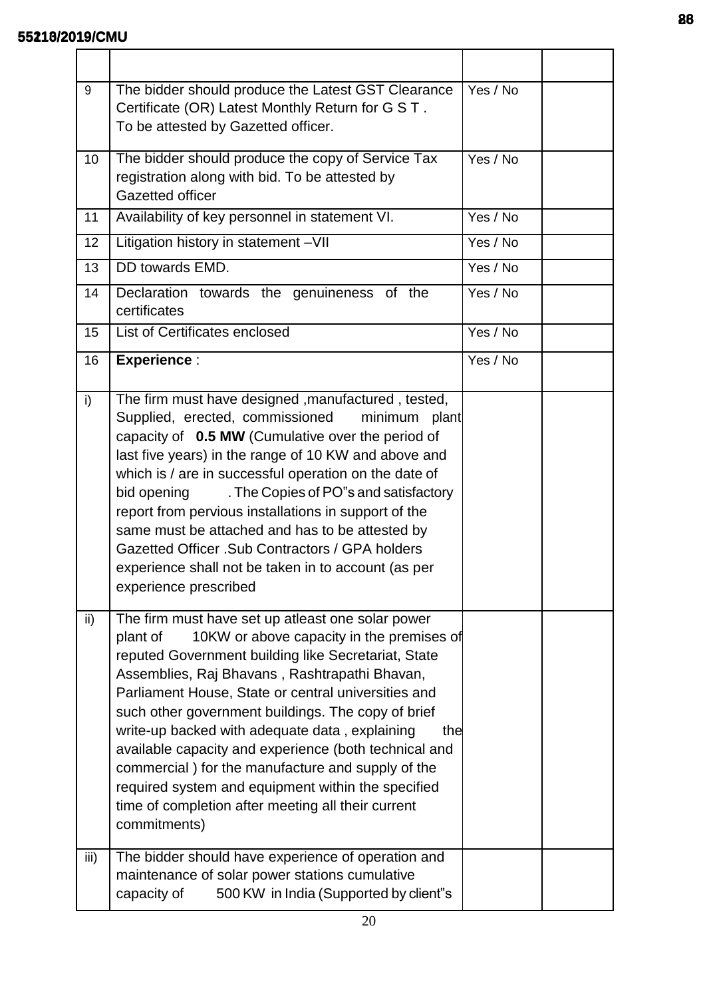| 9               | The bidder should produce the Latest GST Clearance<br>Certificate (OR) Latest Monthly Return for G S T.<br>To be attested by Gazetted officer.                                                                                                                                                                                                                                                                                                                                                                                                                                                                                     | Yes / No |  |
|-----------------|------------------------------------------------------------------------------------------------------------------------------------------------------------------------------------------------------------------------------------------------------------------------------------------------------------------------------------------------------------------------------------------------------------------------------------------------------------------------------------------------------------------------------------------------------------------------------------------------------------------------------------|----------|--|
| 10 <sup>°</sup> | The bidder should produce the copy of Service Tax<br>registration along with bid. To be attested by<br>Gazetted officer                                                                                                                                                                                                                                                                                                                                                                                                                                                                                                            | Yes / No |  |
| 11              | Availability of key personnel in statement VI.                                                                                                                                                                                                                                                                                                                                                                                                                                                                                                                                                                                     | Yes / No |  |
| 12              | Litigation history in statement -VII                                                                                                                                                                                                                                                                                                                                                                                                                                                                                                                                                                                               | Yes / No |  |
| 13              | DD towards EMD.                                                                                                                                                                                                                                                                                                                                                                                                                                                                                                                                                                                                                    | Yes / No |  |
| 14              | Declaration towards the genuineness of the<br>certificates                                                                                                                                                                                                                                                                                                                                                                                                                                                                                                                                                                         | Yes / No |  |
| 15              | List of Certificates enclosed                                                                                                                                                                                                                                                                                                                                                                                                                                                                                                                                                                                                      | Yes / No |  |
| 16              | <b>Experience:</b>                                                                                                                                                                                                                                                                                                                                                                                                                                                                                                                                                                                                                 | Yes / No |  |
| i)              | The firm must have designed , manufactured, tested,<br>Supplied, erected, commissioned<br>minimum<br>plant<br>capacity of 0.5 MW (Cumulative over the period of<br>last five years) in the range of 10 KW and above and<br>which is / are in successful operation on the date of<br>. The Copies of PO"s and satisfactory<br>bid opening<br>report from pervious installations in support of the<br>same must be attached and has to be attested by<br>Gazetted Officer . Sub Contractors / GPA holders<br>experience shall not be taken in to account (as per<br>experience prescribed                                            |          |  |
| ii)             | The firm must have set up atleast one solar power<br>plant of<br>10KW or above capacity in the premises of<br>reputed Government building like Secretariat, State<br>Assemblies, Raj Bhavans, Rashtrapathi Bhavan,<br>Parliament House, State or central universities and<br>such other government buildings. The copy of brief<br>write-up backed with adequate data, explaining<br>the<br>available capacity and experience (both technical and<br>commercial) for the manufacture and supply of the<br>required system and equipment within the specified<br>time of completion after meeting all their current<br>commitments) |          |  |
| iii)            | The bidder should have experience of operation and<br>maintenance of solar power stations cumulative<br>500 KW in India (Supported by client"s<br>capacity of                                                                                                                                                                                                                                                                                                                                                                                                                                                                      |          |  |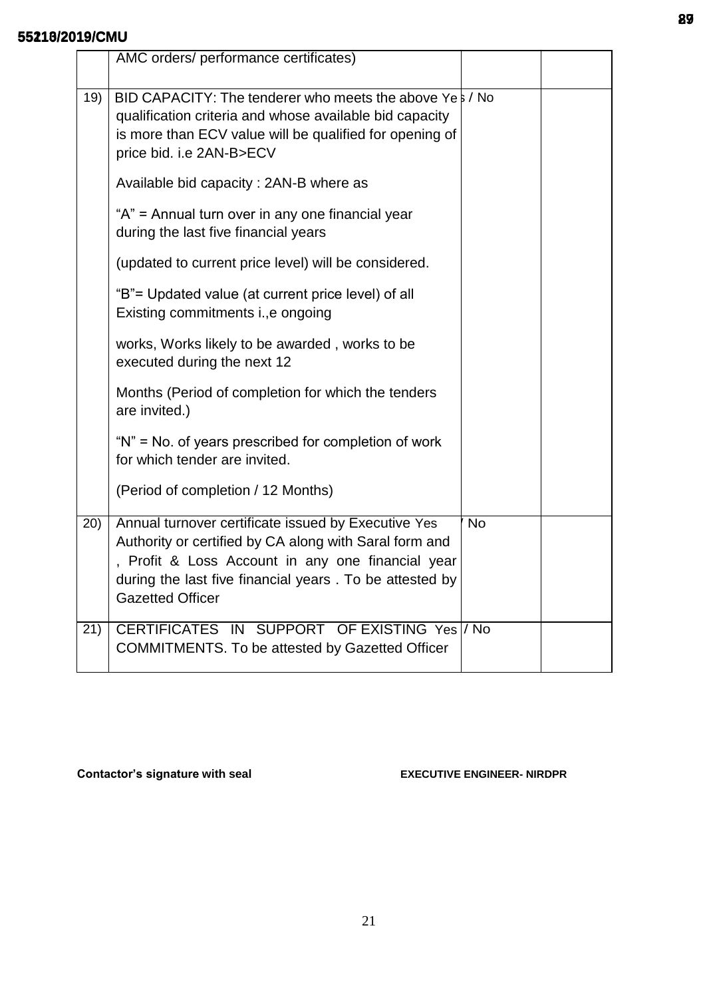|     | AMC orders/ performance certificates)                                                                                                                                                                                                                     |           |  |
|-----|-----------------------------------------------------------------------------------------------------------------------------------------------------------------------------------------------------------------------------------------------------------|-----------|--|
| 19) | BID CAPACITY: The tenderer who meets the above Yes / No<br>qualification criteria and whose available bid capacity<br>is more than ECV value will be qualified for opening of<br>price bid. i.e 2AN-B>ECV                                                 |           |  |
|     | Available bid capacity: 2AN-B where as                                                                                                                                                                                                                    |           |  |
|     | "A" = Annual turn over in any one financial year<br>during the last five financial years                                                                                                                                                                  |           |  |
|     | (updated to current price level) will be considered.                                                                                                                                                                                                      |           |  |
|     | "B"= Updated value (at current price level) of all<br>Existing commitments i., e ongoing                                                                                                                                                                  |           |  |
|     | works, Works likely to be awarded, works to be<br>executed during the next 12                                                                                                                                                                             |           |  |
|     | Months (Period of completion for which the tenders<br>are invited.)                                                                                                                                                                                       |           |  |
|     | "N" = No. of years prescribed for completion of work<br>for which tender are invited.                                                                                                                                                                     |           |  |
|     | (Period of completion / 12 Months)                                                                                                                                                                                                                        |           |  |
| 20) | Annual turnover certificate issued by Executive Yes<br>Authority or certified by CA along with Saral form and<br>, Profit & Loss Account in any one financial year<br>during the last five financial years . To be attested by<br><b>Gazetted Officer</b> | <b>No</b> |  |
| 21) | CERTIFICATES IN SUPPORT OF EXISTING Yes // No<br><b>COMMITMENTS.</b> To be attested by Gazetted Officer                                                                                                                                                   |           |  |

**Contactor's signature with seal EXECUTIVE ENGINEER- NIRDPR**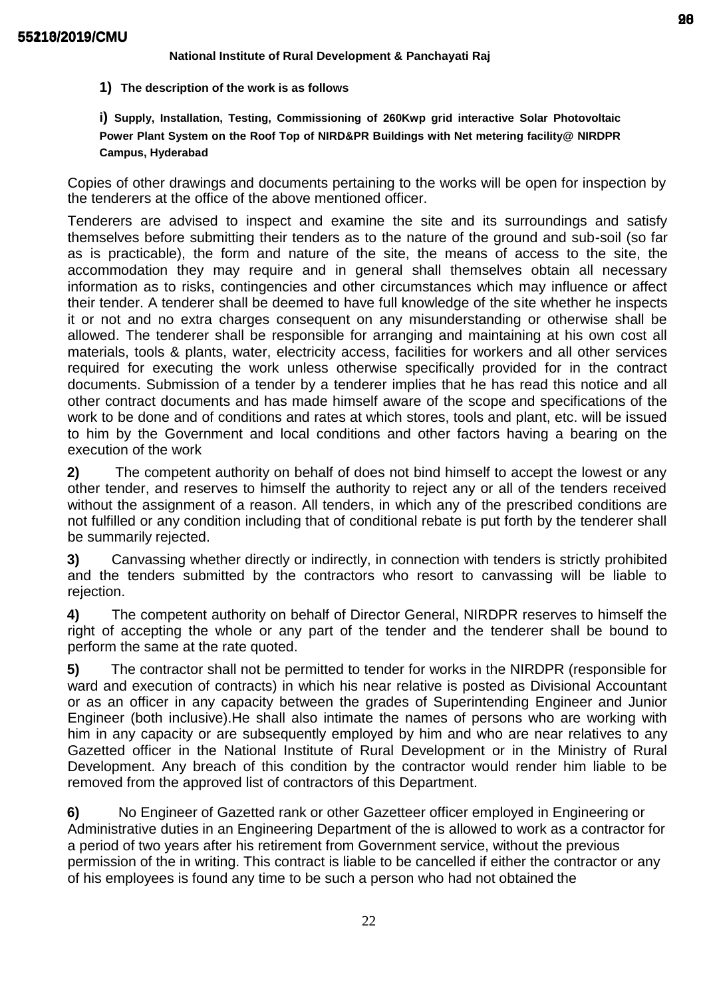## **National Institute of Rural Development & Panchayati Raj**

**1) The description of the work is as follows**

**i) Supply, Installation, Testing, Commissioning of 260Kwp grid interactive Solar Photovoltaic Power Plant System on the Roof Top of NIRD&PR Buildings with Net metering facility@ NIRDPR Campus, Hyderabad**

Copies of other drawings and documents pertaining to the works will be open for inspection by the tenderers at the office of the above mentioned officer.

Tenderers are advised to inspect and examine the site and its surroundings and satisfy themselves before submitting their tenders as to the nature of the ground and sub-soil (so far as is practicable), the form and nature of the site, the means of access to the site, the accommodation they may require and in general shall themselves obtain all necessary information as to risks, contingencies and other circumstances which may influence or affect their tender. A tenderer shall be deemed to have full knowledge of the site whether he inspects it or not and no extra charges consequent on any misunderstanding or otherwise shall be allowed. The tenderer shall be responsible for arranging and maintaining at his own cost all materials, tools & plants, water, electricity access, facilities for workers and all other services required for executing the work unless otherwise specifically provided for in the contract documents. Submission of a tender by a tenderer implies that he has read this notice and all other contract documents and has made himself aware of the scope and specifications of the work to be done and of conditions and rates at which stores, tools and plant, etc. will be issued to him by the Government and local conditions and other factors having a bearing on the execution of the work

**2)** The competent authority on behalf of does not bind himself to accept the lowest or any other tender, and reserves to himself the authority to reject any or all of the tenders received without the assignment of a reason. All tenders, in which any of the prescribed conditions are not fulfilled or any condition including that of conditional rebate is put forth by the tenderer shall be summarily rejected.

**3)** Canvassing whether directly or indirectly, in connection with tenders is strictly prohibited and the tenders submitted by the contractors who resort to canvassing will be liable to rejection.

**4)** The competent authority on behalf of Director General, NIRDPR reserves to himself the right of accepting the whole or any part of the tender and the tenderer shall be bound to perform the same at the rate quoted.

**5)** The contractor shall not be permitted to tender for works in the NIRDPR (responsible for ward and execution of contracts) in which his near relative is posted as Divisional Accountant or as an officer in any capacity between the grades of Superintending Engineer and Junior Engineer (both inclusive).He shall also intimate the names of persons who are working with him in any capacity or are subsequently employed by him and who are near relatives to any Gazetted officer in the National Institute of Rural Development or in the Ministry of Rural Development. Any breach of this condition by the contractor would render him liable to be removed from the approved list of contractors of this Department.

**6)** No Engineer of Gazetted rank or other Gazetteer officer employed in Engineering or Administrative duties in an Engineering Department of the is allowed to work as a contractor for a period of two years after his retirement from Government service, without the previous permission of the in writing. This contract is liable to be cancelled if either the contractor or any of his employees is found any time to be such a person who had not obtained the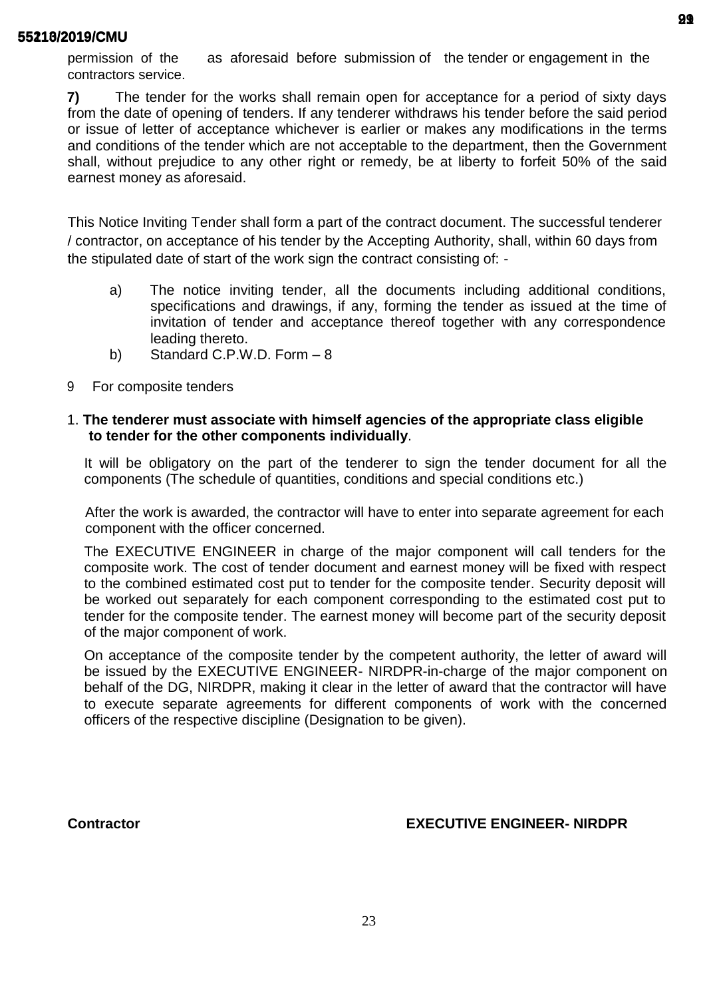permission of the as aforesaid before submission of the tender or engagement in the contractors service.

**7)** The tender for the works shall remain open for acceptance for a period of sixty days from the date of opening of tenders. If any tenderer withdraws his tender before the said period or issue of letter of acceptance whichever is earlier or makes any modifications in the terms and conditions of the tender which are not acceptable to the department, then the Government shall, without prejudice to any other right or remedy, be at liberty to forfeit 50% of the said earnest money as aforesaid.

This Notice Inviting Tender shall form a part of the contract document. The successful tenderer / contractor, on acceptance of his tender by the Accepting Authority, shall, within 60 days from the stipulated date of start of the work sign the contract consisting of: -

- a) The notice inviting tender, all the documents including additional conditions, specifications and drawings, if any, forming the tender as issued at the time of invitation of tender and acceptance thereof together with any correspondence leading thereto.
- b) Standard C.P.W.D. Form 8
- 9 For composite tenders

## 1. **The tenderer must associate with himself agencies of the appropriate class eligible to tender for the other components individually**.

It will be obligatory on the part of the tenderer to sign the tender document for all the components (The schedule of quantities, conditions and special conditions etc.)

After the work is awarded, the contractor will have to enter into separate agreement for each component with the officer concerned.

The EXECUTIVE ENGINEER in charge of the major component will call tenders for the composite work. The cost of tender document and earnest money will be fixed with respect to the combined estimated cost put to tender for the composite tender. Security deposit will be worked out separately for each component corresponding to the estimated cost put to tender for the composite tender. The earnest money will become part of the security deposit of the major component of work.

On acceptance of the composite tender by the competent authority, the letter of award will be issued by the EXECUTIVE ENGINEER- NIRDPR-in-charge of the major component on behalf of the DG, NIRDPR, making it clear in the letter of award that the contractor will have to execute separate agreements for different components of work with the concerned officers of the respective discipline (Designation to be given).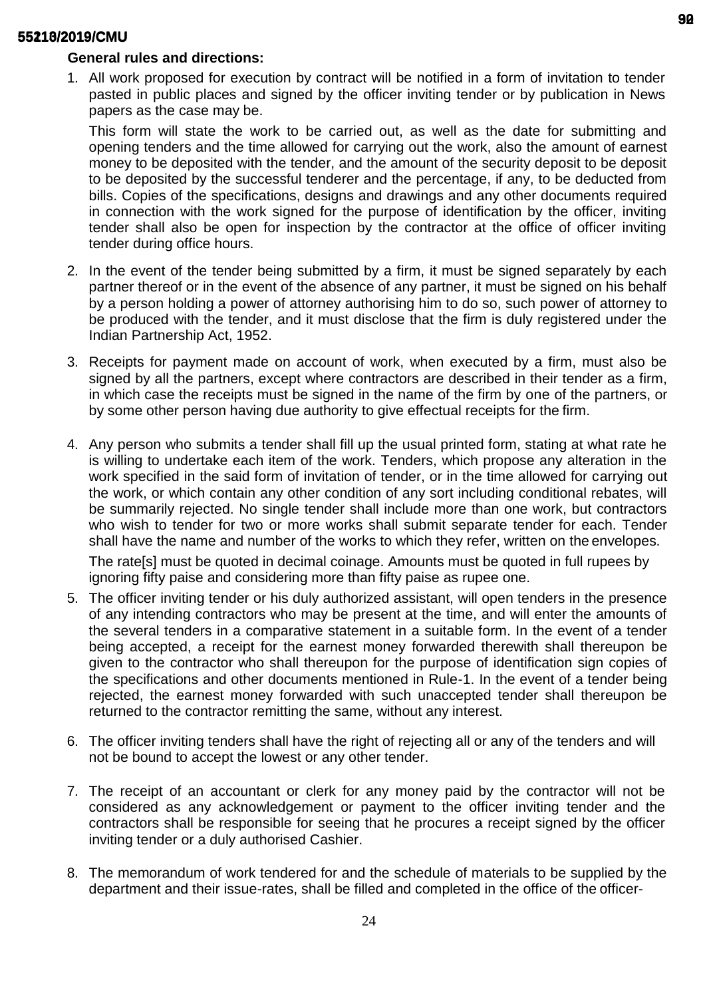## **General rules and directions:**

1. All work proposed for execution by contract will be notified in a form of invitation to tender pasted in public places and signed by the officer inviting tender or by publication in News papers as the case may be.

This form will state the work to be carried out, as well as the date for submitting and opening tenders and the time allowed for carrying out the work, also the amount of earnest money to be deposited with the tender, and the amount of the security deposit to be deposit to be deposited by the successful tenderer and the percentage, if any, to be deducted from bills. Copies of the specifications, designs and drawings and any other documents required in connection with the work signed for the purpose of identification by the officer, inviting tender shall also be open for inspection by the contractor at the office of officer inviting tender during office hours.

- 2. In the event of the tender being submitted by a firm, it must be signed separately by each partner thereof or in the event of the absence of any partner, it must be signed on his behalf by a person holding a power of attorney authorising him to do so, such power of attorney to be produced with the tender, and it must disclose that the firm is duly registered under the Indian Partnership Act, 1952.
- 3. Receipts for payment made on account of work, when executed by a firm, must also be signed by all the partners, except where contractors are described in their tender as a firm, in which case the receipts must be signed in the name of the firm by one of the partners, or by some other person having due authority to give effectual receipts for the firm.
- 4. Any person who submits a tender shall fill up the usual printed form, stating at what rate he is willing to undertake each item of the work. Tenders, which propose any alteration in the work specified in the said form of invitation of tender, or in the time allowed for carrying out the work, or which contain any other condition of any sort including conditional rebates, will be summarily rejected. No single tender shall include more than one work, but contractors who wish to tender for two or more works shall submit separate tender for each. Tender shall have the name and number of the works to which they refer, written on the envelopes.

The rate[s] must be quoted in decimal coinage. Amounts must be quoted in full rupees by ignoring fifty paise and considering more than fifty paise as rupee one.

- 5. The officer inviting tender or his duly authorized assistant, will open tenders in the presence of any intending contractors who may be present at the time, and will enter the amounts of the several tenders in a comparative statement in a suitable form. In the event of a tender being accepted, a receipt for the earnest money forwarded therewith shall thereupon be given to the contractor who shall thereupon for the purpose of identification sign copies of the specifications and other documents mentioned in Rule-1. In the event of a tender being rejected, the earnest money forwarded with such unaccepted tender shall thereupon be returned to the contractor remitting the same, without any interest.
- 6. The officer inviting tenders shall have the right of rejecting all or any of the tenders and will not be bound to accept the lowest or any other tender.
- 7. The receipt of an accountant or clerk for any money paid by the contractor will not be considered as any acknowledgement or payment to the officer inviting tender and the contractors shall be responsible for seeing that he procures a receipt signed by the officer inviting tender or a duly authorised Cashier.
- 8. The memorandum of work tendered for and the schedule of materials to be supplied by the department and their issue-rates, shall be filled and completed in the office of the officer-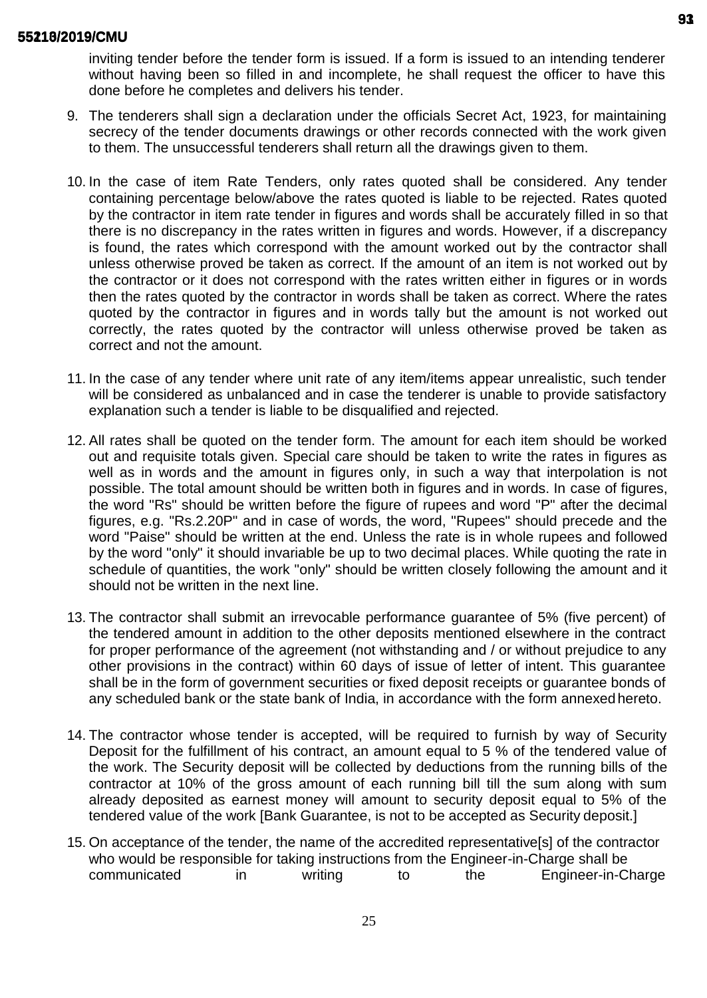inviting tender before the tender form is issued. If a form is issued to an intending tenderer without having been so filled in and incomplete, he shall request the officer to have this done before he completes and delivers his tender.

- 9. The tenderers shall sign a declaration under the officials Secret Act, 1923, for maintaining secrecy of the tender documents drawings or other records connected with the work given to them. The unsuccessful tenderers shall return all the drawings given to them.
- 10. In the case of item Rate Tenders, only rates quoted shall be considered. Any tender containing percentage below/above the rates quoted is liable to be rejected. Rates quoted by the contractor in item rate tender in figures and words shall be accurately filled in so that there is no discrepancy in the rates written in figures and words. However, if a discrepancy is found, the rates which correspond with the amount worked out by the contractor shall unless otherwise proved be taken as correct. If the amount of an item is not worked out by the contractor or it does not correspond with the rates written either in figures or in words then the rates quoted by the contractor in words shall be taken as correct. Where the rates quoted by the contractor in figures and in words tally but the amount is not worked out correctly, the rates quoted by the contractor will unless otherwise proved be taken as correct and not the amount.
- 11. In the case of any tender where unit rate of any item/items appear unrealistic, such tender will be considered as unbalanced and in case the tenderer is unable to provide satisfactory explanation such a tender is liable to be disqualified and rejected.
- 12. All rates shall be quoted on the tender form. The amount for each item should be worked out and requisite totals given. Special care should be taken to write the rates in figures as well as in words and the amount in figures only, in such a way that interpolation is not possible. The total amount should be written both in figures and in words. In case of figures, the word "Rs" should be written before the figure of rupees and word "P" after the decimal figures, e.g. "Rs.2.20P" and in case of words, the word, "Rupees" should precede and the word "Paise" should be written at the end. Unless the rate is in whole rupees and followed by the word "only" it should invariable be up to two decimal places. While quoting the rate in schedule of quantities, the work "only" should be written closely following the amount and it should not be written in the next line.
- 13. The contractor shall submit an irrevocable performance guarantee of 5% (five percent) of the tendered amount in addition to the other deposits mentioned elsewhere in the contract for proper performance of the agreement (not withstanding and / or without prejudice to any other provisions in the contract) within 60 days of issue of letter of intent. This guarantee shall be in the form of government securities or fixed deposit receipts or guarantee bonds of any scheduled bank or the state bank of India, in accordance with the form annexedhereto.
- 14. The contractor whose tender is accepted, will be required to furnish by way of Security Deposit for the fulfillment of his contract, an amount equal to 5 % of the tendered value of the work. The Security deposit will be collected by deductions from the running bills of the contractor at 10% of the gross amount of each running bill till the sum along with sum already deposited as earnest money will amount to security deposit equal to 5% of the tendered value of the work [Bank Guarantee, is not to be accepted as Security deposit.]
- 15. On acceptance of the tender, the name of the accredited representative[s] of the contractor who would be responsible for taking instructions from the Engineer-in-Charge shall be communicated in writing to the Engineer-in-Charge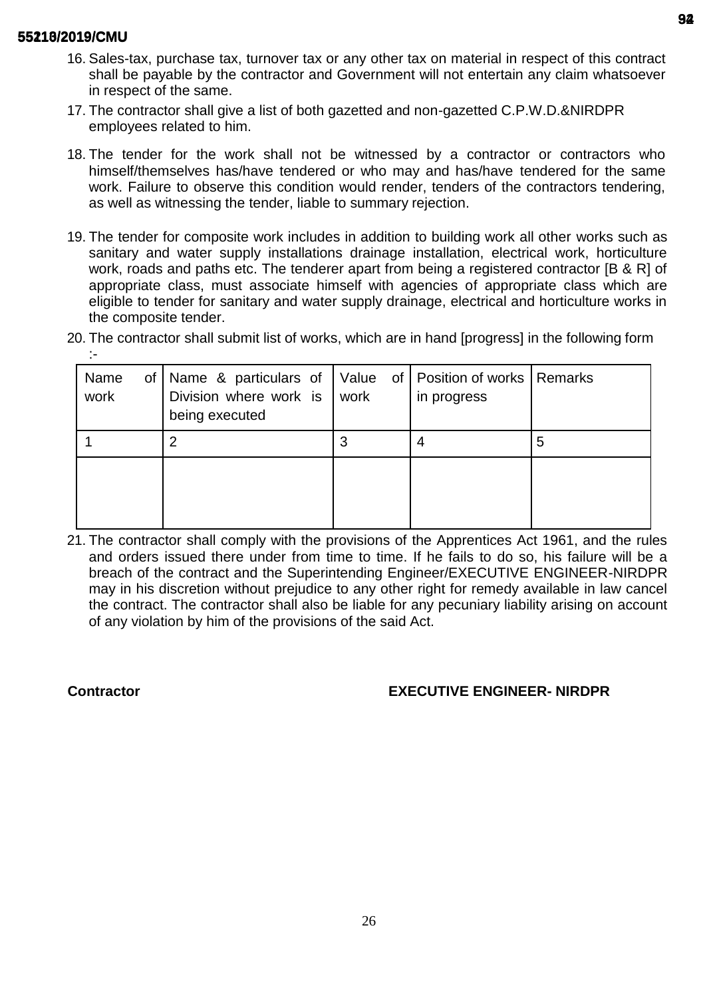- 16. Sales-tax, purchase tax, turnover tax or any other tax on material in respect of this contract shall be payable by the contractor and Government will not entertain any claim whatsoever in respect of the same.
- 17. The contractor shall give a list of both gazetted and non-gazetted C.P.W.D.&NIRDPR employees related to him.
- 18. The tender for the work shall not be witnessed by a contractor or contractors who himself/themselves has/have tendered or who may and has/have tendered for the same work. Failure to observe this condition would render, tenders of the contractors tendering, as well as witnessing the tender, liable to summary rejection.
- 19. The tender for composite work includes in addition to building work all other works such as sanitary and water supply installations drainage installation, electrical work, horticulture work, roads and paths etc. The tenderer apart from being a registered contractor [B & R] of appropriate class, must associate himself with agencies of appropriate class which are eligible to tender for sanitary and water supply drainage, electrical and horticulture works in the composite tender.
- 20. The contractor shall submit list of works, which are in hand [progress] in the following form :-

| Name<br>of <sub>l</sub><br>work | Name & particulars of   Value of   Position of works   Remarks<br>Division where work is<br>being executed | work | in progress |   |
|---------------------------------|------------------------------------------------------------------------------------------------------------|------|-------------|---|
|                                 |                                                                                                            |      |             | 5 |
|                                 |                                                                                                            |      |             |   |

21. The contractor shall comply with the provisions of the Apprentices Act 1961, and the rules and orders issued there under from time to time. If he fails to do so, his failure will be a breach of the contract and the Superintending Engineer/EXECUTIVE ENGINEER-NIRDPR may in his discretion without prejudice to any other right for remedy available in law cancel the contract. The contractor shall also be liable for any pecuniary liability arising on account of any violation by him of the provisions of the said Act.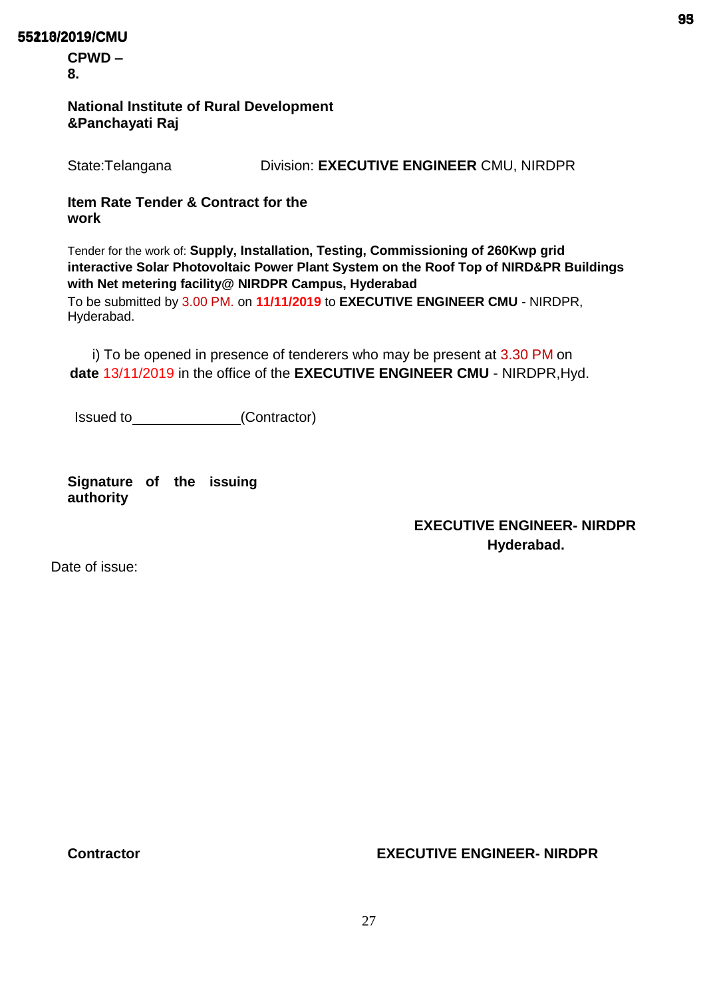**CPWD – 8.**

## **National Institute of Rural Development &Panchayati Raj**

State:Telangana Division: **EXECUTIVE ENGINEER** CMU, NIRDPR

# **Item Rate Tender & Contract for the work**

Tender for the work of: **Supply, Installation, Testing, Commissioning of 260Kwp grid interactive Solar Photovoltaic Power Plant System on the Roof Top of NIRD&PR Buildings with Net metering facility@ NIRDPR Campus, Hyderabad**

To be submitted by 3.00 PM. on **11/11/2019** to **EXECUTIVE ENGINEER CMU** - NIRDPR, Hyderabad.

i) To be opened in presence of tenderers who may be present at 3.30 PM on **date** 13/11/2019 in the office of the **EXECUTIVE ENGINEER CMU** - NIRDPR,Hyd.

Issued to (Contractor)

**Signature of the issuing authority**

# **EXECUTIVE ENGINEER- NIRDPR Hyderabad.**

Date of issue: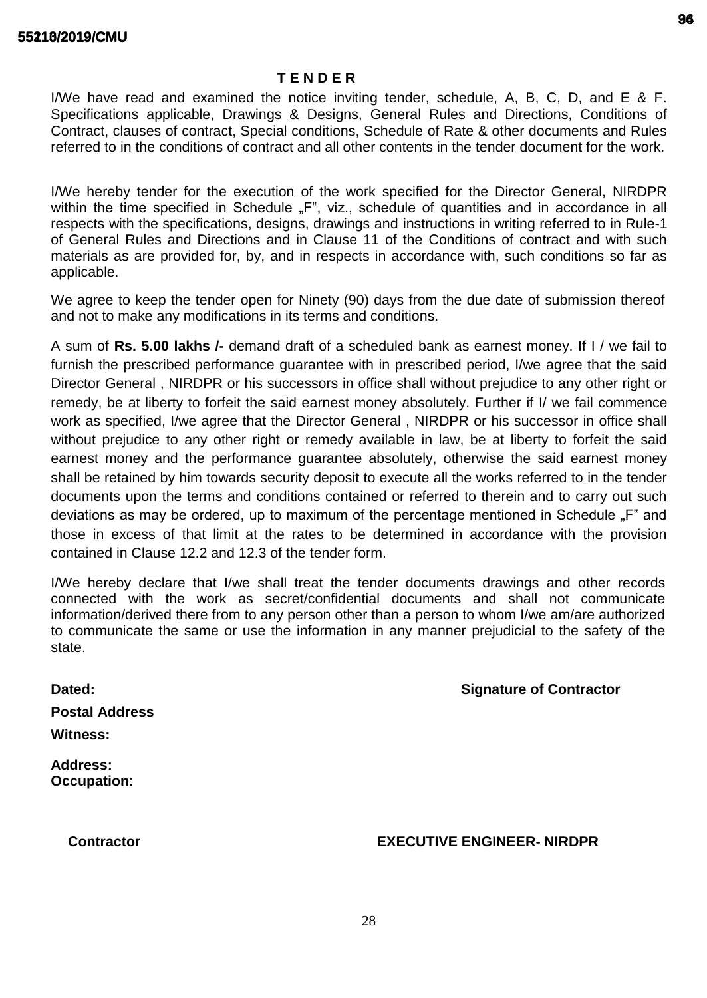## **T E N D E R**

I/We have read and examined the notice inviting tender, schedule, A, B, C, D, and E & F. Specifications applicable, Drawings & Designs, General Rules and Directions, Conditions of Contract, clauses of contract, Special conditions, Schedule of Rate & other documents and Rules referred to in the conditions of contract and all other contents in the tender document for the work.

I/We hereby tender for the execution of the work specified for the Director General, NIRDPR within the time specified in Schedule "F", viz., schedule of quantities and in accordance in all respects with the specifications, designs, drawings and instructions in writing referred to in Rule-1 of General Rules and Directions and in Clause 11 of the Conditions of contract and with such materials as are provided for, by, and in respects in accordance with, such conditions so far as applicable.

We agree to keep the tender open for Ninety (90) days from the due date of submission thereof and not to make any modifications in its terms and conditions.

A sum of **Rs. 5.00 lakhs /-** demand draft of a scheduled bank as earnest money. If I / we fail to furnish the prescribed performance guarantee with in prescribed period, I/we agree that the said Director General , NIRDPR or his successors in office shall without prejudice to any other right or remedy, be at liberty to forfeit the said earnest money absolutely. Further if I/ we fail commence work as specified, I/we agree that the Director General , NIRDPR or his successor in office shall without prejudice to any other right or remedy available in law, be at liberty to forfeit the said earnest money and the performance guarantee absolutely, otherwise the said earnest money shall be retained by him towards security deposit to execute all the works referred to in the tender documents upon the terms and conditions contained or referred to therein and to carry out such deviations as may be ordered, up to maximum of the percentage mentioned in Schedule "F" and those in excess of that limit at the rates to be determined in accordance with the provision contained in Clause 12.2 and 12.3 of the tender form.

I/We hereby declare that I/we shall treat the tender documents drawings and other records connected with the work as secret/confidential documents and shall not communicate information/derived there from to any person other than a person to whom I/we am/are authorized to communicate the same or use the information in any manner prejudicial to the safety of the state.

| Dated:                | <b>Signature of Contractor</b> |
|-----------------------|--------------------------------|
| <b>Postal Address</b> |                                |
| <b>Witness:</b>       |                                |
| <b>Address:</b>       |                                |

**Occupation**: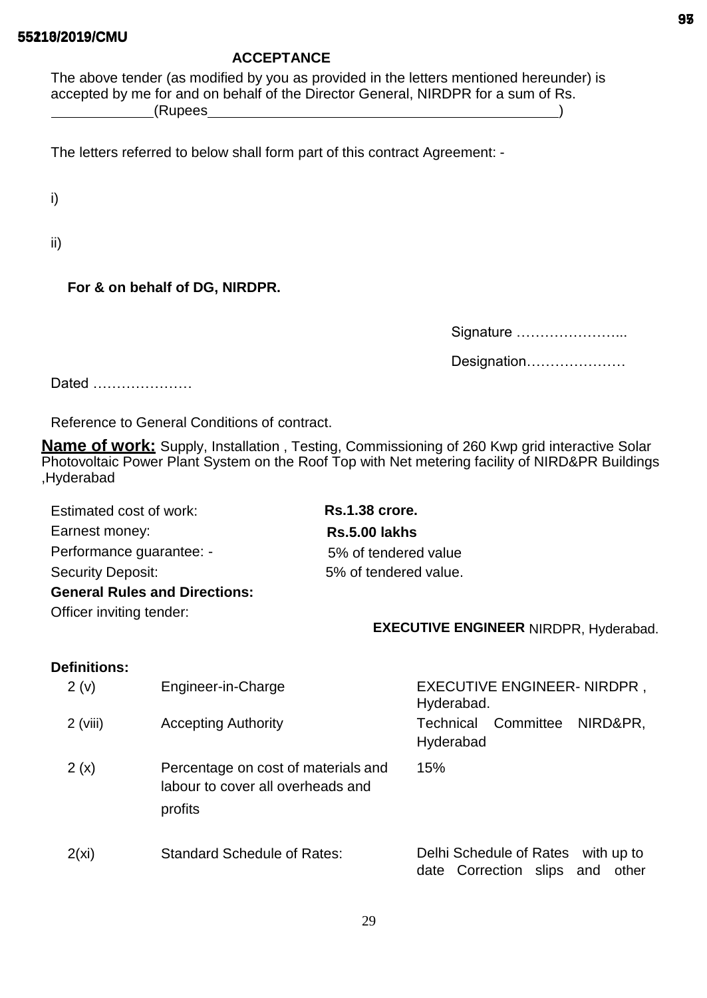## **ACCEPTANCE**

The above tender (as modified by you as provided in the letters mentioned hereunder) is accepted by me for and on behalf of the Director General, NIRDPR for a sum of Rs. (Rupees )

The letters referred to below shall form part of this contract Agreement: -

i)

ii)

# **For & on behalf of DG, NIRDPR.**

| Signature   |
|-------------|
| Designation |

Dated …………………

Reference to General Conditions of contract.

**Name of work:** Supply, Installation , Testing, Commissioning of 260 Kwp grid interactive Solar Photovoltaic Power Plant System on the Roof Top with Net metering facility of NIRD&PR Buildings ,Hyderabad

| Estimated cost of work:              | <b>Rs.1.38 crore.</b> |
|--------------------------------------|-----------------------|
| Earnest money:                       | <b>Rs.5.00 lakhs</b>  |
| Performance guarantee: -             | 5% of tendered value  |
| Security Deposit:                    | 5% of tendered value. |
| <b>General Rules and Directions:</b> |                       |

Officer inviting tender:

## **EXECUTIVE ENGINEER** NIRDPR, Hyderabad.

# **Definitions:**

| 2(v)       | Engineer-in-Charge                                                                  | <b>EXECUTIVE ENGINEER- NIRDPR,</b><br>Hyderabad.                            |
|------------|-------------------------------------------------------------------------------------|-----------------------------------------------------------------------------|
| $2$ (viii) | <b>Accepting Authority</b>                                                          | Committee<br><b>Technical</b><br>NIRD&PR,<br>Hyderabad                      |
| 2(x)       | Percentage on cost of materials and<br>labour to cover all overheads and<br>profits | 15%                                                                         |
| 2(xi)      | <b>Standard Schedule of Rates:</b>                                                  | Delhi Schedule of Rates<br>with up to<br>date Correction slips and<br>other |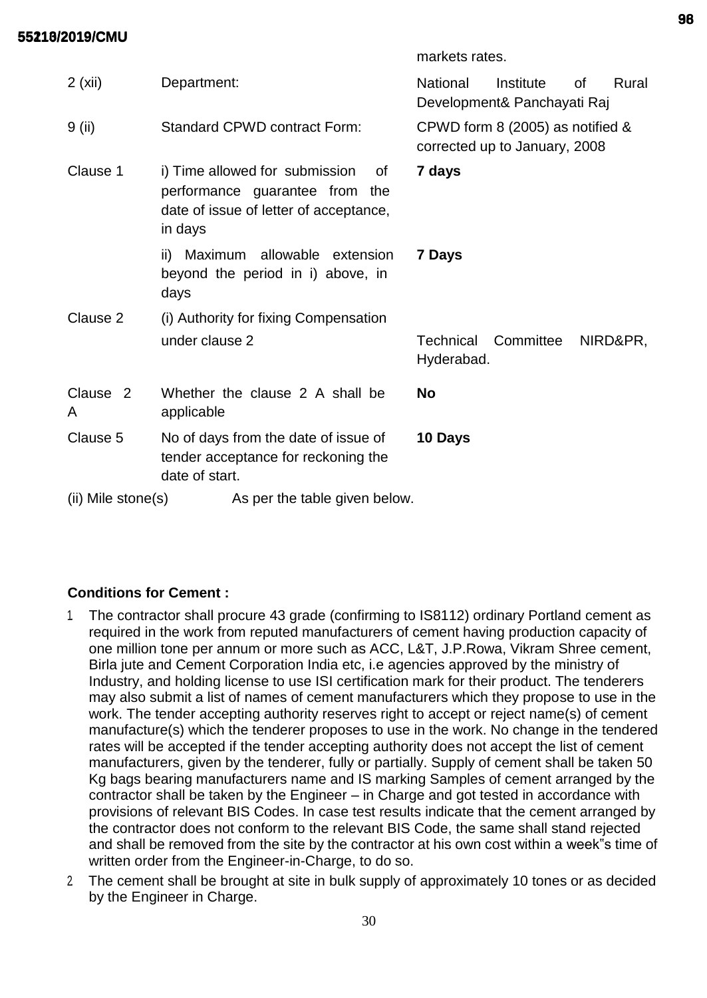markets rates.

| 2(xii)                   | Department:                                                                                                                    | National<br>Institute<br>οf<br>Development& Panchayati Raj |                                                                   | Rural |          |
|--------------------------|--------------------------------------------------------------------------------------------------------------------------------|------------------------------------------------------------|-------------------------------------------------------------------|-------|----------|
| 9 (ii)                   | <b>Standard CPWD contract Form:</b>                                                                                            |                                                            | CPWD form 8 (2005) as notified &<br>corrected up to January, 2008 |       |          |
| Clause 1                 | i) Time allowed for submission<br>οf<br>performance guarantee from<br>the<br>date of issue of letter of acceptance,<br>in days | 7 days                                                     |                                                                   |       |          |
|                          | ii) Maximum allowable extension<br>beyond the period in i) above, in<br>days                                                   | 7 Days                                                     |                                                                   |       |          |
| Clause 2                 | (i) Authority for fixing Compensation                                                                                          |                                                            |                                                                   |       |          |
|                          | under clause 2                                                                                                                 | Technical<br>Hyderabad.                                    | Committee                                                         |       | NIRD&PR, |
| Clause <sub>2</sub><br>A | Whether the clause 2 A shall be<br>applicable                                                                                  | <b>No</b>                                                  |                                                                   |       |          |
| Clause 5                 | No of days from the date of issue of<br>tender acceptance for reckoning the<br>date of start.                                  | 10 Days                                                    |                                                                   |       |          |
| $(ii)$ Mile stone $(s)$  | As per the table given below.                                                                                                  |                                                            |                                                                   |       |          |

# **Conditions for Cement :**

- 1. The contractor shall procure 43 grade (confirming to IS8112) ordinary Portland cement as required in the work from reputed manufacturers of cement having production capacity of one million tone per annum or more such as ACC, L&T, J.P.Rowa, Vikram Shree cement, Birla jute and Cement Corporation India etc, i.e agencies approved by the ministry of Industry, and holding license to use ISI certification mark for their product. The tenderers may also submit a list of names of cement manufacturers which they propose to use in the work. The tender accepting authority reserves right to accept or reject name(s) of cement manufacture(s) which the tenderer proposes to use in the work. No change in the tendered rates will be accepted if the tender accepting authority does not accept the list of cement manufacturers, given by the tenderer, fully or partially. Supply of cement shall be taken 50 Kg bags bearing manufacturers name and IS marking Samples of cement arranged by the contractor shall be taken by the Engineer – in Charge and got tested in accordance with provisions of relevant BIS Codes. In case test results indicate that the cement arranged by the contractor does not conform to the relevant BIS Code, the same shall stand rejected and shall be removed from the site by the contractor at his own cost within a week"s time of written order from the Engineer-in-Charge, to do so.
- 2. The cement shall be brought at site in bulk supply of approximately 10 tones or as decided by the Engineer in Charge.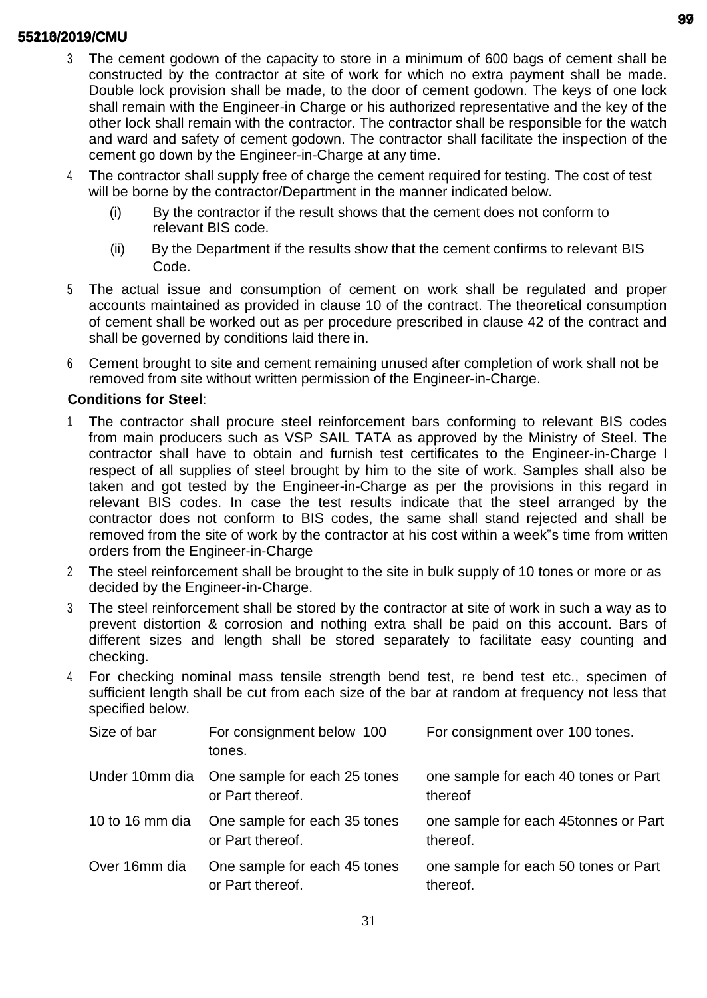- 3. The cement godown of the capacity to store in a minimum of 600 bags of cement shall be constructed by the contractor at site of work for which no extra payment shall be made. Double lock provision shall be made, to the door of cement godown. The keys of one lock shall remain with the Engineer-in Charge or his authorized representative and the key of the other lock shall remain with the contractor. The contractor shall be responsible for the watch and ward and safety of cement godown. The contractor shall facilitate the inspection of the cement go down by the Engineer-in-Charge at any time.
- 4. The contractor shall supply free of charge the cement required for testing. The cost of test will be borne by the contractor/Department in the manner indicated below.
	- (i) By the contractor if the result shows that the cement does not conform to relevant BIS code.
	- (ii) By the Department if the results show that the cement confirms to relevant BIS Code.
- 5. The actual issue and consumption of cement on work shall be regulated and proper accounts maintained as provided in clause 10 of the contract. The theoretical consumption of cement shall be worked out as per procedure prescribed in clause 42 of the contract and shall be governed by conditions laid there in.
- 6. Cement brought to site and cement remaining unused after completion of work shall not be removed from site without written permission of the Engineer-in-Charge.

# **Conditions for Steel**:

- 1. The contractor shall procure steel reinforcement bars conforming to relevant BIS codes from main producers such as VSP SAIL TATA as approved by the Ministry of Steel. The contractor shall have to obtain and furnish test certificates to the Engineer-in-Charge I respect of all supplies of steel brought by him to the site of work. Samples shall also be taken and got tested by the Engineer-in-Charge as per the provisions in this regard in relevant BIS codes. In case the test results indicate that the steel arranged by the contractor does not conform to BIS codes, the same shall stand rejected and shall be removed from the site of work by the contractor at his cost within a week"s time from written orders from the Engineer-in-Charge
- 2. The steel reinforcement shall be brought to the site in bulk supply of 10 tones or more or as decided by the Engineer-in-Charge.
- 3. The steel reinforcement shall be stored by the contractor at site of work in such a way as to prevent distortion & corrosion and nothing extra shall be paid on this account. Bars of different sizes and length shall be stored separately to facilitate easy counting and checking.
- 4. For checking nominal mass tensile strength bend test, re bend test etc., specimen of sufficient length shall be cut from each size of the bar at random at frequency not less that specified below.

| Size of bar   | For consignment below 100<br>tones.                              | For consignment over 100 tones.                  |
|---------------|------------------------------------------------------------------|--------------------------------------------------|
|               | Under 10mm dia One sample for each 25 tones<br>or Part thereof.  | one sample for each 40 tones or Part<br>thereof  |
|               | 10 to 16 mm dia One sample for each 35 tones<br>or Part thereof. | one sample for each 45tonnes or Part<br>thereof. |
| Over 16mm dia | One sample for each 45 tones<br>or Part thereof.                 | one sample for each 50 tones or Part<br>thereof. |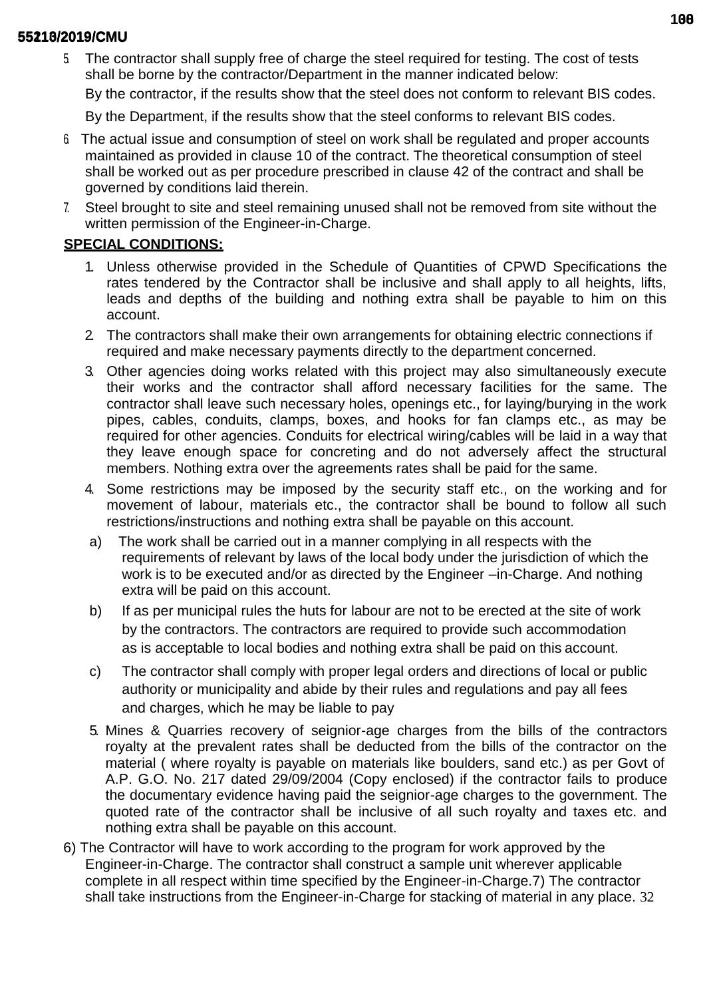5. The contractor shall supply free of charge the steel required for testing. The cost of tests shall be borne by the contractor/Department in the manner indicated below:

By the contractor, if the results show that the steel does not conform to relevant BIS codes.

By the Department, if the results show that the steel conforms to relevant BIS codes.

- 6. The actual issue and consumption of steel on work shall be regulated and proper accounts maintained as provided in clause 10 of the contract. The theoretical consumption of steel shall be worked out as per procedure prescribed in clause 42 of the contract and shall be governed by conditions laid therein.
- 7. Steel brought to site and steel remaining unused shall not be removed from site without the written permission of the Engineer-in-Charge.

# **SPECIAL CONDITIONS:**

- 1. Unless otherwise provided in the Schedule of Quantities of CPWD Specifications the rates tendered by the Contractor shall be inclusive and shall apply to all heights, lifts, leads and depths of the building and nothing extra shall be payable to him on this account.
- 2. The contractors shall make their own arrangements for obtaining electric connections if required and make necessary payments directly to the department concerned.
- 3. Other agencies doing works related with this project may also simultaneously execute their works and the contractor shall afford necessary facilities for the same. The contractor shall leave such necessary holes, openings etc., for laying/burying in the work pipes, cables, conduits, clamps, boxes, and hooks for fan clamps etc., as may be required for other agencies. Conduits for electrical wiring/cables will be laid in a way that they leave enough space for concreting and do not adversely affect the structural members. Nothing extra over the agreements rates shall be paid for the same.
- 4. Some restrictions may be imposed by the security staff etc., on the working and for movement of labour, materials etc., the contractor shall be bound to follow all such restrictions/instructions and nothing extra shall be payable on this account.
- a) The work shall be carried out in a manner complying in all respects with the requirements of relevant by laws of the local body under the jurisdiction of which the work is to be executed and/or as directed by the Engineer –in-Charge. And nothing extra will be paid on this account.
- b) If as per municipal rules the huts for labour are not to be erected at the site of work by the contractors. The contractors are required to provide such accommodation as is acceptable to local bodies and nothing extra shall be paid on this account.
- c) The contractor shall comply with proper legal orders and directions of local or public authority or municipality and abide by their rules and regulations and pay all fees and charges, which he may be liable to pay
- 5. Mines & Quarries recovery of seignior-age charges from the bills of the contractors royalty at the prevalent rates shall be deducted from the bills of the contractor on the material ( where royalty is payable on materials like boulders, sand etc.) as per Govt of A.P. G.O. No. 217 dated 29/09/2004 (Copy enclosed) if the contractor fails to produce the documentary evidence having paid the seignior-age charges to the government. The quoted rate of the contractor shall be inclusive of all such royalty and taxes etc. and nothing extra shall be payable on this account.
- 6) The Contractor will have to work according to the program for work approved by the Engineer-in-Charge. The contractor shall construct a sample unit wherever applicable complete in all respect within time specified by the Engineer-in-Charge.7) The contractor shall take instructions from the Engineer-in-Charge for stacking of material in any place. 32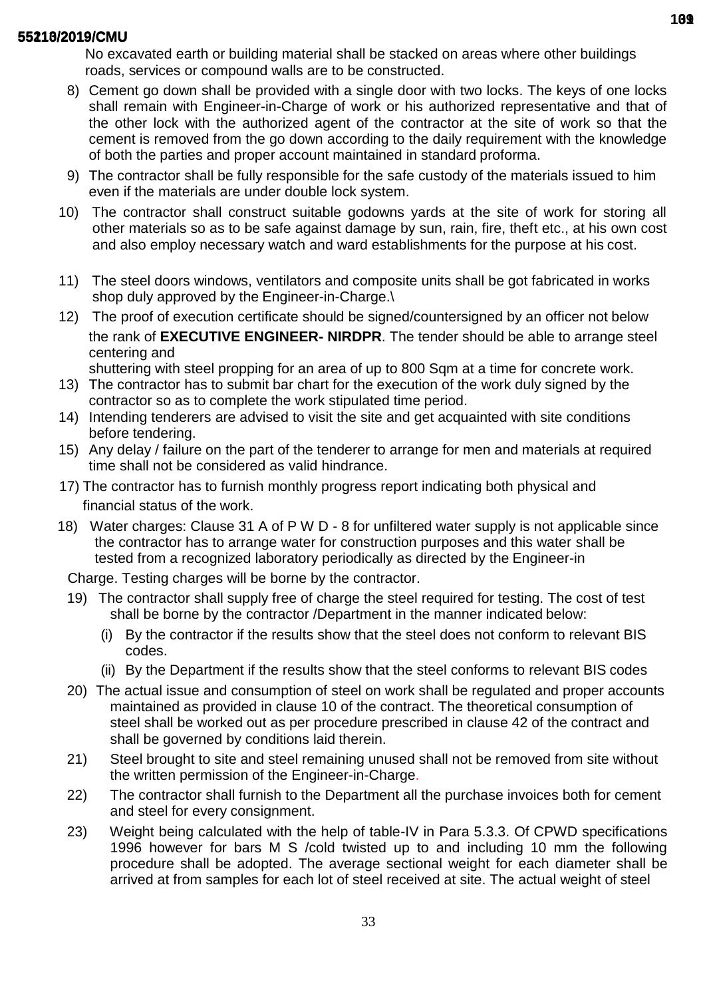No excavated earth or building material shall be stacked on areas where other buildings roads, services or compound walls are to be constructed.

- 8) Cement go down shall be provided with a single door with two locks. The keys of one locks shall remain with Engineer-in-Charge of work or his authorized representative and that of the other lock with the authorized agent of the contractor at the site of work so that the cement is removed from the go down according to the daily requirement with the knowledge of both the parties and proper account maintained in standard proforma.
- 9) The contractor shall be fully responsible for the safe custody of the materials issued to him even if the materials are under double lock system.
- 10) The contractor shall construct suitable godowns yards at the site of work for storing all other materials so as to be safe against damage by sun, rain, fire, theft etc., at his own cost and also employ necessary watch and ward establishments for the purpose at his cost.
- 11) The steel doors windows, ventilators and composite units shall be got fabricated in works shop duly approved by the Engineer-in-Charge.\
- 12) The proof of execution certificate should be signed/countersigned by an officer not below the rank of **EXECUTIVE ENGINEER- NIRDPR**. The tender should be able to arrange steel centering and

shuttering with steel propping for an area of up to 800 Sqm at a time for concrete work.

- 13) The contractor has to submit bar chart for the execution of the work duly signed by the contractor so as to complete the work stipulated time period.
- 14) Intending tenderers are advised to visit the site and get acquainted with site conditions before tendering.
- 15) Any delay / failure on the part of the tenderer to arrange for men and materials at required time shall not be considered as valid hindrance.
- 17) The contractor has to furnish monthly progress report indicating both physical and financial status of the work.
- 18) Water charges: Clause 31 A of P W D 8 for unfiltered water supply is not applicable since the contractor has to arrange water for construction purposes and this water shall be tested from a recognized laboratory periodically as directed by the Engineer-in

Charge. Testing charges will be borne by the contractor.

- 19) The contractor shall supply free of charge the steel required for testing. The cost of test shall be borne by the contractor /Department in the manner indicated below:
	- (i) By the contractor if the results show that the steel does not conform to relevant BIS codes.
	- (ii) By the Department if the results show that the steel conforms to relevant BIS codes
- 20) The actual issue and consumption of steel on work shall be regulated and proper accounts maintained as provided in clause 10 of the contract. The theoretical consumption of steel shall be worked out as per procedure prescribed in clause 42 of the contract and shall be governed by conditions laid therein.
- 21) Steel brought to site and steel remaining unused shall not be removed from site without the written permission of the Engineer-in-Charge.
- 22) The contractor shall furnish to the Department all the purchase invoices both for cement and steel for every consignment.
- 23) Weight being calculated with the help of table-IV in Para 5.3.3. Of CPWD specifications 1996 however for bars M S /cold twisted up to and including 10 mm the following procedure shall be adopted. The average sectional weight for each diameter shall be arrived at from samples for each lot of steel received at site. The actual weight of steel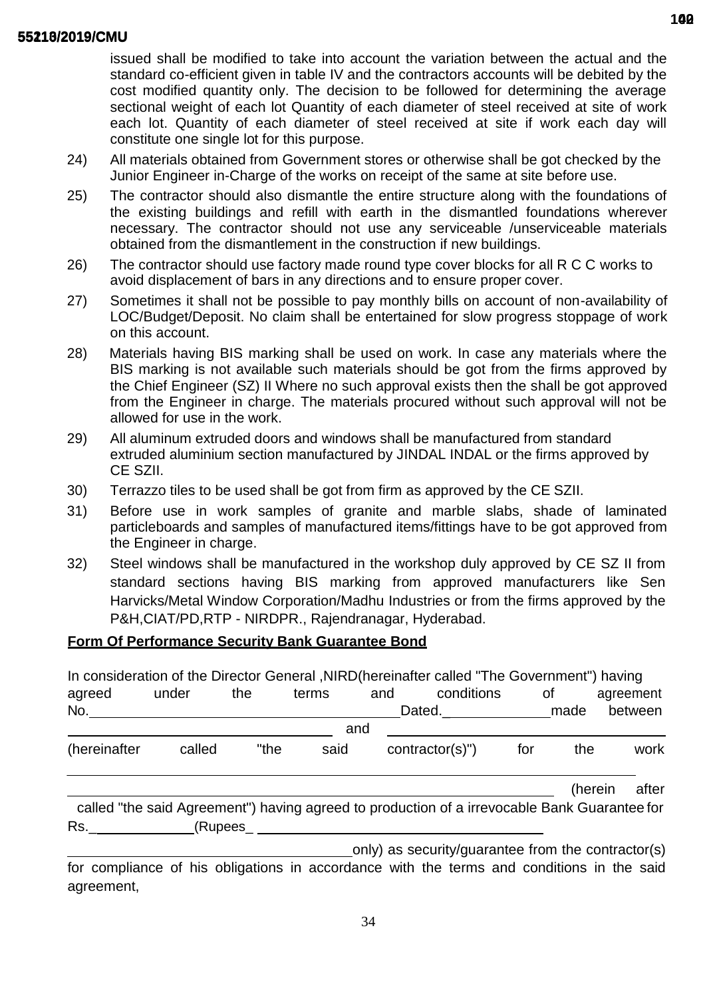issued shall be modified to take into account the variation between the actual and the standard co-efficient given in table IV and the contractors accounts will be debited by the cost modified quantity only. The decision to be followed for determining the average sectional weight of each lot Quantity of each diameter of steel received at site of work each lot. Quantity of each diameter of steel received at site if work each day will constitute one single lot for this purpose.

- 24) All materials obtained from Government stores or otherwise shall be got checked by the Junior Engineer in-Charge of the works on receipt of the same at site before use.
- 25) The contractor should also dismantle the entire structure along with the foundations of the existing buildings and refill with earth in the dismantled foundations wherever necessary. The contractor should not use any serviceable /unserviceable materials obtained from the dismantlement in the construction if new buildings.
- 26) The contractor should use factory made round type cover blocks for all R C C works to avoid displacement of bars in any directions and to ensure proper cover.
- 27) Sometimes it shall not be possible to pay monthly bills on account of non-availability of LOC/Budget/Deposit. No claim shall be entertained for slow progress stoppage of work on this account.
- 28) Materials having BIS marking shall be used on work. In case any materials where the BIS marking is not available such materials should be got from the firms approved by the Chief Engineer (SZ) II Where no such approval exists then the shall be got approved from the Engineer in charge. The materials procured without such approval will not be allowed for use in the work.
- 29) All aluminum extruded doors and windows shall be manufactured from standard extruded aluminium section manufactured by JINDAL INDAL or the firms approved by CE SZII.
- 30) Terrazzo tiles to be used shall be got from firm as approved by the CE SZII.
- 31) Before use in work samples of granite and marble slabs, shade of laminated particleboards and samples of manufactured items/fittings have to be got approved from the Engineer in charge.
- 32) Steel windows shall be manufactured in the workshop duly approved by CE SZ II from standard sections having BIS marking from approved manufacturers like Sen Harvicks/Metal Window Corporation/Madhu Industries or from the firms approved by the P&H,CIAT/PD,RTP - NIRDPR., Rajendranagar, Hyderabad.

## **Form Of Performance Security Bank Guarantee Bond**

|              |        |      |       |     | In consideration of the Director General , NIRD(hereinafter called "The Government") having                                                                                                                                    |     |         |           |
|--------------|--------|------|-------|-----|--------------------------------------------------------------------------------------------------------------------------------------------------------------------------------------------------------------------------------|-----|---------|-----------|
| agreed       | under  | the  | terms | and | conditions                                                                                                                                                                                                                     |     | 0f      | agreement |
| No.          |        |      |       |     | Dated. html Dated. Let us a made                                                                                                                                                                                               |     |         | between   |
|              |        |      |       | and |                                                                                                                                                                                                                                |     |         |           |
| (hereinafter | called | "the | said  |     | $contractor(s)$ ")                                                                                                                                                                                                             | for | the     | work      |
|              |        |      |       |     |                                                                                                                                                                                                                                |     | (herein | after     |
|              |        |      |       |     | called "the said Agreement") having agreed to production of a irrevocable Bank Guarantee for                                                                                                                                   |     |         |           |
| Rs.          |        |      |       |     | (Rupees and the contract of the contract of the contract of the contract of the contract of the contract of the contract of the contract of the contract of the contract of the contract of the contract of the contract of th |     |         |           |
|              |        |      |       |     | only) as security/guarantee from the contractor(s)                                                                                                                                                                             |     |         |           |

for compliance of his obligations in accordance with the terms and conditions in the said agreement,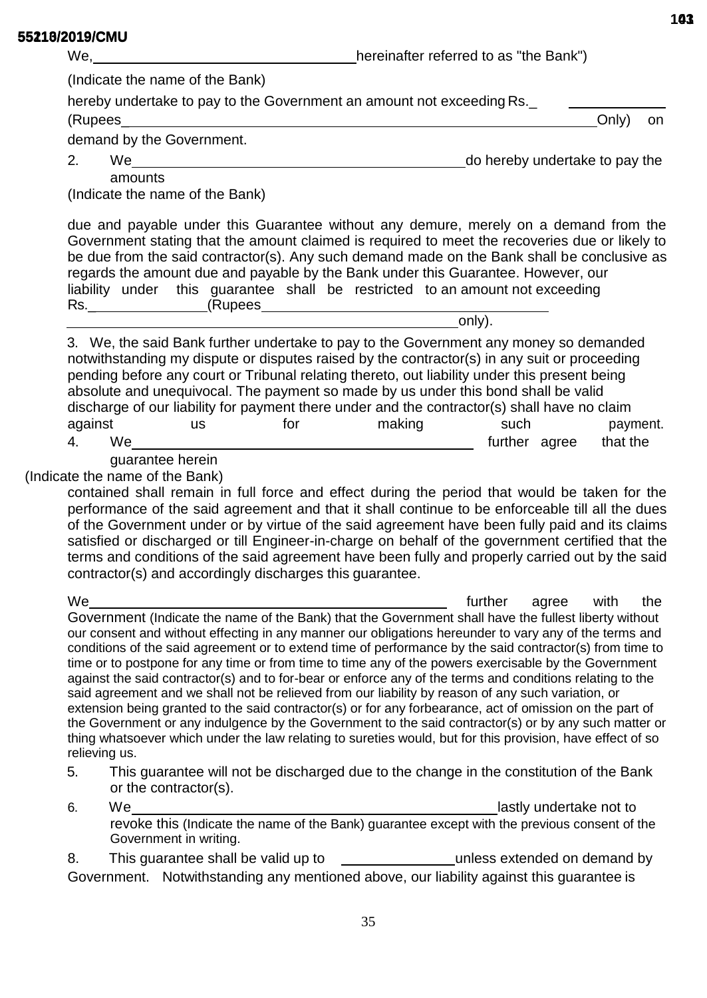| טוויט <i>ו</i> פ ו טבעוט בע | We,                             | hereinafter referred to as "the Bank")                                                                                                                                                                                                                                                                                                                                                                                                                                                                                                                                                                                                                                                                                                                                                                                                                                                                                                                                                     |  |  |
|-----------------------------|---------------------------------|--------------------------------------------------------------------------------------------------------------------------------------------------------------------------------------------------------------------------------------------------------------------------------------------------------------------------------------------------------------------------------------------------------------------------------------------------------------------------------------------------------------------------------------------------------------------------------------------------------------------------------------------------------------------------------------------------------------------------------------------------------------------------------------------------------------------------------------------------------------------------------------------------------------------------------------------------------------------------------------------|--|--|
|                             | (Indicate the name of the Bank) |                                                                                                                                                                                                                                                                                                                                                                                                                                                                                                                                                                                                                                                                                                                                                                                                                                                                                                                                                                                            |  |  |
|                             |                                 | hereby undertake to pay to the Government an amount not exceeding Rs.                                                                                                                                                                                                                                                                                                                                                                                                                                                                                                                                                                                                                                                                                                                                                                                                                                                                                                                      |  |  |
|                             |                                 | Only)<br>on                                                                                                                                                                                                                                                                                                                                                                                                                                                                                                                                                                                                                                                                                                                                                                                                                                                                                                                                                                                |  |  |
|                             |                                 | demand by the Government.                                                                                                                                                                                                                                                                                                                                                                                                                                                                                                                                                                                                                                                                                                                                                                                                                                                                                                                                                                  |  |  |
|                             | 2.                              | do hereby undertake to pay the<br>We are a set of the set of the set of the set of the set of the set of the set of the set of the set of the set of the set of the set of the set of the set of the set of the set of the set of the set of the set of the set                                                                                                                                                                                                                                                                                                                                                                                                                                                                                                                                                                                                                                                                                                                            |  |  |
|                             |                                 | amounts                                                                                                                                                                                                                                                                                                                                                                                                                                                                                                                                                                                                                                                                                                                                                                                                                                                                                                                                                                                    |  |  |
|                             |                                 | (Indicate the name of the Bank)                                                                                                                                                                                                                                                                                                                                                                                                                                                                                                                                                                                                                                                                                                                                                                                                                                                                                                                                                            |  |  |
|                             |                                 | due and payable under this Guarantee without any demure, merely on a demand from the<br>Government stating that the amount claimed is required to meet the recoveries due or likely to<br>be due from the said contractor(s). Any such demand made on the Bank shall be conclusive as<br>regards the amount due and payable by the Bank under this Guarantee. However, our<br>liability under this guarantee shall be restricted to an amount not exceeding                                                                                                                                                                                                                                                                                                                                                                                                                                                                                                                                |  |  |
|                             |                                 | only).                                                                                                                                                                                                                                                                                                                                                                                                                                                                                                                                                                                                                                                                                                                                                                                                                                                                                                                                                                                     |  |  |
|                             | against<br>4.                   | 3. We, the said Bank further undertake to pay to the Government any money so demanded<br>notwithstanding my dispute or disputes raised by the contractor(s) in any suit or proceeding<br>pending before any court or Tribunal relating thereto, out liability under this present being<br>absolute and unequivocal. The payment so made by us under this bond shall be valid<br>discharge of our liability for payment there under and the contractor(s) shall have no claim<br>for<br>making<br>such<br>payment.<br><b>us</b><br>that the<br>We<br>further agree                                                                                                                                                                                                                                                                                                                                                                                                                          |  |  |
|                             |                                 | guarantee herein                                                                                                                                                                                                                                                                                                                                                                                                                                                                                                                                                                                                                                                                                                                                                                                                                                                                                                                                                                           |  |  |
|                             |                                 | (Indicate the name of the Bank)<br>contained shall remain in full force and effect during the period that would be taken for the<br>performance of the said agreement and that it shall continue to be enforceable till all the dues<br>of the Government under or by virtue of the said agreement have been fully paid and its claims<br>satisfied or discharged or till Engineer-in-charge on behalf of the government certified that the<br>terms and conditions of the said agreement have been fully and properly carried out by the said<br>contractor(s) and accordingly discharges this guarantee.                                                                                                                                                                                                                                                                                                                                                                                 |  |  |
|                             | We                              | further<br>the<br>with<br>agree                                                                                                                                                                                                                                                                                                                                                                                                                                                                                                                                                                                                                                                                                                                                                                                                                                                                                                                                                            |  |  |
|                             | relieving us.                   | Government (Indicate the name of the Bank) that the Government shall have the fullest liberty without<br>our consent and without effecting in any manner our obligations hereunder to vary any of the terms and<br>conditions of the said agreement or to extend time of performance by the said contractor(s) from time to<br>time or to postpone for any time or from time to time any of the powers exercisable by the Government<br>against the said contractor(s) and to for-bear or enforce any of the terms and conditions relating to the<br>said agreement and we shall not be relieved from our liability by reason of any such variation, or<br>extension being granted to the said contractor(s) or for any forbearance, act of omission on the part of<br>the Government or any indulgence by the Government to the said contractor(s) or by any such matter or<br>thing whatsoever which under the law relating to sureties would, but for this provision, have effect of so |  |  |
|                             | 5.                              | This guarantee will not be discharged due to the change in the constitution of the Bank<br>or the contractor(s).                                                                                                                                                                                                                                                                                                                                                                                                                                                                                                                                                                                                                                                                                                                                                                                                                                                                           |  |  |
|                             | 6.                              | We<br>lastly undertake not to                                                                                                                                                                                                                                                                                                                                                                                                                                                                                                                                                                                                                                                                                                                                                                                                                                                                                                                                                              |  |  |
|                             |                                 | Government in writing.                                                                                                                                                                                                                                                                                                                                                                                                                                                                                                                                                                                                                                                                                                                                                                                                                                                                                                                                                                     |  |  |
|                             | 8.                              | This guarantee shall be valid up to the same state while a sextended on demand by                                                                                                                                                                                                                                                                                                                                                                                                                                                                                                                                                                                                                                                                                                                                                                                                                                                                                                          |  |  |
|                             |                                 | Government. Notwithstanding any mentioned above, our liability against this guarantee is                                                                                                                                                                                                                                                                                                                                                                                                                                                                                                                                                                                                                                                                                                                                                                                                                                                                                                   |  |  |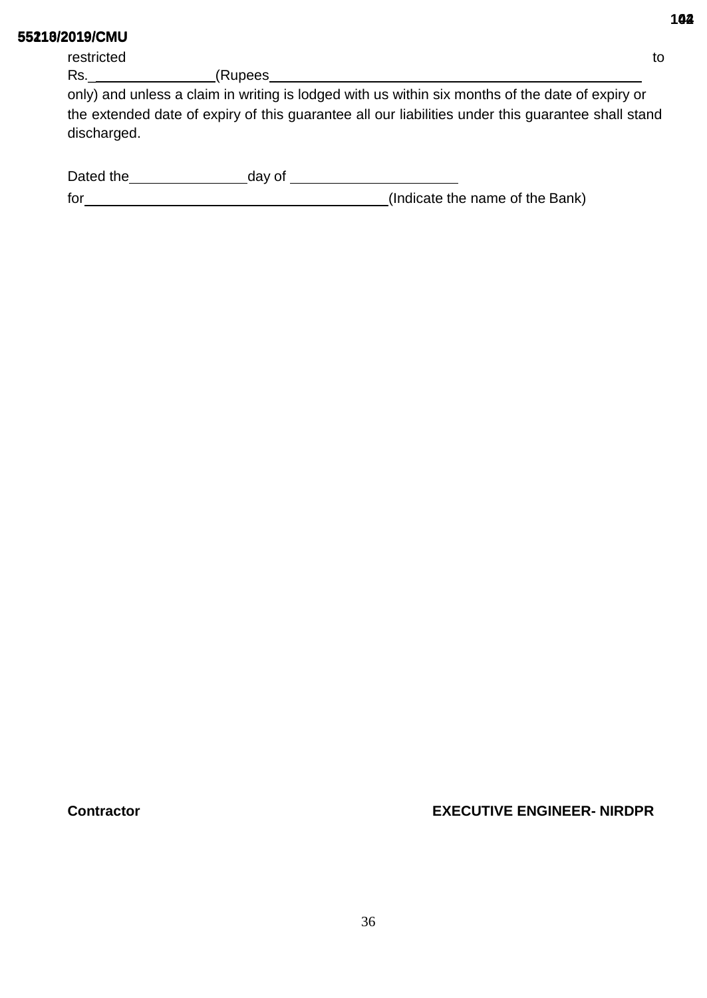restricted to the contract of the contract of the contract of the contract of the contract of the contract of the contract of the contract of the contract of the contract of the contract of the contract of the contract of

only) and unless a claim in writing is lodged with us within six months of the date of expiry or the extended date of expiry of this guarantee all our liabilities under this guarantee shall stand discharged.

| Dated the | dav of |                                 |
|-----------|--------|---------------------------------|
| for       |        | (Indicate the name of the Bank) |

**Contractor EXECUTIVE ENGINEER- NIRDPR**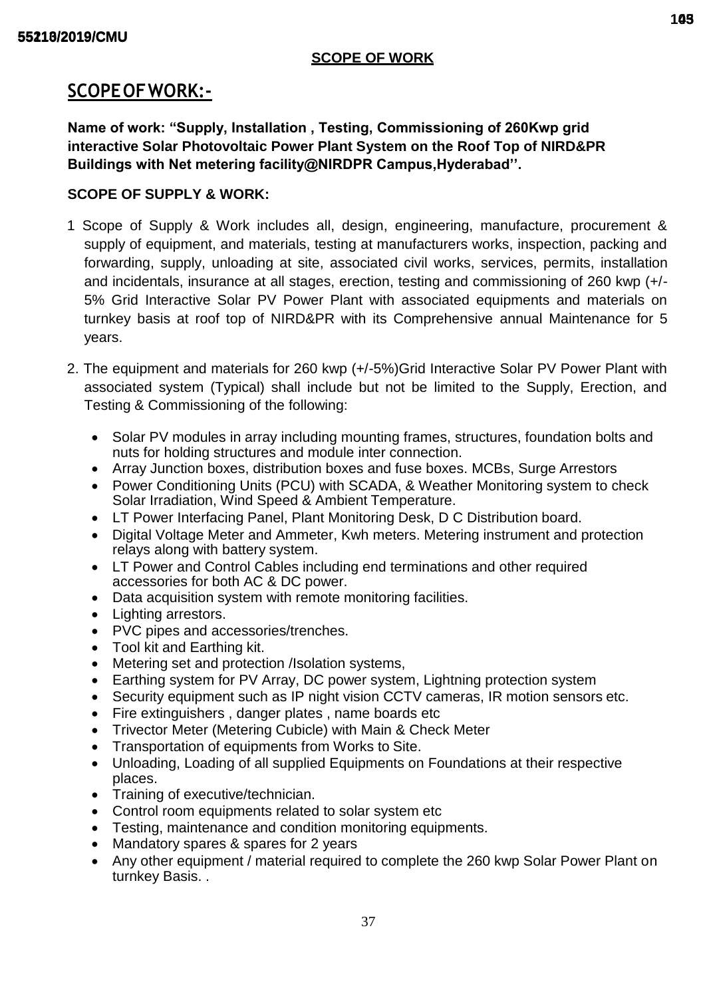## **SCOPE OF WORK**

# **SCOPEOFWORK:-**

**Name of work: "Supply, Installation , Testing, Commissioning of 260Kwp grid interactive Solar Photovoltaic Power Plant System on the Roof Top of NIRD&PR Buildings with Net metering facility@NIRDPR Campus,Hyderabad''.**

# **SCOPE OF SUPPLY & WORK:**

- 1 Scope of Supply & Work includes all, design, engineering, manufacture, procurement & supply of equipment, and materials, testing at manufacturers works, inspection, packing and forwarding, supply, unloading at site, associated civil works, services, permits, installation and incidentals, insurance at all stages, erection, testing and commissioning of 260 kwp (+/- 5% Grid Interactive Solar PV Power Plant with associated equipments and materials on turnkey basis at roof top of NIRD&PR with its Comprehensive annual Maintenance for 5 years.
- 2. The equipment and materials for 260 kwp (+/-5%)Grid Interactive Solar PV Power Plant with associated system (Typical) shall include but not be limited to the Supply, Erection, and Testing & Commissioning of the following:
	- Solar PV modules in array including mounting frames, structures, foundation bolts and nuts for holding structures and module inter connection.
	- Array Junction boxes, distribution boxes and fuse boxes. MCBs, Surge Arrestors
	- Power Conditioning Units (PCU) with SCADA, & Weather Monitoring system to check Solar Irradiation, Wind Speed & Ambient Temperature.
	- LT Power Interfacing Panel, Plant Monitoring Desk, D C Distribution board.
	- Digital Voltage Meter and Ammeter, Kwh meters. Metering instrument and protection relays along with battery system.
	- LT Power and Control Cables including end terminations and other required accessories for both AC & DC power.
	- Data acquisition system with remote monitoring facilities.
	- Lighting arrestors.
	- PVC pipes and accessories/trenches.
	- Tool kit and Earthing kit.
	- Metering set and protection /Isolation systems,
	- Earthing system for PV Array, DC power system, Lightning protection system
	- Security equipment such as IP night vision CCTV cameras, IR motion sensors etc.
	- Fire extinguishers, danger plates, name boards etc
	- Trivector Meter (Metering Cubicle) with Main & Check Meter
	- Transportation of equipments from Works to Site.
	- Unloading, Loading of all supplied Equipments on Foundations at their respective places.
	- Training of executive/technician.
	- Control room equipments related to solar system etc
	- Testing, maintenance and condition monitoring equipments.
	- Mandatory spares & spares for 2 years
	- Any other equipment / material required to complete the 260 kwp Solar Power Plant on turnkey Basis. .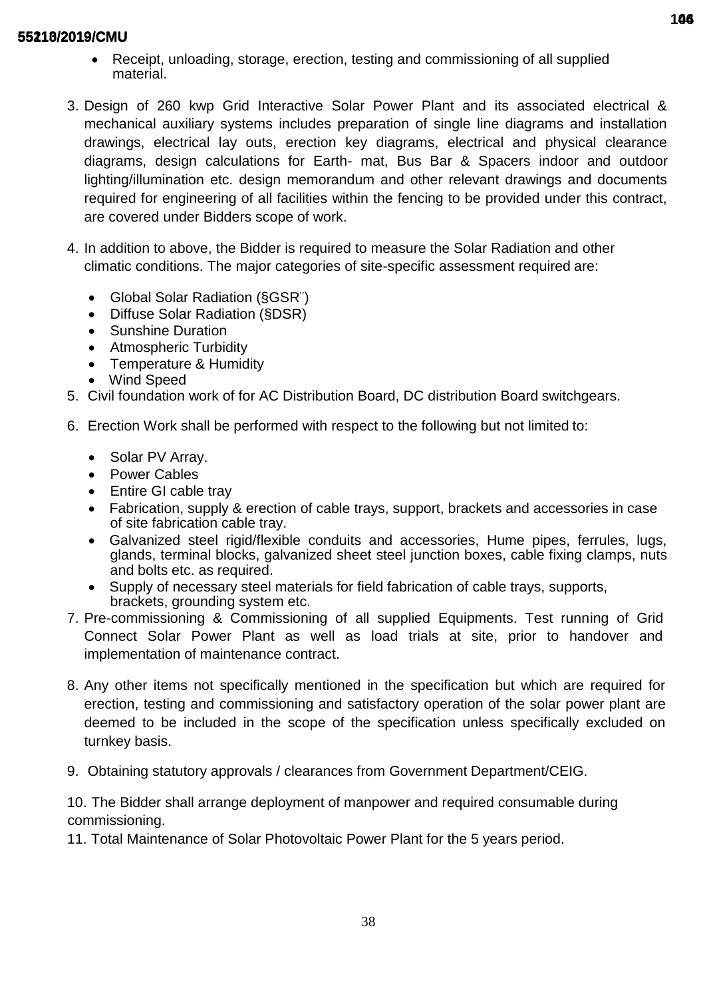- Receipt, unloading, storage, erection, testing and commissioning of all supplied material.
- 3. Design of 260 kwp Grid Interactive Solar Power Plant and its associated electrical & mechanical auxiliary systems includes preparation of single line diagrams and installation drawings, electrical lay outs, erection key diagrams, electrical and physical clearance diagrams, design calculations for Earth- mat, Bus Bar & Spacers indoor and outdoor lighting/illumination etc. design memorandum and other relevant drawings and documents required for engineering of all facilities within the fencing to be provided under this contract, are covered under Bidders scope of work.
- 4. In addition to above, the Bidder is required to measure the Solar Radiation and other climatic conditions. The major categories of site-specific assessment required are:
	- Global Solar Radiation (§GSR¨)
	- Diffuse Solar Radiation (§DSR)
	- Sunshine Duration
	- Atmospheric Turbidity
	- Temperature & Humidity
	- Wind Speed
- 5. Civil foundation work of for AC Distribution Board, DC distribution Board switchgears.
- 6. Erection Work shall be performed with respect to the following but not limited to:
	- Solar PV Array.
	- Power Cables
	- Entire GI cable tray
	- Fabrication, supply & erection of cable trays, support, brackets and accessories in case of site fabrication cable tray.
	- Galvanized steel rigid/flexible conduits and accessories, Hume pipes, ferrules, lugs, glands, terminal blocks, galvanized sheet steel junction boxes, cable fixing clamps, nuts and bolts etc. as required.
	- Supply of necessary steel materials for field fabrication of cable trays, supports, brackets, grounding system etc.
- 7. Pre-commissioning & Commissioning of all supplied Equipments. Test running of Grid Connect Solar Power Plant as well as load trials at site, prior to handover and implementation of maintenance contract.
- 8. Any other items not specifically mentioned in the specification but which are required for erection, testing and commissioning and satisfactory operation of the solar power plant are deemed to be included in the scope of the specification unless specifically excluded on turnkey basis.
- 9. Obtaining statutory approvals / clearances from Government Department/CEIG.

10. The Bidder shall arrange deployment of manpower and required consumable during commissioning.

11. Total Maintenance of Solar Photovoltaic Power Plant for the 5 years period.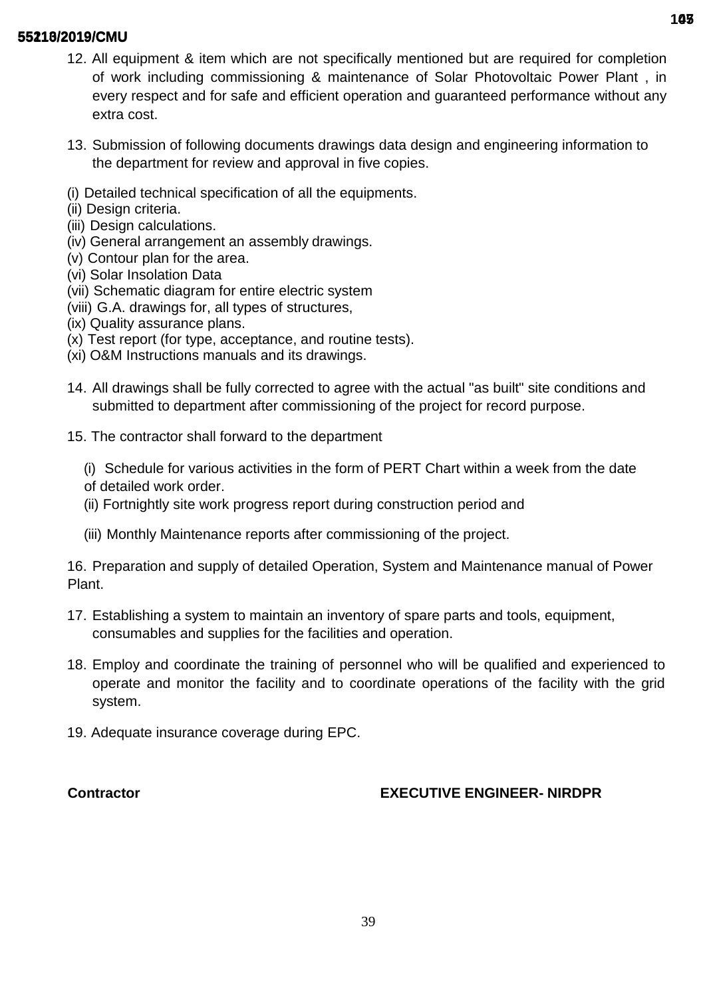- 12. All equipment & item which are not specifically mentioned but are required for completion of work including commissioning & maintenance of Solar Photovoltaic Power Plant , in every respect and for safe and efficient operation and guaranteed performance without any extra cost.
- 13. Submission of following documents drawings data design and engineering information to the department for review and approval in five copies.
- (i) Detailed technical specification of all the equipments.
- (ii) Design criteria.
- (iii) Design calculations.
- (iv) General arrangement an assembly drawings.
- (v) Contour plan for the area.
- (vi) Solar Insolation Data
- (vii) Schematic diagram for entire electric system
- (viii) G.A. drawings for, all types of structures,
- (ix) Quality assurance plans.
- (x) Test report (for type, acceptance, and routine tests).
- (xi) O&M Instructions manuals and its drawings.
- 14. All drawings shall be fully corrected to agree with the actual "as built" site conditions and submitted to department after commissioning of the project for record purpose.
- 15. The contractor shall forward to the department
	- (i) Schedule for various activities in the form of PERT Chart within a week from the date of detailed work order.
	- (ii) Fortnightly site work progress report during construction period and
	- (iii) Monthly Maintenance reports after commissioning of the project.

16. Preparation and supply of detailed Operation, System and Maintenance manual of Power Plant.

- 17. Establishing a system to maintain an inventory of spare parts and tools, equipment, consumables and supplies for the facilities and operation.
- 18. Employ and coordinate the training of personnel who will be qualified and experienced to operate and monitor the facility and to coordinate operations of the facility with the grid system.
- 19. Adequate insurance coverage during EPC.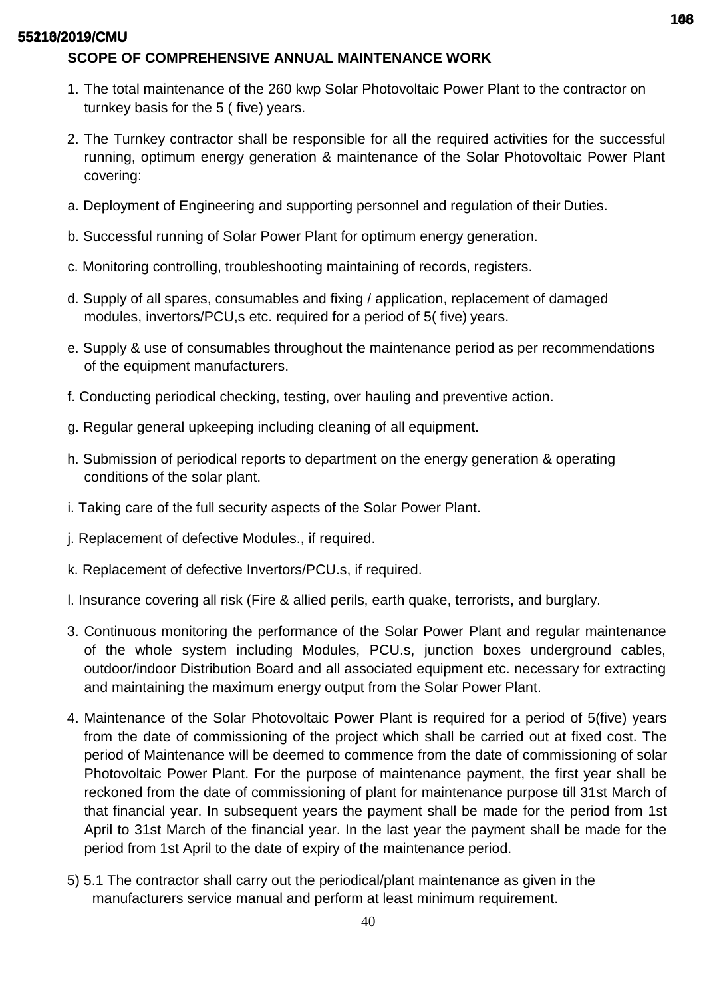# **SCOPE OF COMPREHENSIVE ANNUAL MAINTENANCE WORK**

- 1. The total maintenance of the 260 kwp Solar Photovoltaic Power Plant to the contractor on turnkey basis for the 5 ( five) years.
- 2. The Turnkey contractor shall be responsible for all the required activities for the successful running, optimum energy generation & maintenance of the Solar Photovoltaic Power Plant covering:
- a. Deployment of Engineering and supporting personnel and regulation of their Duties.
- b. Successful running of Solar Power Plant for optimum energy generation.
- c. Monitoring controlling, troubleshooting maintaining of records, registers.
- d. Supply of all spares, consumables and fixing / application, replacement of damaged modules, invertors/PCU,s etc. required for a period of 5( five) years.
- e. Supply & use of consumables throughout the maintenance period as per recommendations of the equipment manufacturers.
- f. Conducting periodical checking, testing, over hauling and preventive action.
- g. Regular general upkeeping including cleaning of all equipment.
- h. Submission of periodical reports to department on the energy generation & operating conditions of the solar plant.
- i. Taking care of the full security aspects of the Solar Power Plant.
- j. Replacement of defective Modules., if required.
- k. Replacement of defective Invertors/PCU.s, if required.
- l. Insurance covering all risk (Fire & allied perils, earth quake, terrorists, and burglary.
- 3. Continuous monitoring the performance of the Solar Power Plant and regular maintenance of the whole system including Modules, PCU.s, junction boxes underground cables, outdoor/indoor Distribution Board and all associated equipment etc. necessary for extracting and maintaining the maximum energy output from the Solar Power Plant.
- 4. Maintenance of the Solar Photovoltaic Power Plant is required for a period of 5(five) years from the date of commissioning of the project which shall be carried out at fixed cost. The period of Maintenance will be deemed to commence from the date of commissioning of solar Photovoltaic Power Plant. For the purpose of maintenance payment, the first year shall be reckoned from the date of commissioning of plant for maintenance purpose till 31st March of that financial year. In subsequent years the payment shall be made for the period from 1st April to 31st March of the financial year. In the last year the payment shall be made for the period from 1st April to the date of expiry of the maintenance period.
- 5) 5.1 The contractor shall carry out the periodical/plant maintenance as given in the manufacturers service manual and perform at least minimum requirement.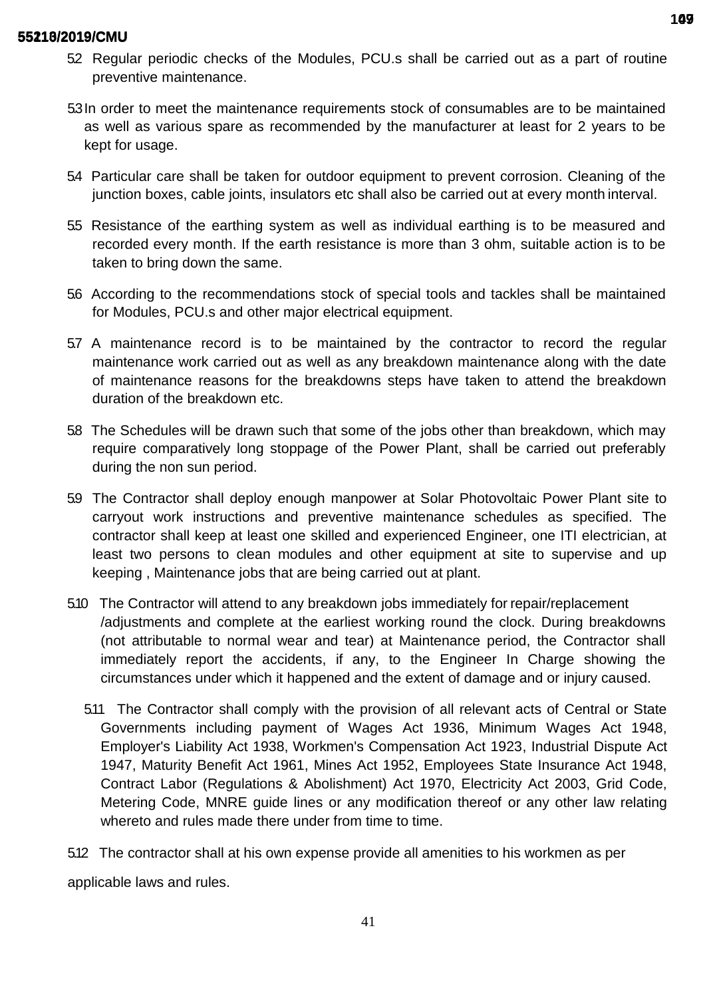- 52 Regular periodic checks of the Modules, PCU.s shall be carried out as a part of routine preventive maintenance.
- 5.3In order to meet the maintenance requirements stock of consumables are to be maintained as well as various spare as recommended by the manufacturer at least for 2 years to be kept for usage.
- 5.4 Particular care shall be taken for outdoor equipment to prevent corrosion. Cleaning of the junction boxes, cable joints, insulators etc shall also be carried out at every month interval.
- 5.5 Resistance of the earthing system as well as individual earthing is to be measured and recorded every month. If the earth resistance is more than 3 ohm, suitable action is to be taken to bring down the same.
- 5.6 According to the recommendations stock of special tools and tackles shall be maintained for Modules, PCU.s and other major electrical equipment.
- 5.7 A maintenance record is to be maintained by the contractor to record the regular maintenance work carried out as well as any breakdown maintenance along with the date of maintenance reasons for the breakdowns steps have taken to attend the breakdown duration of the breakdown etc.
- 5.8 The Schedules will be drawn such that some of the jobs other than breakdown, which may require comparatively long stoppage of the Power Plant, shall be carried out preferably during the non sun period.
- 5.9 The Contractor shall deploy enough manpower at Solar Photovoltaic Power Plant site to carryout work instructions and preventive maintenance schedules as specified. The contractor shall keep at least one skilled and experienced Engineer, one ITI electrician, at least two persons to clean modules and other equipment at site to supervise and up keeping , Maintenance jobs that are being carried out at plant.
- 5.10 The Contractor will attend to any breakdown jobs immediately for repair/replacement /adjustments and complete at the earliest working round the clock. During breakdowns (not attributable to normal wear and tear) at Maintenance period, the Contractor shall immediately report the accidents, if any, to the Engineer In Charge showing the circumstances under which it happened and the extent of damage and or injury caused.
	- 5.11 The Contractor shall comply with the provision of all relevant acts of Central or State Governments including payment of Wages Act 1936, Minimum Wages Act 1948, Employer's Liability Act 1938, Workmen's Compensation Act 1923, Industrial Dispute Act 1947, Maturity Benefit Act 1961, Mines Act 1952, Employees State Insurance Act 1948, Contract Labor (Regulations & Abolishment) Act 1970, Electricity Act 2003, Grid Code, Metering Code, MNRE guide lines or any modification thereof or any other law relating whereto and rules made there under from time to time.

5.12 The contractor shall at his own expense provide all amenities to his workmen as per applicable laws and rules.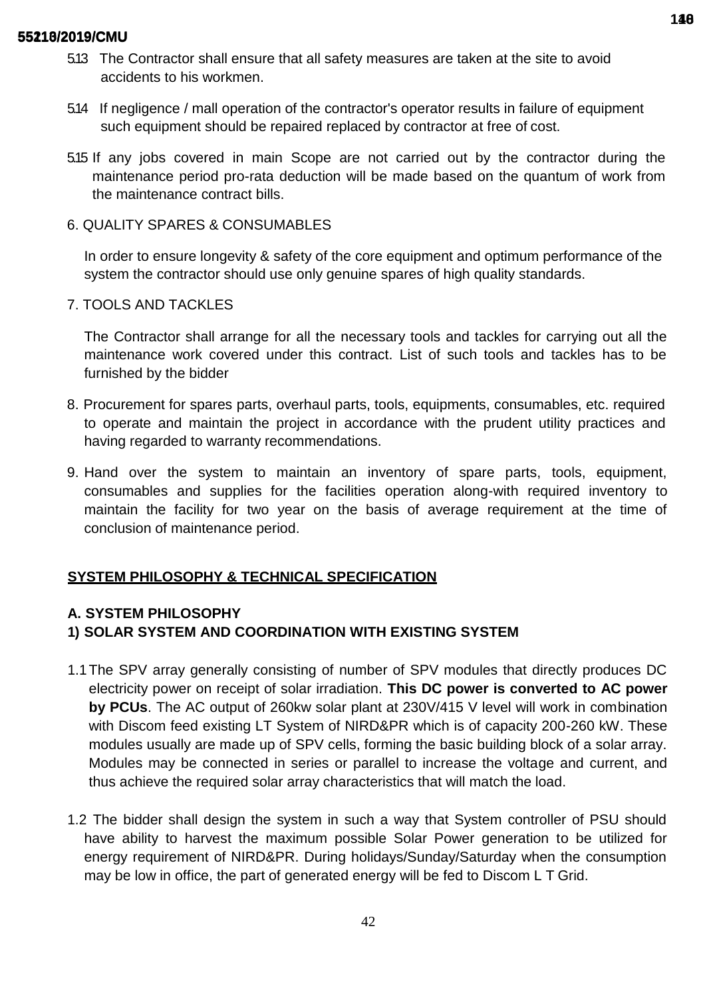- 5.13 The Contractor shall ensure that all safety measures are taken at the site to avoid accidents to his workmen.
- 5.14 If negligence / mall operation of the contractor's operator results in failure of equipment such equipment should be repaired replaced by contractor at free of cost.
- 5.15 If any jobs covered in main Scope are not carried out by the contractor during the maintenance period pro-rata deduction will be made based on the quantum of work from the maintenance contract bills.
- 6. QUALITY SPARES & CONSUMABLES

In order to ensure longevity & safety of the core equipment and optimum performance of the system the contractor should use only genuine spares of high quality standards.

7. TOOLS AND TACKLES

The Contractor shall arrange for all the necessary tools and tackles for carrying out all the maintenance work covered under this contract. List of such tools and tackles has to be furnished by the bidder

- 8. Procurement for spares parts, overhaul parts, tools, equipments, consumables, etc. required to operate and maintain the project in accordance with the prudent utility practices and having regarded to warranty recommendations.
- 9. Hand over the system to maintain an inventory of spare parts, tools, equipment, consumables and supplies for the facilities operation along-with required inventory to maintain the facility for two year on the basis of average requirement at the time of conclusion of maintenance period.

# **SYSTEM PHILOSOPHY & TECHNICAL SPECIFICATION**

# **A. SYSTEM PHILOSOPHY**

# **1) SOLAR SYSTEM AND COORDINATION WITH EXISTING SYSTEM**

- 1.1The SPV array generally consisting of number of SPV modules that directly produces DC electricity power on receipt of solar irradiation. **This DC power is converted to AC power by PCUs**. The AC output of 260kw solar plant at 230V/415 V level will work in combination with Discom feed existing LT System of NIRD&PR which is of capacity 200-260 kW. These modules usually are made up of SPV cells, forming the basic building block of a solar array. Modules may be connected in series or parallel to increase the voltage and current, and thus achieve the required solar array characteristics that will match the load.
- 1.2 The bidder shall design the system in such a way that System controller of PSU should have ability to harvest the maximum possible Solar Power generation to be utilized for energy requirement of NIRD&PR. During holidays/Sunday/Saturday when the consumption may be low in office, the part of generated energy will be fed to Discom L T Grid.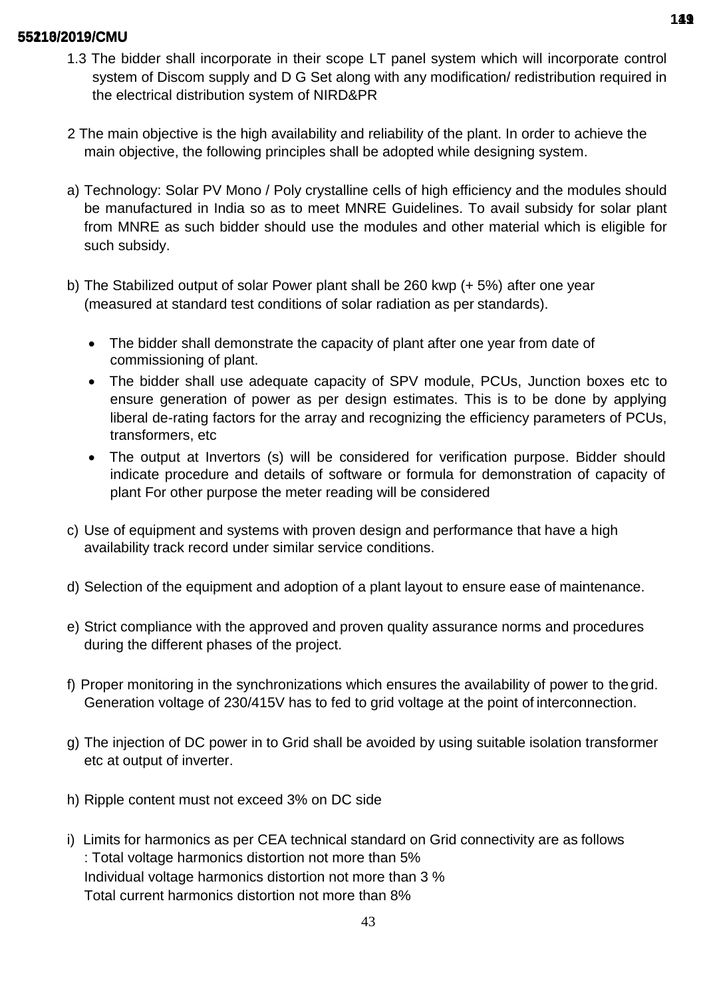- 1.3 The bidder shall incorporate in their scope LT panel system which will incorporate control system of Discom supply and D G Set along with any modification/ redistribution required in the electrical distribution system of NIRD&PR
- 2 The main objective is the high availability and reliability of the plant. In order to achieve the main objective, the following principles shall be adopted while designing system.
- a) Technology: Solar PV Mono / Poly crystalline cells of high efficiency and the modules should be manufactured in India so as to meet MNRE Guidelines. To avail subsidy for solar plant from MNRE as such bidder should use the modules and other material which is eligible for such subsidy.
- b) The Stabilized output of solar Power plant shall be 260 kwp (+ 5%) after one year (measured at standard test conditions of solar radiation as per standards).
	- The bidder shall demonstrate the capacity of plant after one year from date of commissioning of plant.
	- The bidder shall use adequate capacity of SPV module, PCUs, Junction boxes etc to ensure generation of power as per design estimates. This is to be done by applying liberal de-rating factors for the array and recognizing the efficiency parameters of PCUs, transformers, etc
	- The output at Invertors (s) will be considered for verification purpose. Bidder should indicate procedure and details of software or formula for demonstration of capacity of plant For other purpose the meter reading will be considered
- c) Use of equipment and systems with proven design and performance that have a high availability track record under similar service conditions.
- d) Selection of the equipment and adoption of a plant layout to ensure ease of maintenance.
- e) Strict compliance with the approved and proven quality assurance norms and procedures during the different phases of the project.
- f) Proper monitoring in the synchronizations which ensures the availability of power to thegrid. Generation voltage of 230/415V has to fed to grid voltage at the point of interconnection.
- g) The injection of DC power in to Grid shall be avoided by using suitable isolation transformer etc at output of inverter.
- h) Ripple content must not exceed 3% on DC side
- i) Limits for harmonics as per CEA technical standard on Grid connectivity are as follows : Total voltage harmonics distortion not more than 5% Individual voltage harmonics distortion not more than 3 % Total current harmonics distortion not more than 8%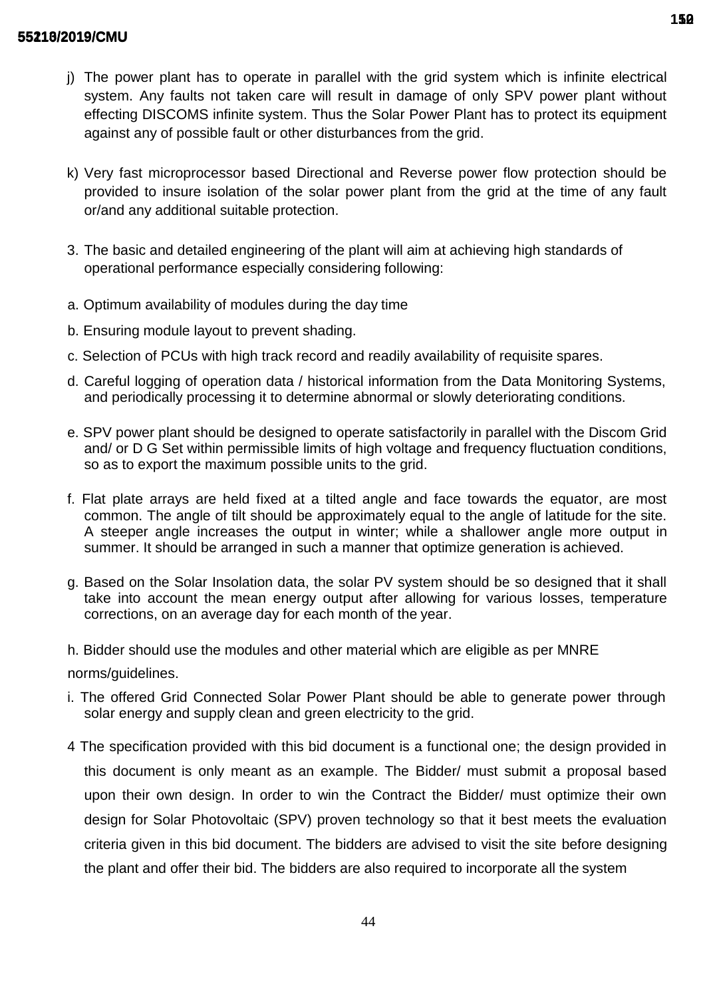- j) The power plant has to operate in parallel with the grid system which is infinite electrical system. Any faults not taken care will result in damage of only SPV power plant without effecting DISCOMS infinite system. Thus the Solar Power Plant has to protect its equipment against any of possible fault or other disturbances from the grid.
- k) Very fast microprocessor based Directional and Reverse power flow protection should be provided to insure isolation of the solar power plant from the grid at the time of any fault or/and any additional suitable protection.
- 3. The basic and detailed engineering of the plant will aim at achieving high standards of operational performance especially considering following:
- a. Optimum availability of modules during the day time
- b. Ensuring module layout to prevent shading.
- c. Selection of PCUs with high track record and readily availability of requisite spares.
- d. Careful logging of operation data / historical information from the Data Monitoring Systems, and periodically processing it to determine abnormal or slowly deteriorating conditions.
- e. SPV power plant should be designed to operate satisfactorily in parallel with the Discom Grid and/ or D G Set within permissible limits of high voltage and frequency fluctuation conditions, so as to export the maximum possible units to the grid.
- f. Flat plate arrays are held fixed at a tilted angle and face towards the equator, are most common. The angle of tilt should be approximately equal to the angle of latitude for the site. A steeper angle increases the output in winter; while a shallower angle more output in summer. It should be arranged in such a manner that optimize generation is achieved.
- g. Based on the Solar Insolation data, the solar PV system should be so designed that it shall take into account the mean energy output after allowing for various losses, temperature corrections, on an average day for each month of the year.
- h. Bidder should use the modules and other material which are eligible as per MNRE norms/guidelines.
- i. The offered Grid Connected Solar Power Plant should be able to generate power through solar energy and supply clean and green electricity to the grid.
- 4 The specification provided with this bid document is a functional one; the design provided in this document is only meant as an example. The Bidder/ must submit a proposal based upon their own design. In order to win the Contract the Bidder/ must optimize their own design for Solar Photovoltaic (SPV) proven technology so that it best meets the evaluation criteria given in this bid document. The bidders are advised to visit the site before designing the plant and offer their bid. The bidders are also required to incorporate all the system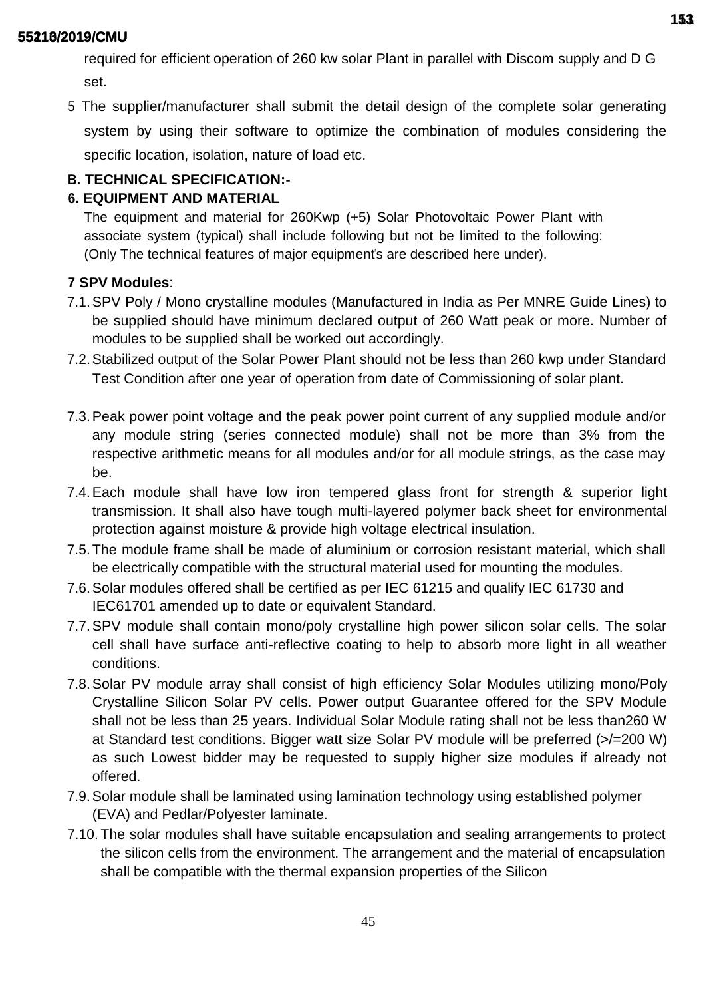required for efficient operation of 260 kw solar Plant in parallel with Discom supply and D G set.

5 The supplier/manufacturer shall submit the detail design of the complete solar generating system by using their software to optimize the combination of modules considering the specific location, isolation, nature of load etc.

# **B. TECHNICAL SPECIFICATION:-**

# **6. EQUIPMENT AND MATERIAL**

The equipment and material for 260Kwp (+5) Solar Photovoltaic Power Plant with associate system (typical) shall include following but not be limited to the following: (Only The technical features of major equipment's are described here under).

# **7 SPV Modules**:

- 7.1.SPV Poly / Mono crystalline modules (Manufactured in India as Per MNRE Guide Lines) to be supplied should have minimum declared output of 260 Watt peak or more. Number of modules to be supplied shall be worked out accordingly.
- 7.2.Stabilized output of the Solar Power Plant should not be less than 260 kwp under Standard Test Condition after one year of operation from date of Commissioning of solar plant.
- 7.3.Peak power point voltage and the peak power point current of any supplied module and/or any module string (series connected module) shall not be more than 3% from the respective arithmetic means for all modules and/or for all module strings, as the case may be.
- 7.4.Each module shall have low iron tempered glass front for strength & superior light transmission. It shall also have tough multi-layered polymer back sheet for environmental protection against moisture & provide high voltage electrical insulation.
- 7.5.The module frame shall be made of aluminium or corrosion resistant material, which shall be electrically compatible with the structural material used for mounting the modules.
- 7.6.Solar modules offered shall be certified as per IEC 61215 and qualify IEC 61730 and IEC61701 amended up to date or equivalent Standard.
- 7.7.SPV module shall contain mono/poly crystalline high power silicon solar cells. The solar cell shall have surface anti-reflective coating to help to absorb more light in all weather conditions.
- 7.8.Solar PV module array shall consist of high efficiency Solar Modules utilizing mono/Poly Crystalline Silicon Solar PV cells. Power output Guarantee offered for the SPV Module shall not be less than 25 years. Individual Solar Module rating shall not be less than260 W at Standard test conditions. Bigger watt size Solar PV module will be preferred (>/=200 W) as such Lowest bidder may be requested to supply higher size modules if already not offered.
- 7.9.Solar module shall be laminated using lamination technology using established polymer (EVA) and Pedlar/Polyester laminate.
- 7.10. The solar modules shall have suitable encapsulation and sealing arrangements to protect the silicon cells from the environment. The arrangement and the material of encapsulation shall be compatible with the thermal expansion properties of the Silicon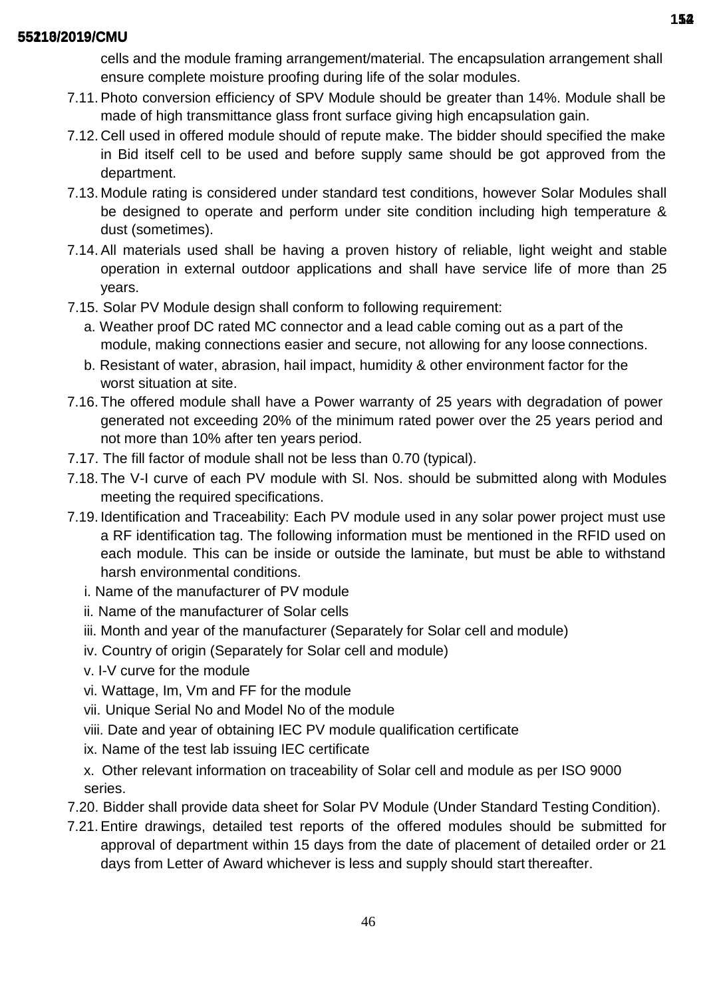cells and the module framing arrangement/material. The encapsulation arrangement shall ensure complete moisture proofing during life of the solar modules.

- 7.11.Photo conversion efficiency of SPV Module should be greater than 14%. Module shall be made of high transmittance glass front surface giving high encapsulation gain.
- 7.12. Cell used in offered module should of repute make. The bidder should specified the make in Bid itself cell to be used and before supply same should be got approved from the department.
- 7.13. Module rating is considered under standard test conditions, however Solar Modules shall be designed to operate and perform under site condition including high temperature & dust (sometimes).
- 7.14.All materials used shall be having a proven history of reliable, light weight and stable operation in external outdoor applications and shall have service life of more than 25 years.
- 7.15. Solar PV Module design shall conform to following requirement:
	- a. Weather proof DC rated MC connector and a lead cable coming out as a part of the module, making connections easier and secure, not allowing for any loose connections.
	- b. Resistant of water, abrasion, hail impact, humidity & other environment factor for the worst situation at site.
- 7.16. The offered module shall have a Power warranty of 25 years with degradation of power generated not exceeding 20% of the minimum rated power over the 25 years period and not more than 10% after ten years period.
- 7.17. The fill factor of module shall not be less than 0.70 (typical).
- 7.18. The V-I curve of each PV module with Sl. Nos. should be submitted along with Modules meeting the required specifications.
- 7.19. Identification and Traceability: Each PV module used in any solar power project must use a RF identification tag. The following information must be mentioned in the RFID used on each module. This can be inside or outside the laminate, but must be able to withstand harsh environmental conditions.
	- i. Name of the manufacturer of PV module
	- ii. Name of the manufacturer of Solar cells
	- iii. Month and year of the manufacturer (Separately for Solar cell and module)
	- iv. Country of origin (Separately for Solar cell and module)
	- v. I-V curve for the module
	- vi. Wattage, Im, Vm and FF for the module
	- vii. Unique Serial No and Model No of the module
	- viii. Date and year of obtaining IEC PV module qualification certificate
	- ix. Name of the test lab issuing IEC certificate
	- x. Other relevant information on traceability of Solar cell and module as per ISO 9000 series.
- 7.20. Bidder shall provide data sheet for Solar PV Module (Under Standard Testing Condition).
- 7.21.Entire drawings, detailed test reports of the offered modules should be submitted for approval of department within 15 days from the date of placement of detailed order or 21 days from Letter of Award whichever is less and supply should start thereafter.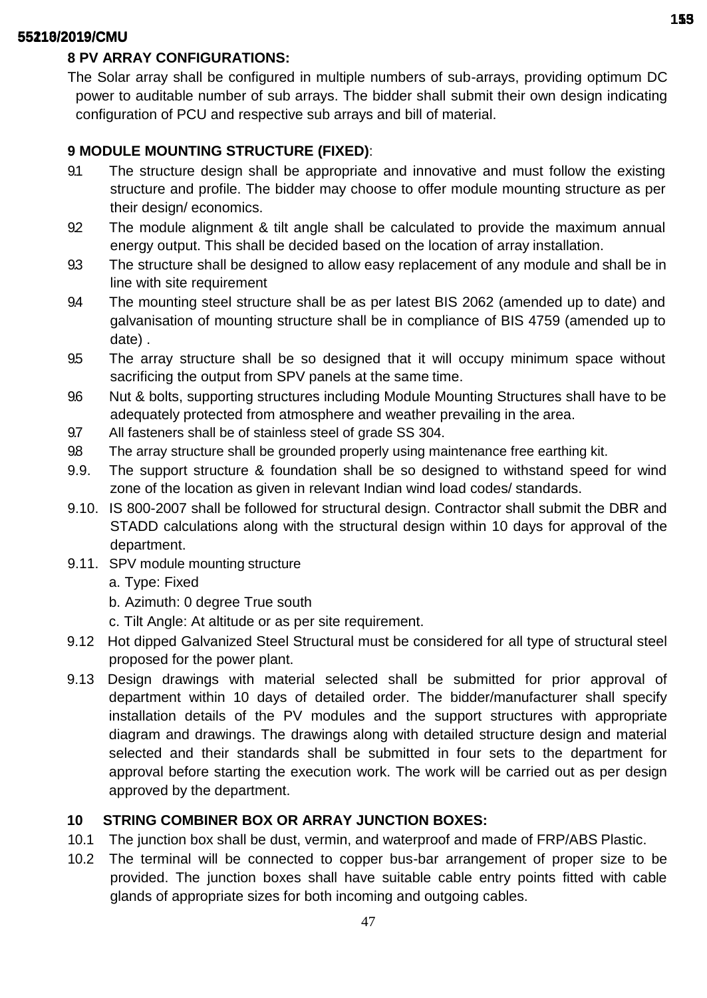# **8 PV ARRAY CONFIGURATIONS:**

The Solar array shall be configured in multiple numbers of sub-arrays, providing optimum DC power to auditable number of sub arrays. The bidder shall submit their own design indicating configuration of PCU and respective sub arrays and bill of material.

# **9 MODULE MOUNTING STRUCTURE (FIXED)**:

- 9.1 The structure design shall be appropriate and innovative and must follow the existing structure and profile. The bidder may choose to offer module mounting structure as per their design/ economics.
- 9.2 The module alignment & tilt angle shall be calculated to provide the maximum annual energy output. This shall be decided based on the location of array installation.
- 9.3 The structure shall be designed to allow easy replacement of any module and shall be in line with site requirement
- 9.4 The mounting steel structure shall be as per latest BIS 2062 (amended up to date) and galvanisation of mounting structure shall be in compliance of BIS 4759 (amended up to date) .
- 9.5 The array structure shall be so designed that it will occupy minimum space without sacrificing the output from SPV panels at the same time.
- 9.6 Nut & bolts, supporting structures including Module Mounting Structures shall have to be adequately protected from atmosphere and weather prevailing in the area.
- 9.7 All fasteners shall be of stainless steel of grade SS 304.
- 9.8 The array structure shall be grounded properly using maintenance free earthing kit.
- 9.9. The support structure & foundation shall be so designed to withstand speed for wind zone of the location as given in relevant Indian wind load codes/ standards.
- 9.10. IS 800-2007 shall be followed for structural design. Contractor shall submit the DBR and STADD calculations along with the structural design within 10 days for approval of the department.
- 9.11. SPV module mounting structure
	- a. Type: Fixed
	- b. Azimuth: 0 degree True south
	- c. Tilt Angle: At altitude or as per site requirement.
- 9.12 Hot dipped Galvanized Steel Structural must be considered for all type of structural steel proposed for the power plant.
- 9.13 Design drawings with material selected shall be submitted for prior approval of department within 10 days of detailed order. The bidder/manufacturer shall specify installation details of the PV modules and the support structures with appropriate diagram and drawings. The drawings along with detailed structure design and material selected and their standards shall be submitted in four sets to the department for approval before starting the execution work. The work will be carried out as per design approved by the department.

# **10 STRING COMBINER BOX OR ARRAY JUNCTION BOXES:**

- 10.1 The junction box shall be dust, vermin, and waterproof and made of FRP/ABS Plastic.
- 10.2 The terminal will be connected to copper bus-bar arrangement of proper size to be provided. The junction boxes shall have suitable cable entry points fitted with cable glands of appropriate sizes for both incoming and outgoing cables.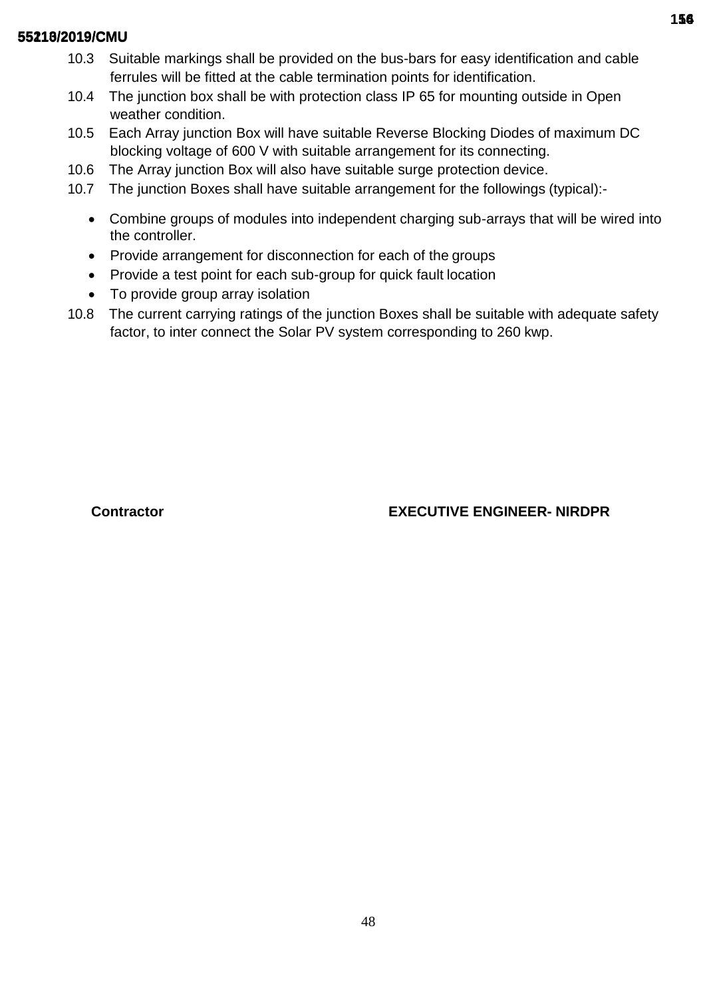- 10.3 Suitable markings shall be provided on the bus-bars for easy identification and cable ferrules will be fitted at the cable termination points for identification.
- 10.4 The junction box shall be with protection class IP 65 for mounting outside in Open weather condition.
- 10.5 Each Array junction Box will have suitable Reverse Blocking Diodes of maximum DC blocking voltage of 600 V with suitable arrangement for its connecting.
- 10.6 The Array junction Box will also have suitable surge protection device.
- 10.7 The junction Boxes shall have suitable arrangement for the followings (typical):-
	- Combine groups of modules into independent charging sub-arrays that will be wired into the controller.
	- Provide arrangement for disconnection for each of the groups
	- Provide a test point for each sub-group for quick fault location
	- To provide group array isolation
- 10.8 The current carrying ratings of the junction Boxes shall be suitable with adequate safety factor, to inter connect the Solar PV system corresponding to 260 kwp.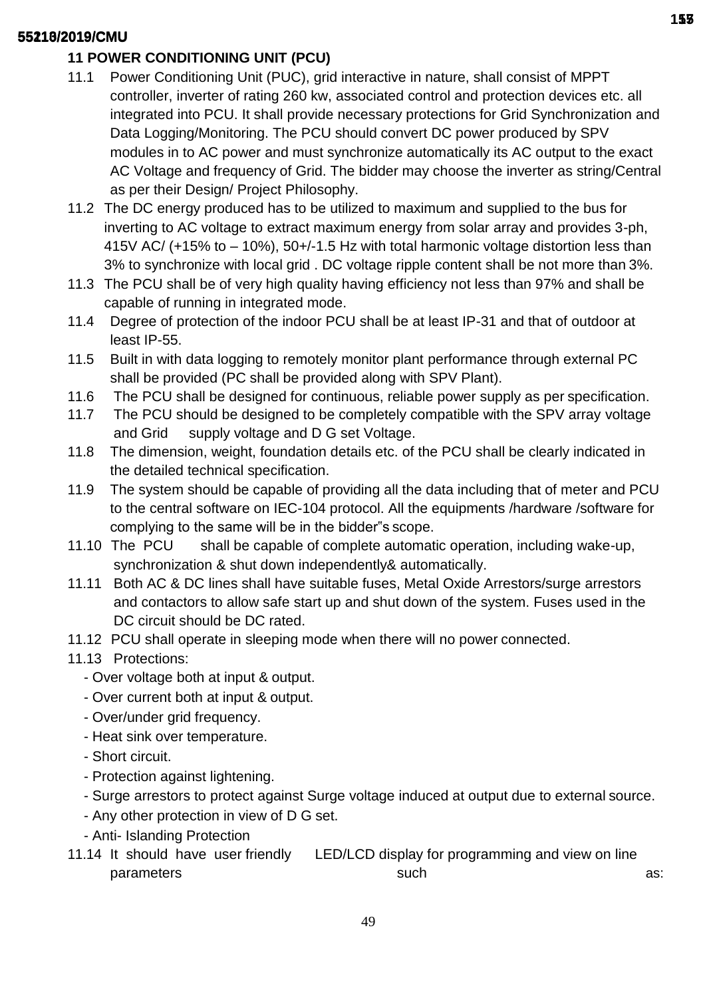# **11 POWER CONDITIONING UNIT (PCU)**

- 11.1 Power Conditioning Unit (PUC), grid interactive in nature, shall consist of MPPT controller, inverter of rating 260 kw, associated control and protection devices etc. all integrated into PCU. It shall provide necessary protections for Grid Synchronization and Data Logging/Monitoring. The PCU should convert DC power produced by SPV modules in to AC power and must synchronize automatically its AC output to the exact AC Voltage and frequency of Grid. The bidder may choose the inverter as string/Central as per their Design/ Project Philosophy.
- 11.2 The DC energy produced has to be utilized to maximum and supplied to the bus for inverting to AC voltage to extract maximum energy from solar array and provides 3-ph, 415V AC/ (+15% to – 10%), 50+/-1.5 Hz with total harmonic voltage distortion less than 3% to synchronize with local grid . DC voltage ripple content shall be not more than 3%.
- 11.3 The PCU shall be of very high quality having efficiency not less than 97% and shall be capable of running in integrated mode.
- 11.4 Degree of protection of the indoor PCU shall be at least IP-31 and that of outdoor at least IP-55.
- 11.5 Built in with data logging to remotely monitor plant performance through external PC shall be provided (PC shall be provided along with SPV Plant).
- 11.6 The PCU shall be designed for continuous, reliable power supply as per specification.
- 11.7 The PCU should be designed to be completely compatible with the SPV array voltage and Grid supply voltage and D G set Voltage.
- 11.8 The dimension, weight, foundation details etc. of the PCU shall be clearly indicated in the detailed technical specification.
- 11.9 The system should be capable of providing all the data including that of meter and PCU to the central software on IEC-104 protocol. All the equipments /hardware /software for complying to the same will be in the bidder"s scope.
- 11.10 The PCU shall be capable of complete automatic operation, including wake-up, synchronization & shut down independently& automatically.
- 11.11 Both AC & DC lines shall have suitable fuses, Metal Oxide Arrestors/surge arrestors and contactors to allow safe start up and shut down of the system. Fuses used in the DC circuit should be DC rated.
- 11.12 PCU shall operate in sleeping mode when there will no power connected.
- 11.13 Protections:
	- Over voltage both at input & output.
	- Over current both at input & output.
	- Over/under grid frequency.
	- Heat sink over temperature.
	- Short circuit.
	- Protection against lightening.
	- Surge arrestors to protect against Surge voltage induced at output due to external source.
	- Any other protection in view of D G set.
	- Anti- Islanding Protection
- 11.14 It should have user friendly LED/LCD display for programming and view on line parameters such as: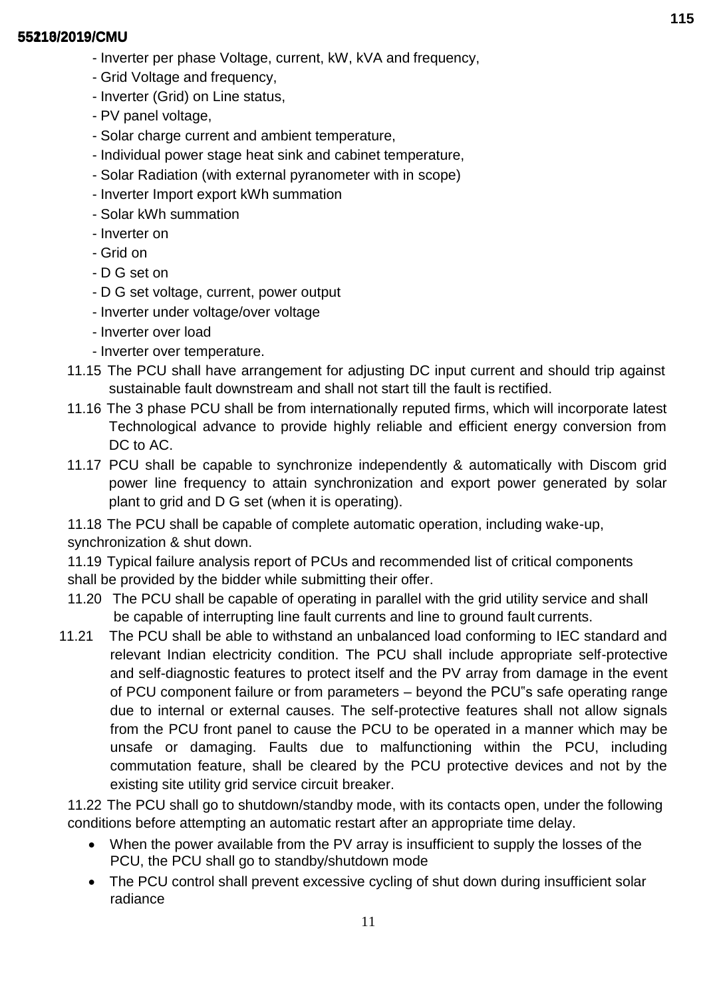- Inverter per phase Voltage, current, kW, kVA and frequency,
- Grid Voltage and frequency,
- Inverter (Grid) on Line status,
- PV panel voltage,
- Solar charge current and ambient temperature,
- Individual power stage heat sink and cabinet temperature,
- Solar Radiation (with external pyranometer with in scope)
- Inverter Import export kWh summation
- Solar kWh summation
- Inverter on
- Grid on
- D G set on
- D G set voltage, current, power output
- Inverter under voltage/over voltage
- Inverter over load
- Inverter over temperature.
- 11.15 The PCU shall have arrangement for adjusting DC input current and should trip against sustainable fault downstream and shall not start till the fault is rectified.
- 11.16 The 3 phase PCU shall be from internationally reputed firms, which will incorporate latest Technological advance to provide highly reliable and efficient energy conversion from DC to AC.
- 11.17 PCU shall be capable to synchronize independently & automatically with Discom grid power line frequency to attain synchronization and export power generated by solar plant to grid and D G set (when it is operating).

11.18 The PCU shall be capable of complete automatic operation, including wake-up, synchronization & shut down.

11.19 Typical failure analysis report of PCUs and recommended list of critical components shall be provided by the bidder while submitting their offer.

- 11.20 The PCU shall be capable of operating in parallel with the grid utility service and shall be capable of interrupting line fault currents and line to ground fault currents.
- 11.21 The PCU shall be able to withstand an unbalanced load conforming to IEC standard and relevant Indian electricity condition. The PCU shall include appropriate self-protective and self-diagnostic features to protect itself and the PV array from damage in the event of PCU component failure or from parameters – beyond the PCU"s safe operating range due to internal or external causes. The self-protective features shall not allow signals from the PCU front panel to cause the PCU to be operated in a manner which may be unsafe or damaging. Faults due to malfunctioning within the PCU, including commutation feature, shall be cleared by the PCU protective devices and not by the existing site utility grid service circuit breaker.

11.22 The PCU shall go to shutdown/standby mode, with its contacts open, under the following conditions before attempting an automatic restart after an appropriate time delay.

- When the power available from the PV array is insufficient to supply the losses of the PCU, the PCU shall go to standby/shutdown mode
- The PCU control shall prevent excessive cycling of shut down during insufficient solar radiance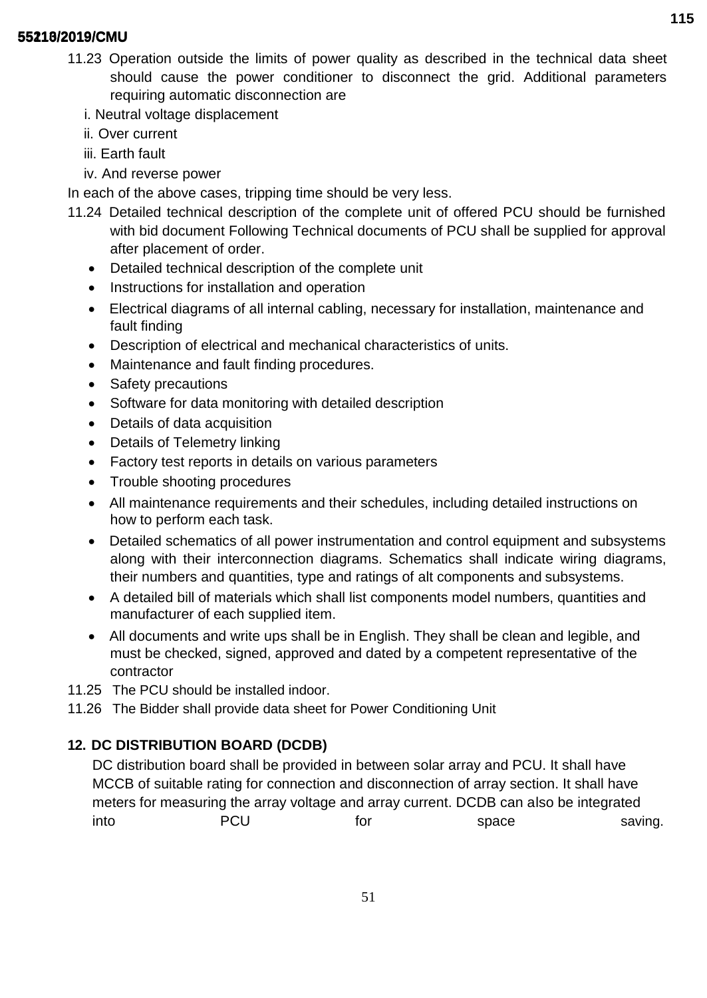- 11.23 Operation outside the limits of power quality as described in the technical data sheet should cause the power conditioner to disconnect the grid. Additional parameters requiring automatic disconnection are
	- i. Neutral voltage displacement
	- ii. Over current
	- iii. Earth fault
	- iv. And reverse power

In each of the above cases, tripping time should be very less.

- 11.24 Detailed technical description of the complete unit of offered PCU should be furnished with bid document Following Technical documents of PCU shall be supplied for approval after placement of order.
	- Detailed technical description of the complete unit
	- Instructions for installation and operation
	- Electrical diagrams of all internal cabling, necessary for installation, maintenance and fault finding
	- Description of electrical and mechanical characteristics of units.
	- Maintenance and fault finding procedures.
	- Safety precautions
	- Software for data monitoring with detailed description
	- Details of data acquisition
	- Details of Telemetry linking
	- Factory test reports in details on various parameters
	- Trouble shooting procedures
	- All maintenance requirements and their schedules, including detailed instructions on how to perform each task.
	- Detailed schematics of all power instrumentation and control equipment and subsystems along with their interconnection diagrams. Schematics shall indicate wiring diagrams, their numbers and quantities, type and ratings of alt components and subsystems.
	- A detailed bill of materials which shall list components model numbers, quantities and manufacturer of each supplied item.
	- All documents and write ups shall be in English. They shall be clean and legible, and must be checked, signed, approved and dated by a competent representative of the contractor
- 11.25 The PCU should be installed indoor.
- 11.26 The Bidder shall provide data sheet for Power Conditioning Unit

# **12. DC DISTRIBUTION BOARD (DCDB)**

DC distribution board shall be provided in between solar array and PCU. It shall have MCCB of suitable rating for connection and disconnection of array section. It shall have meters for measuring the array voltage and array current. DCDB can also be integrated into **PCU** for space saving.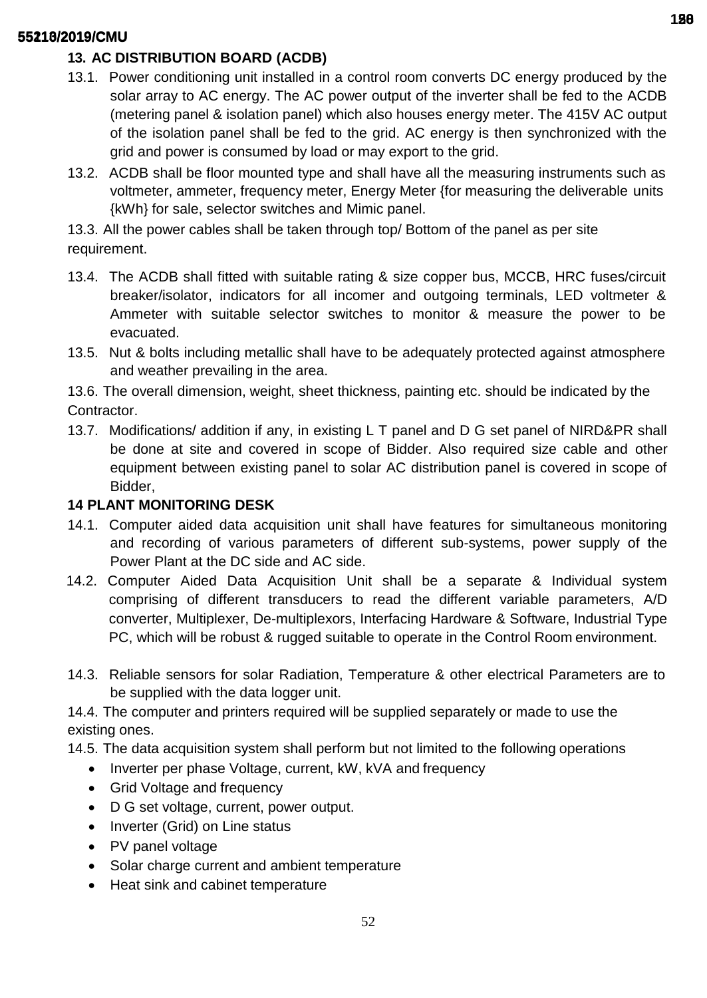# **13. AC DISTRIBUTION BOARD (ACDB)**

- 13.1. Power conditioning unit installed in a control room converts DC energy produced by the solar array to AC energy. The AC power output of the inverter shall be fed to the ACDB (metering panel & isolation panel) which also houses energy meter. The 415V AC output of the isolation panel shall be fed to the grid. AC energy is then synchronized with the grid and power is consumed by load or may export to the grid.
- 13.2. ACDB shall be floor mounted type and shall have all the measuring instruments such as voltmeter, ammeter, frequency meter, Energy Meter {for measuring the deliverable units {kWh} for sale, selector switches and Mimic panel.

13.3. All the power cables shall be taken through top/ Bottom of the panel as per site requirement.

- 13.4. The ACDB shall fitted with suitable rating & size copper bus, MCCB, HRC fuses/circuit breaker/isolator, indicators for all incomer and outgoing terminals, LED voltmeter & Ammeter with suitable selector switches to monitor & measure the power to be evacuated.
- 13.5. Nut & bolts including metallic shall have to be adequately protected against atmosphere and weather prevailing in the area.

13.6. The overall dimension, weight, sheet thickness, painting etc. should be indicated by the Contractor.

13.7. Modifications/ addition if any, in existing L T panel and D G set panel of NIRD&PR shall be done at site and covered in scope of Bidder. Also required size cable and other equipment between existing panel to solar AC distribution panel is covered in scope of Bidder,

# **14 PLANT MONITORING DESK**

- 14.1. Computer aided data acquisition unit shall have features for simultaneous monitoring and recording of various parameters of different sub-systems, power supply of the Power Plant at the DC side and AC side.
- 14.2. Computer Aided Data Acquisition Unit shall be a separate & Individual system comprising of different transducers to read the different variable parameters, A/D converter, Multiplexer, De-multiplexors, Interfacing Hardware & Software, Industrial Type PC, which will be robust & rugged suitable to operate in the Control Room environment.
- 14.3. Reliable sensors for solar Radiation, Temperature & other electrical Parameters are to be supplied with the data logger unit.

14.4. The computer and printers required will be supplied separately or made to use the existing ones.

14.5. The data acquisition system shall perform but not limited to the following operations

- Inverter per phase Voltage, current, kW, kVA and frequency
- Grid Voltage and frequency
- D G set voltage, current, power output.
- Inverter (Grid) on Line status
- PV panel voltage
- Solar charge current and ambient temperature
- Heat sink and cabinet temperature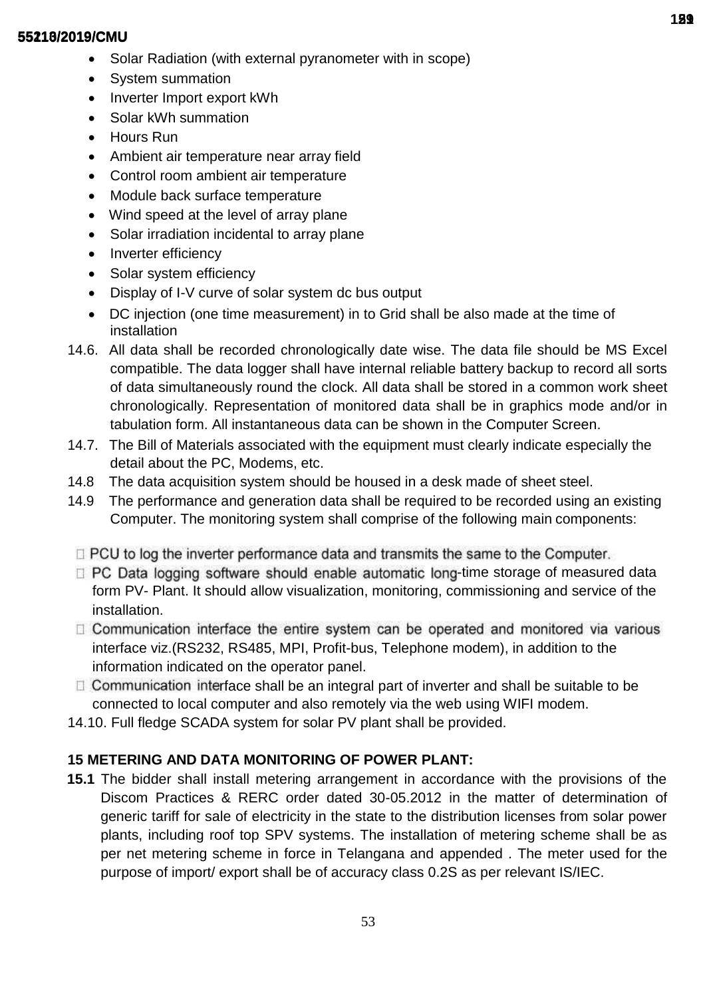- Solar Radiation (with external pyranometer with in scope)
- System summation
- Inverter Import export kWh
- Solar kWh summation
- Hours Run
- Ambient air temperature near array field
- Control room ambient air temperature
- Module back surface temperature
- Wind speed at the level of array plane
- Solar irradiation incidental to array plane
- Inverter efficiency
- Solar system efficiency
- Display of I-V curve of solar system dc bus output
- DC injection (one time measurement) in to Grid shall be also made at the time of installation
- 14.6. All data shall be recorded chronologically date wise. The data file should be MS Excel compatible. The data logger shall have internal reliable battery backup to record all sorts of data simultaneously round the clock. All data shall be stored in a common work sheet chronologically. Representation of monitored data shall be in graphics mode and/or in tabulation form. All instantaneous data can be shown in the Computer Screen.
- 14.7. The Bill of Materials associated with the equipment must clearly indicate especially the detail about the PC, Modems, etc.
- 14.8 The data acquisition system should be housed in a desk made of sheet steel.
- 14.9 The performance and generation data shall be required to be recorded using an existing Computer. The monitoring system shall comprise of the following main components:
- $\Box$  PCU to log the inverter performance data and transmits the same to the Computer.
- $\Box$  PC Data logging software should enable automatic long-time storage of measured data form PV- Plant. It should allow visualization, monitoring, commissioning and service of the installation.
- $\Box$  Communication interface the entire system can be operated and monitored via various interface viz.(RS232, RS485, MPI, Profit-bus, Telephone modem), in addition to the information indicated on the operator panel.
- $\Box$  Communication interface shall be an integral part of inverter and shall be suitable to be connected to local computer and also remotely via the web using WIFI modem.
- 14.10. Full fledge SCADA system for solar PV plant shall be provided.

# **15 METERING AND DATA MONITORING OF POWER PLANT:**

**15.1** The bidder shall install metering arrangement in accordance with the provisions of the Discom Practices & RERC order dated 30-05.2012 in the matter of determination of generic tariff for sale of electricity in the state to the distribution licenses from solar power plants, including roof top SPV systems. The installation of metering scheme shall be as per net metering scheme in force in Telangana and appended . The meter used for the purpose of import/ export shall be of accuracy class 0.2S as per relevant IS/IEC.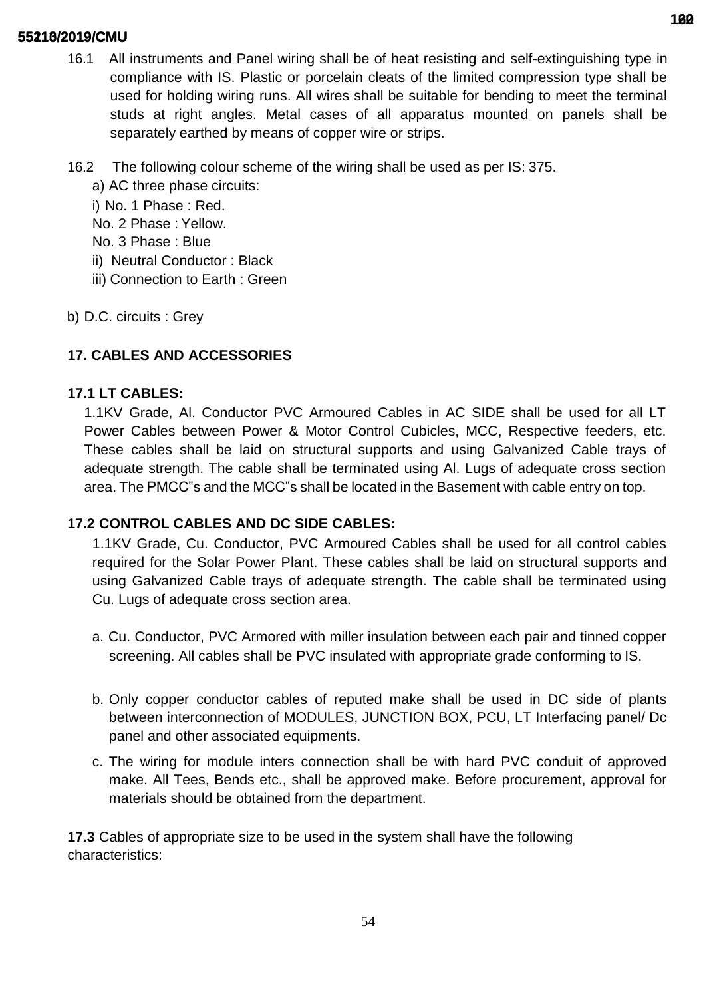- 16.1 All instruments and Panel wiring shall be of heat resisting and self-extinguishing type in compliance with IS. Plastic or porcelain cleats of the limited compression type shall be used for holding wiring runs. All wires shall be suitable for bending to meet the terminal studs at right angles. Metal cases of all apparatus mounted on panels shall be separately earthed by means of copper wire or strips.
- 16.2 The following colour scheme of the wiring shall be used as per IS: 375.
	- a) AC three phase circuits:
	- i) No. 1 Phase : Red.
	- No. 2 Phase : Yellow.
	- No. 3 Phase : Blue
	- ii) Neutral Conductor : Black
	- iii) Connection to Earth : Green
- b) D.C. circuits : Grey

# **17. CABLES AND ACCESSORIES**

## **17.1 LT CABLES:**

1.1KV Grade, Al. Conductor PVC Armoured Cables in AC SIDE shall be used for all LT Power Cables between Power & Motor Control Cubicles, MCC, Respective feeders, etc. These cables shall be laid on structural supports and using Galvanized Cable trays of adequate strength. The cable shall be terminated using Al. Lugs of adequate cross section area. The PMCC"s and the MCC"s shall be located in the Basement with cable entry on top.

# **17.2 CONTROL CABLES AND DC SIDE CABLES:**

1.1KV Grade, Cu. Conductor, PVC Armoured Cables shall be used for all control cables required for the Solar Power Plant. These cables shall be laid on structural supports and using Galvanized Cable trays of adequate strength. The cable shall be terminated using Cu. Lugs of adequate cross section area.

- a. Cu. Conductor, PVC Armored with miller insulation between each pair and tinned copper screening. All cables shall be PVC insulated with appropriate grade conforming to IS.
- b. Only copper conductor cables of reputed make shall be used in DC side of plants between interconnection of MODULES, JUNCTION BOX, PCU, LT Interfacing panel/ Dc panel and other associated equipments.
- c. The wiring for module inters connection shall be with hard PVC conduit of approved make. All Tees, Bends etc., shall be approved make. Before procurement, approval for materials should be obtained from the department.

**17.3** Cables of appropriate size to be used in the system shall have the following characteristics: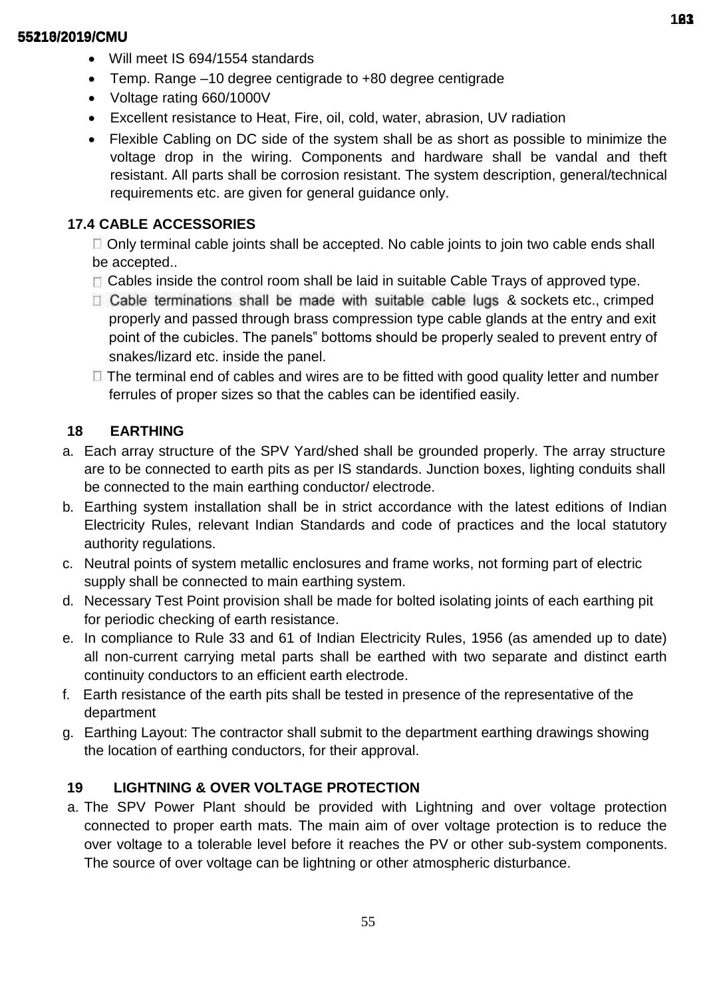- Will meet IS 694/1554 standards
- Temp. Range –10 degree centigrade to +80 degree centigrade
- Voltage rating 660/1000V
- Excellent resistance to Heat, Fire, oil, cold, water, abrasion, UV radiation
- Flexible Cabling on DC side of the system shall be as short as possible to minimize the voltage drop in the wiring. Components and hardware shall be vandal and theft resistant. All parts shall be corrosion resistant. The system description, general/technical requirements etc. are given for general guidance only.

# **17.4 CABLE ACCESSORIES**

Only terminal cable joints shall be accepted. No cable joints to join two cable ends shall be accepted..

- $\Box$  Cables inside the control room shall be laid in suitable Cable Trays of approved type.
- $\Box$  Cable terminations shall be made with suitable cable lugs & sockets etc., crimped properly and passed through brass compression type cable glands at the entry and exit point of the cubicles. The panels" bottoms should be properly sealed to prevent entry of snakes/lizard etc. inside the panel.
- $\Box$  The terminal end of cables and wires are to be fitted with good quality letter and number ferrules of proper sizes so that the cables can be identified easily.

# **18 EARTHING**

- a. Each array structure of the SPV Yard/shed shall be grounded properly. The array structure are to be connected to earth pits as per IS standards. Junction boxes, lighting conduits shall be connected to the main earthing conductor/ electrode.
- b. Earthing system installation shall be in strict accordance with the latest editions of Indian Electricity Rules, relevant Indian Standards and code of practices and the local statutory authority regulations.
- c. Neutral points of system metallic enclosures and frame works, not forming part of electric supply shall be connected to main earthing system.
- d. Necessary Test Point provision shall be made for bolted isolating joints of each earthing pit for periodic checking of earth resistance.
- e. In compliance to Rule 33 and 61 of Indian Electricity Rules, 1956 (as amended up to date) all non-current carrying metal parts shall be earthed with two separate and distinct earth continuity conductors to an efficient earth electrode.
- f. Earth resistance of the earth pits shall be tested in presence of the representative of the department
- g. Earthing Layout: The contractor shall submit to the department earthing drawings showing the location of earthing conductors, for their approval.

# **19 LIGHTNING & OVER VOLTAGE PROTECTION**

a. The SPV Power Plant should be provided with Lightning and over voltage protection connected to proper earth mats. The main aim of over voltage protection is to reduce the over voltage to a tolerable level before it reaches the PV or other sub-system components. The source of over voltage can be lightning or other atmospheric disturbance.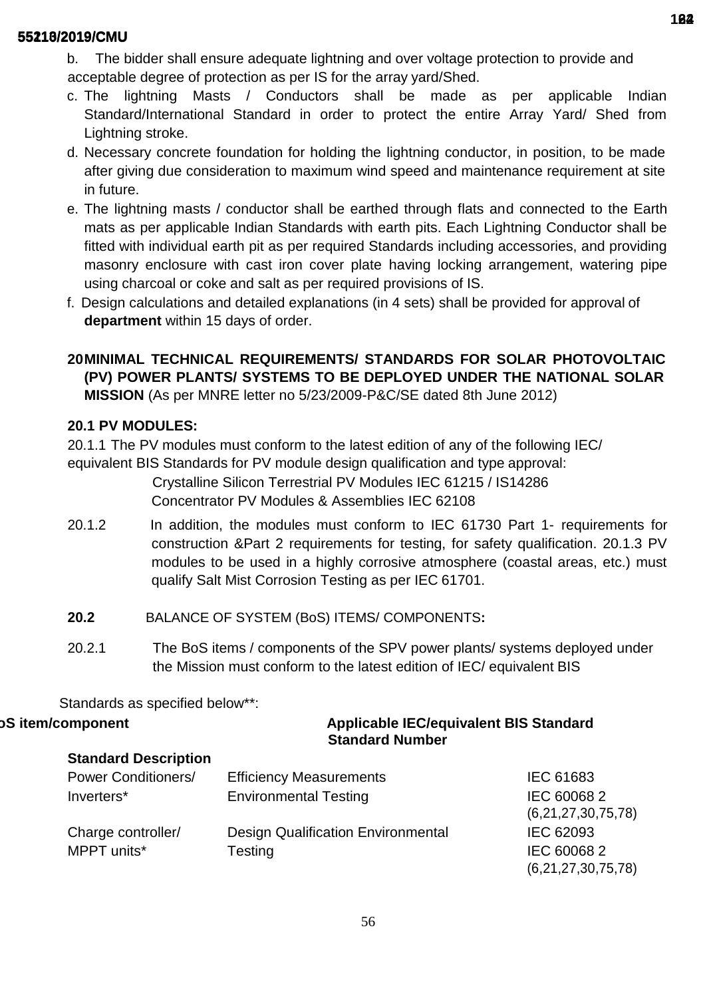- b. The bidder shall ensure adequate lightning and over voltage protection to provide and acceptable degree of protection as per IS for the array yard/Shed.
- c. The lightning Masts / Conductors shall be made as per applicable Indian Standard/International Standard in order to protect the entire Array Yard/ Shed from Lightning stroke.
- d. Necessary concrete foundation for holding the lightning conductor, in position, to be made after giving due consideration to maximum wind speed and maintenance requirement at site in future.
- e. The lightning masts / conductor shall be earthed through flats and connected to the Earth mats as per applicable Indian Standards with earth pits. Each Lightning Conductor shall be fitted with individual earth pit as per required Standards including accessories, and providing masonry enclosure with cast iron cover plate having locking arrangement, watering pipe using charcoal or coke and salt as per required provisions of IS.
- f. Design calculations and detailed explanations (in 4 sets) shall be provided for approval of **department** within 15 days of order.

# **20MINIMAL TECHNICAL REQUIREMENTS/ STANDARDS FOR SOLAR PHOTOVOLTAIC (PV) POWER PLANTS/ SYSTEMS TO BE DEPLOYED UNDER THE NATIONAL SOLAR MISSION** (As per MNRE letter no 5/23/2009-P&C/SE dated 8th June 2012)

# **20.1 PV MODULES:**

20.1.1 The PV modules must conform to the latest edition of any of the following IEC/ equivalent BIS Standards for PV module design qualification and type approval: Crystalline Silicon Terrestrial PV Modules IEC 61215 / IS14286

Concentrator PV Modules & Assemblies IEC 62108

- 20.1.2 In addition, the modules must conform to IEC 61730 Part 1- requirements for construction &Part 2 requirements for testing, for safety qualification. 20.1.3 PV modules to be used in a highly corrosive atmosphere (coastal areas, etc.) must qualify Salt Mist Corrosion Testing as per IEC 61701.
- **20.2** BALANCE OF SYSTEM (BoS) ITEMS/ COMPONENTS**:**
- 20.2.1 The BoS items / components of the SPV power plants/ systems deployed under the Mission must conform to the latest edition of IEC/ equivalent BIS

Standards as specified below\*\*:

# **oS item/component Applicable IEC/equivalent BIS Standard Standard Number**

## **Standard Description**

| <b>Power Conditioners/</b> | <b>Efficiency Measurements</b>            | <b>IEC 61683</b>   |
|----------------------------|-------------------------------------------|--------------------|
| Inverters*                 | <b>Environmental Testing</b>              | IEC 600682         |
|                            |                                           | (6,21,27,30,75,78) |
| Charge controller/         | <b>Design Qualification Environmental</b> | IEC 62093          |
| MPPT units*                | Testing                                   | IEC 600682         |
|                            |                                           | (6,21,27,30,75,78) |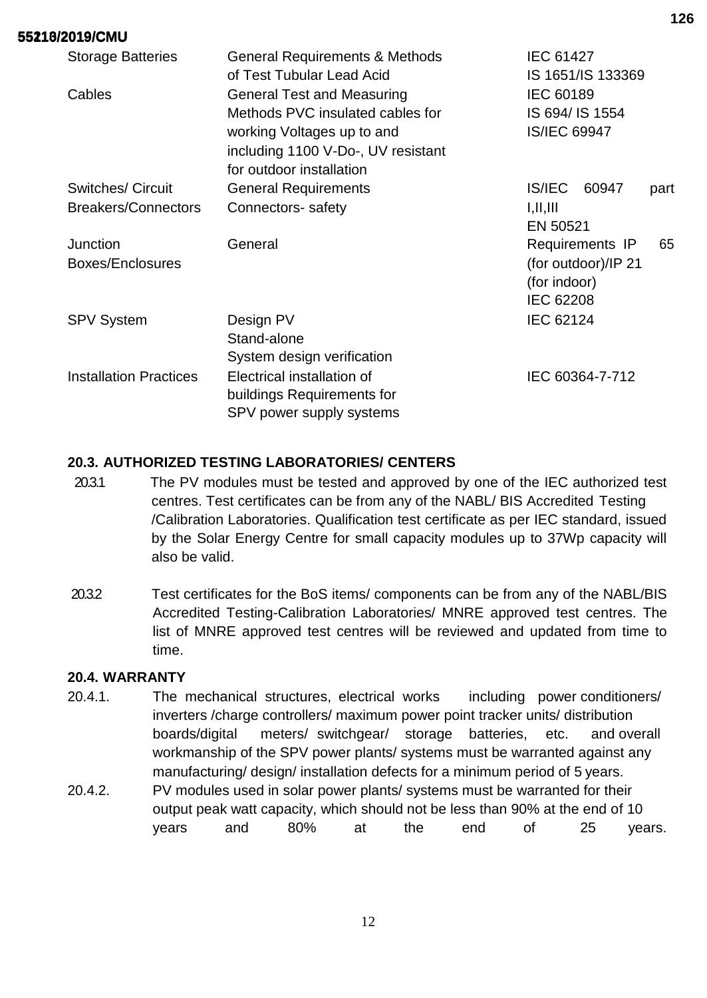| <b>Storage Batteries</b>      | <b>General Requirements &amp; Methods</b> | <b>IEC 61427</b>        |
|-------------------------------|-------------------------------------------|-------------------------|
|                               | of Test Tubular Lead Acid                 | IS 1651/IS 133369       |
| Cables                        | <b>General Test and Measuring</b>         | <b>IEC 60189</b>        |
|                               | Methods PVC insulated cables for          | IS 694/ IS 1554         |
|                               | working Voltages up to and                | <b>IS/IEC 69947</b>     |
|                               | including 1100 V-Do-, UV resistant        |                         |
|                               | for outdoor installation                  |                         |
| <b>Switches/ Circuit</b>      | <b>General Requirements</b>               | IS/IEC<br>60947<br>part |
| <b>Breakers/Connectors</b>    | Connectors- safety                        | I, II, III              |
|                               |                                           | EN 50521                |
| Junction                      | General                                   | Requirements IP<br>65   |
| Boxes/Enclosures              |                                           | (for outdoor)/IP 21     |
|                               |                                           | (for indoor)            |
|                               |                                           | <b>IEC 62208</b>        |
| <b>SPV System</b>             | Design PV                                 | <b>IEC 62124</b>        |
|                               | Stand-alone                               |                         |
|                               | System design verification                |                         |
| <b>Installation Practices</b> | Electrical installation of                | IEC 60364-7-712         |
|                               | buildings Requirements for                |                         |
|                               | SPV power supply systems                  |                         |

# **20.3. AUTHORIZED TESTING LABORATORIES/ CENTERS**

- 20.3.1 The PV modules must be tested and approved by one of the IEC authorized test centres. Test certificates can be from any of the NABL/ BIS Accredited Testing /Calibration Laboratories. Qualification test certificate as per IEC standard, issued by the Solar Energy Centre for small capacity modules up to 37Wp capacity will also be valid.
- 20.3.2 Test certificates for the BoS items/ components can be from any of the NABL/BIS Accredited Testing-Calibration Laboratories/ MNRE approved test centres. The list of MNRE approved test centres will be reviewed and updated from time to time.

## **20.4. WARRANTY**

- 20.4.1. The mechanical structures, electrical works including power conditioners/ inverters /charge controllers/ maximum power point tracker units/ distribution boards/digital meters/ switchgear/ storage batteries, etc. and overall workmanship of the SPV power plants/ systems must be warranted against any manufacturing/ design/ installation defects for a minimum period of 5 years.
- 20.4.2. PV modules used in solar power plants/ systems must be warranted for their output peak watt capacity, which should not be less than 90% at the end of 10 years and 80% at the end of 25 years.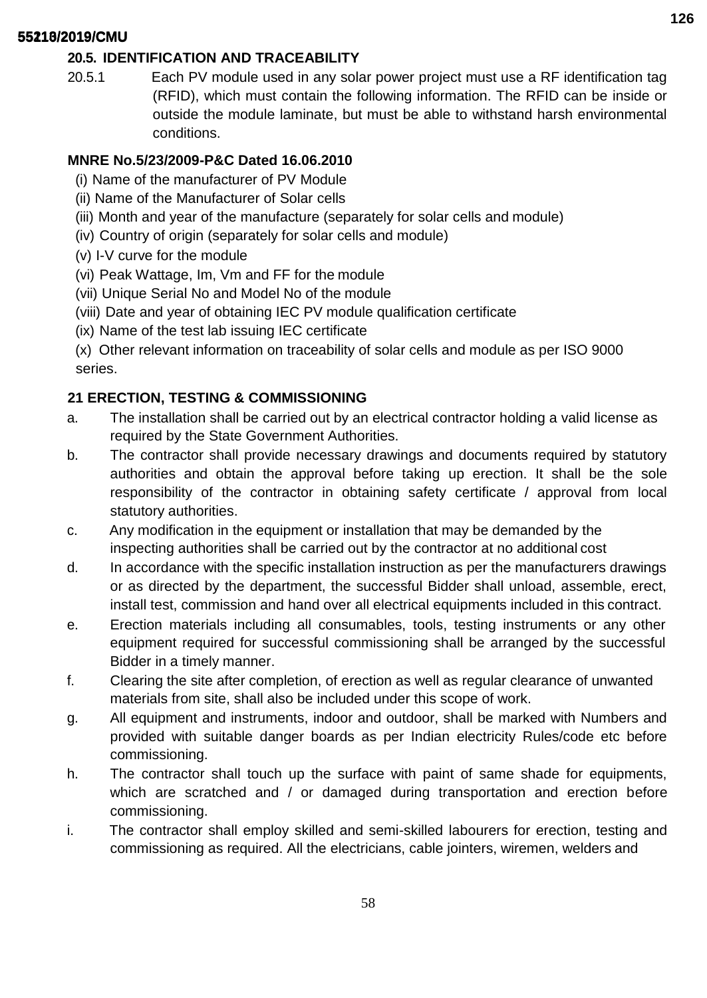# **20.5. IDENTIFICATION AND TRACEABILITY**

20.5.1 Each PV module used in any solar power project must use a RF identification tag (RFID), which must contain the following information. The RFID can be inside or outside the module laminate, but must be able to withstand harsh environmental conditions.

## **MNRE No.5/23/2009-P&C Dated 16.06.2010**

- (i) Name of the manufacturer of PV Module
- (ii) Name of the Manufacturer of Solar cells
- (iii) Month and year of the manufacture (separately for solar cells and module)
- (iv) Country of origin (separately for solar cells and module)
- (v) I-V curve for the module
- (vi) Peak Wattage, Im, Vm and FF for the module
- (vii) Unique Serial No and Model No of the module
- (viii) Date and year of obtaining IEC PV module qualification certificate
- (ix) Name of the test lab issuing IEC certificate

(x) Other relevant information on traceability of solar cells and module as per ISO 9000 series.

# **21 ERECTION, TESTING & COMMISSIONING**

- a. The installation shall be carried out by an electrical contractor holding a valid license as required by the State Government Authorities.
- b. The contractor shall provide necessary drawings and documents required by statutory authorities and obtain the approval before taking up erection. It shall be the sole responsibility of the contractor in obtaining safety certificate / approval from local statutory authorities.
- c. Any modification in the equipment or installation that may be demanded by the inspecting authorities shall be carried out by the contractor at no additional cost
- d. In accordance with the specific installation instruction as per the manufacturers drawings or as directed by the department, the successful Bidder shall unload, assemble, erect, install test, commission and hand over all electrical equipments included in this contract.
- e. Erection materials including all consumables, tools, testing instruments or any other equipment required for successful commissioning shall be arranged by the successful Bidder in a timely manner.
- f. Clearing the site after completion, of erection as well as regular clearance of unwanted materials from site, shall also be included under this scope of work.
- g. All equipment and instruments, indoor and outdoor, shall be marked with Numbers and provided with suitable danger boards as per Indian electricity Rules/code etc before commissioning.
- h. The contractor shall touch up the surface with paint of same shade for equipments, which are scratched and / or damaged during transportation and erection before commissioning.
- i. The contractor shall employ skilled and semi-skilled labourers for erection, testing and commissioning as required. All the electricians, cable jointers, wiremen, welders and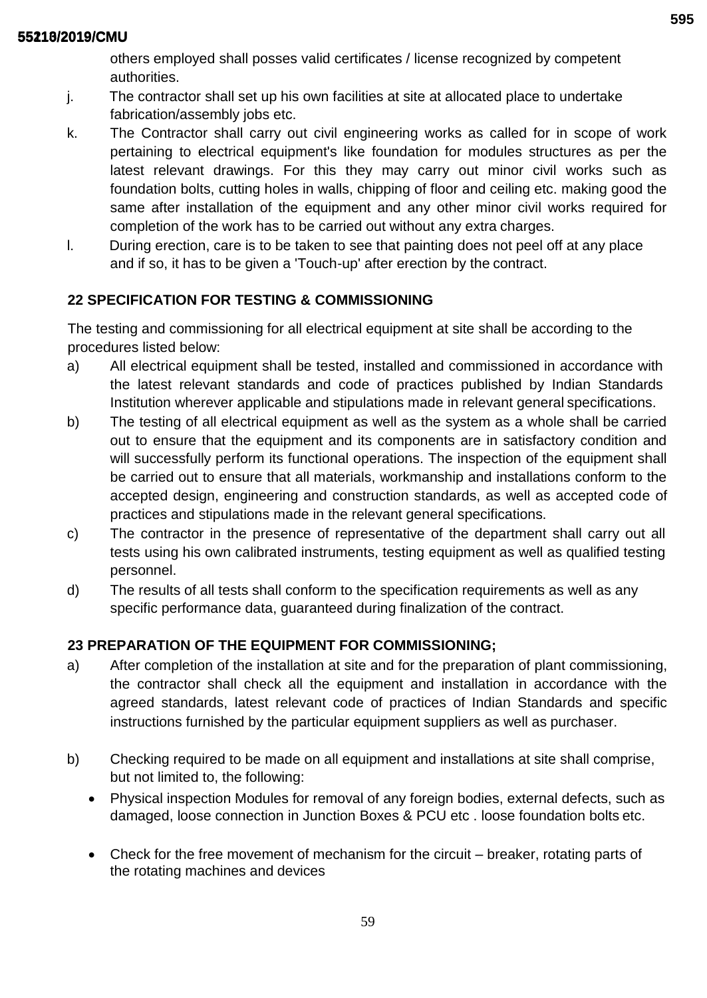others employed shall posses valid certificates / license recognized by competent authorities.

- j. The contractor shall set up his own facilities at site at allocated place to undertake fabrication/assembly jobs etc.
- k. The Contractor shall carry out civil engineering works as called for in scope of work pertaining to electrical equipment's like foundation for modules structures as per the latest relevant drawings. For this they may carry out minor civil works such as foundation bolts, cutting holes in walls, chipping of floor and ceiling etc. making good the same after installation of the equipment and any other minor civil works required for completion of the work has to be carried out without any extra charges.
- l. During erection, care is to be taken to see that painting does not peel off at any place and if so, it has to be given a 'Touch-up' after erection by the contract.

# **22 SPECIFICATION FOR TESTING & COMMISSIONING**

The testing and commissioning for all electrical equipment at site shall be according to the procedures listed below:

- a) All electrical equipment shall be tested, installed and commissioned in accordance with the latest relevant standards and code of practices published by Indian Standards Institution wherever applicable and stipulations made in relevant general specifications.
- b) The testing of all electrical equipment as well as the system as a whole shall be carried out to ensure that the equipment and its components are in satisfactory condition and will successfully perform its functional operations. The inspection of the equipment shall be carried out to ensure that all materials, workmanship and installations conform to the accepted design, engineering and construction standards, as well as accepted code of practices and stipulations made in the relevant general specifications.
- c) The contractor in the presence of representative of the department shall carry out all tests using his own calibrated instruments, testing equipment as well as qualified testing personnel.
- d) The results of all tests shall conform to the specification requirements as well as any specific performance data, guaranteed during finalization of the contract.

# **23 PREPARATION OF THE EQUIPMENT FOR COMMISSIONING;**

- a) After completion of the installation at site and for the preparation of plant commissioning, the contractor shall check all the equipment and installation in accordance with the agreed standards, latest relevant code of practices of Indian Standards and specific instructions furnished by the particular equipment suppliers as well as purchaser.
- b) Checking required to be made on all equipment and installations at site shall comprise, but not limited to, the following:
	- Physical inspection Modules for removal of any foreign bodies, external defects, such as damaged, loose connection in Junction Boxes & PCU etc . loose foundation bolts etc.
	- Check for the free movement of mechanism for the circuit breaker, rotating parts of the rotating machines and devices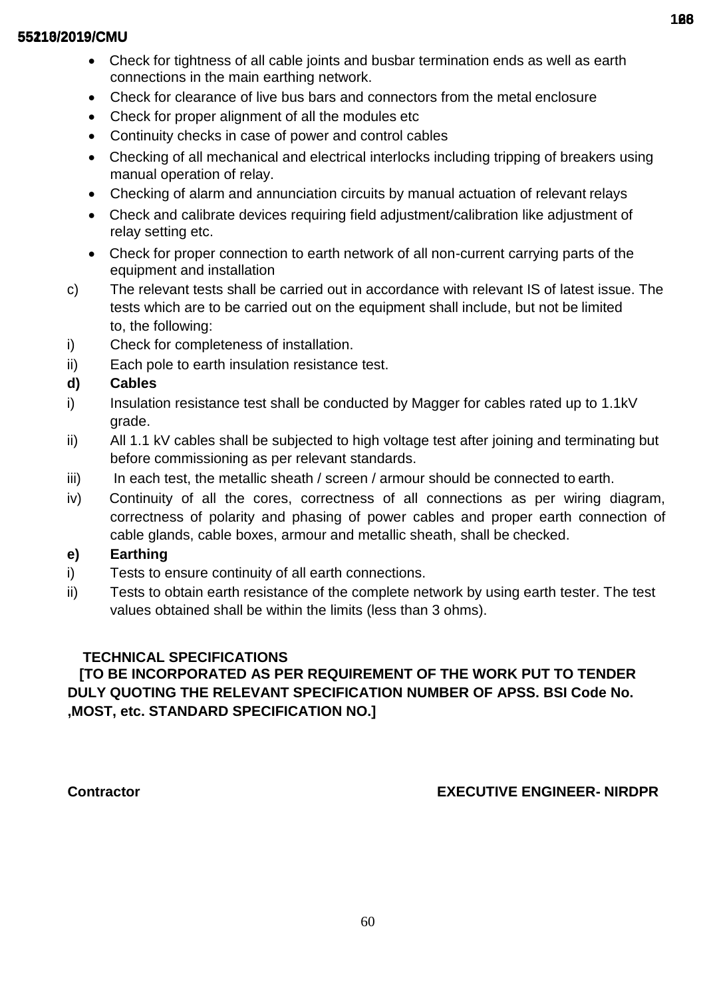- Check for tightness of all cable joints and busbar termination ends as well as earth connections in the main earthing network.
- Check for clearance of live bus bars and connectors from the metal enclosure
- Check for proper alignment of all the modules etc
- Continuity checks in case of power and control cables
- Checking of all mechanical and electrical interlocks including tripping of breakers using manual operation of relay.
- Checking of alarm and annunciation circuits by manual actuation of relevant relays
- Check and calibrate devices requiring field adjustment/calibration like adjustment of relay setting etc.
- Check for proper connection to earth network of all non-current carrying parts of the equipment and installation
- c) The relevant tests shall be carried out in accordance with relevant IS of latest issue. The tests which are to be carried out on the equipment shall include, but not be limited to, the following:
- i) Check for completeness of installation.
- ii) Each pole to earth insulation resistance test.

# **d) Cables**

- i) Insulation resistance test shall be conducted by Magger for cables rated up to 1.1kV grade.
- ii) All 1.1 kV cables shall be subjected to high voltage test after joining and terminating but before commissioning as per relevant standards.
- $iii)$  In each test, the metallic sheath / screen / armour should be connected to earth.
- iv) Continuity of all the cores, correctness of all connections as per wiring diagram, correctness of polarity and phasing of power cables and proper earth connection of cable glands, cable boxes, armour and metallic sheath, shall be checked.

## **e) Earthing**

- i) Tests to ensure continuity of all earth connections.
- ii) Tests to obtain earth resistance of the complete network by using earth tester. The test values obtained shall be within the limits (less than 3 ohms).

# **TECHNICAL SPECIFICATIONS**

# **[TO BE INCORPORATED AS PER REQUIREMENT OF THE WORK PUT TO TENDER DULY QUOTING THE RELEVANT SPECIFICATION NUMBER OF APSS. BSI Code No. ,MOST, etc. STANDARD SPECIFICATION NO.]**

# **Contractor EXECUTIVE ENGINEER- NIRDPR**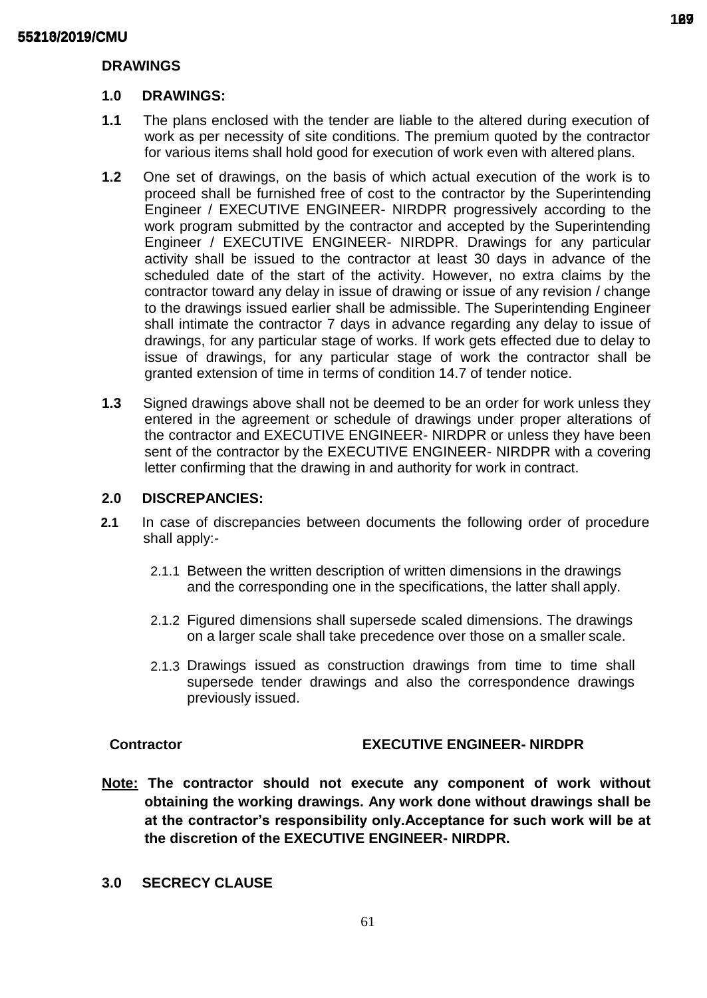## **DRAWINGS**

## **1.0 DRAWINGS:**

- **1.1** The plans enclosed with the tender are liable to the altered during execution of work as per necessity of site conditions. The premium quoted by the contractor for various items shall hold good for execution of work even with altered plans.
- **1.2** One set of drawings, on the basis of which actual execution of the work is to proceed shall be furnished free of cost to the contractor by the Superintending Engineer / EXECUTIVE ENGINEER- NIRDPR progressively according to the work program submitted by the contractor and accepted by the Superintending Engineer / EXECUTIVE ENGINEER- NIRDPR. Drawings for any particular activity shall be issued to the contractor at least 30 days in advance of the scheduled date of the start of the activity. However, no extra claims by the contractor toward any delay in issue of drawing or issue of any revision / change to the drawings issued earlier shall be admissible. The Superintending Engineer shall intimate the contractor 7 days in advance regarding any delay to issue of drawings, for any particular stage of works. If work gets effected due to delay to issue of drawings, for any particular stage of work the contractor shall be granted extension of time in terms of condition 14.7 of tender notice.
- **1.3** Signed drawings above shall not be deemed to be an order for work unless they entered in the agreement or schedule of drawings under proper alterations of the contractor and EXECUTIVE ENGINEER- NIRDPR or unless they have been sent of the contractor by the EXECUTIVE ENGINEER- NIRDPR with a covering letter confirming that the drawing in and authority for work in contract.

## **2.0 DISCREPANCIES:**

- **2.1** In case of discrepancies between documents the following order of procedure shall apply:-
	- 2.1.1 Between the written description of written dimensions in the drawings and the corresponding one in the specifications, the latter shall apply.
	- 2.1.2 Figured dimensions shall supersede scaled dimensions. The drawings on a larger scale shall take precedence over those on a smaller scale.
	- 2.1.3 Drawings issued as construction drawings from time to time shall supersede tender drawings and also the correspondence drawings previously issued.

## **Contractor EXECUTIVE ENGINEER- NIRDPR**

- **Note: The contractor should not execute any component of work without obtaining the working drawings. Any work done without drawings shall be at the contractor's responsibility only.Acceptance for such work will be at the discretion of the EXECUTIVE ENGINEER- NIRDPR.**
- **3.0 SECRECY CLAUSE**